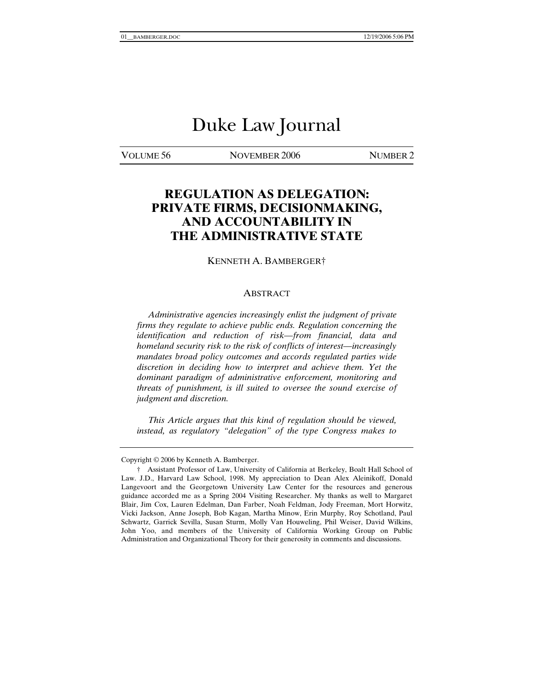# Duke Law Journal

VOLUME 56 NOVEMBER 2006 NUMBER 2

# **REGULATION AS DELEGATION: PRIVATE FIRMS, DECISIONMAKING, AND ACCOUNTABILITY IN THE ADMINISTRATIVE STATE**

KENNETH A. BAMBERGER†

#### ABSTRACT

 *Administrative agencies increasingly enlist the judgment of private firms they regulate to achieve public ends. Regulation concerning the identification and reduction of risk—from financial, data and homeland security risk to the risk of conflicts of interest—increasingly mandates broad policy outcomes and accords regulated parties wide discretion in deciding how to interpret and achieve them. Yet the dominant paradigm of administrative enforcement, monitoring and threats of punishment, is ill suited to oversee the sound exercise of judgment and discretion.* 

 *This Article argues that this kind of regulation should be viewed, instead, as regulatory "delegation" of the type Congress makes to* 

Copyright © 2006 by Kenneth A. Bamberger.

 <sup>†</sup> Assistant Professor of Law, University of California at Berkeley, Boalt Hall School of Law. J.D., Harvard Law School, 1998. My appreciation to Dean Alex Aleinikoff, Donald Langevoort and the Georgetown University Law Center for the resources and generous guidance accorded me as a Spring 2004 Visiting Researcher. My thanks as well to Margaret Blair, Jim Cox, Lauren Edelman, Dan Farber, Noah Feldman, Jody Freeman, Mort Horwitz, Vicki Jackson, Anne Joseph, Bob Kagan, Martha Minow, Erin Murphy, Roy Schotland, Paul Schwartz, Garrick Sevilla, Susan Sturm, Molly Van Houweling, Phil Weiser, David Wilkins, John Yoo, and members of the University of California Working Group on Public Administration and Organizational Theory for their generosity in comments and discussions.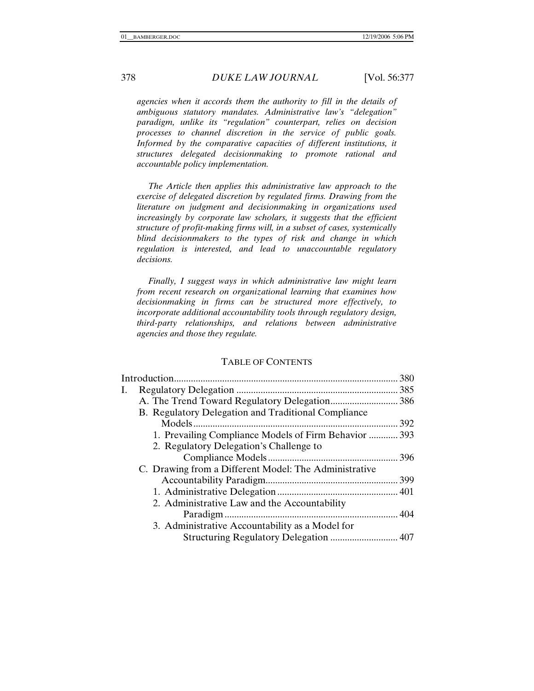*agencies when it accords them the authority to fill in the details of ambiguous statutory mandates. Administrative law's "delegation" paradigm, unlike its "regulation" counterpart, relies on decision processes to channel discretion in the service of public goals.*  Informed by the comparative capacities of different institutions, it *structures delegated decisionmaking to promote rational and accountable policy implementation.* 

 *The Article then applies this administrative law approach to the exercise of delegated discretion by regulated firms. Drawing from the literature on judgment and decisionmaking in organizations used increasingly by corporate law scholars, it suggests that the efficient structure of profit-making firms will, in a subset of cases, systemically blind decisionmakers to the types of risk and change in which regulation is interested, and lead to unaccountable regulatory decisions.* 

 *Finally, I suggest ways in which administrative law might learn from recent research on organizational learning that examines how decisionmaking in firms can be structured more effectively, to incorporate additional accountability tools through regulatory design, third-party relationships, and relations between administrative agencies and those they regulate.* 

#### TABLE OF CONTENTS

|    |                                                       | 380 |
|----|-------------------------------------------------------|-----|
| Ι. |                                                       |     |
|    |                                                       |     |
|    | B. Regulatory Delegation and Traditional Compliance   |     |
|    |                                                       |     |
|    | 1. Prevailing Compliance Models of Firm Behavior  393 |     |
|    | 2. Regulatory Delegation's Challenge to               |     |
|    |                                                       |     |
|    | C. Drawing from a Different Model: The Administrative |     |
|    |                                                       |     |
|    |                                                       |     |
|    | 2. Administrative Law and the Accountability          |     |
|    |                                                       |     |
|    | 3. Administrative Accountability as a Model for       |     |
|    | Structuring Regulatory Delegation  407                |     |
|    |                                                       |     |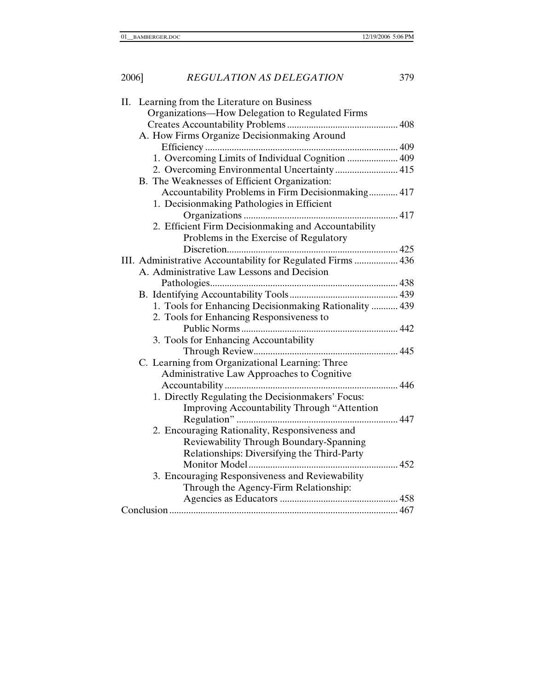| ۰.<br>×<br>٩ |  |
|--------------|--|
|--------------|--|

| II. Learning from the Literature on Business                |
|-------------------------------------------------------------|
| Organizations-How Delegation to Regulated Firms             |
|                                                             |
| A. How Firms Organize Decisionmaking Around                 |
|                                                             |
| 1. Overcoming Limits of Individual Cognition  409           |
| 2. Overcoming Environmental Uncertainty  415                |
| B. The Weaknesses of Efficient Organization:                |
| Accountability Problems in Firm Decisionmaking 417          |
| 1. Decisionmaking Pathologies in Efficient                  |
|                                                             |
| 2. Efficient Firm Decisionmaking and Accountability         |
| Problems in the Exercise of Regulatory                      |
|                                                             |
| III. Administrative Accountability for Regulated Firms  436 |
| A. Administrative Law Lessons and Decision                  |
|                                                             |
|                                                             |
| 1. Tools for Enhancing Decisionmaking Rationality  439      |
| 2. Tools for Enhancing Responsiveness to                    |
|                                                             |
| 3. Tools for Enhancing Accountability                       |
|                                                             |
| C. Learning from Organizational Learning: Three             |
| Administrative Law Approaches to Cognitive                  |
|                                                             |
| 1. Directly Regulating the Decisionmakers' Focus:           |
| Improving Accountability Through "Attention                 |
|                                                             |
| 2. Encouraging Rationality, Responsiveness and              |
| Reviewability Through Boundary-Spanning                     |
| Relationships: Diversifying the Third-Party                 |
|                                                             |
| 3. Encouraging Responsiveness and Reviewability             |
| Through the Agency-Firm Relationship:                       |
|                                                             |
|                                                             |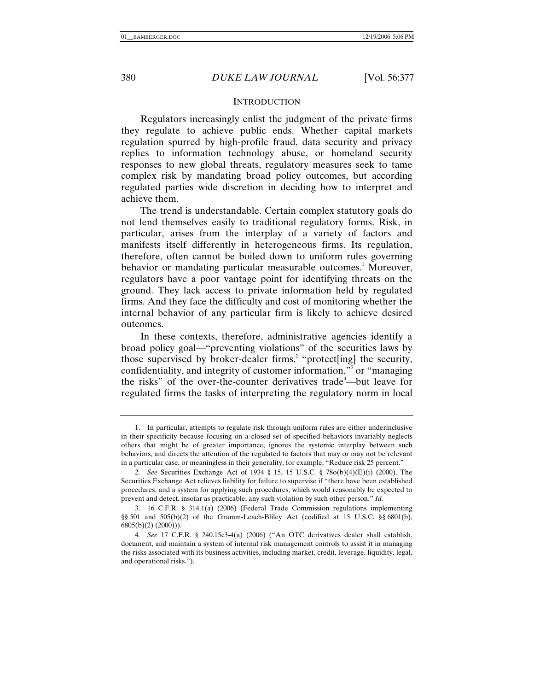#### **INTRODUCTION**

Regulators increasingly enlist the judgment of the private firms they regulate to achieve public ends. Whether capital markets regulation spurred by high-profile fraud, data security and privacy replies to information technology abuse, or homeland security responses to new global threats, regulatory measures seek to tame complex risk by mandating broad policy outcomes, but according regulated parties wide discretion in deciding how to interpret and achieve them.

The trend is understandable. Certain complex statutory goals do not lend themselves easily to traditional regulatory forms. Risk, in particular, arises from the interplay of a variety of factors and manifests itself differently in heterogeneous firms. Its regulation, therefore, often cannot be boiled down to uniform rules governing behavior or mandating particular measurable outcomes.<sup>1</sup> Moreover, regulators have a poor vantage point for identifying threats on the ground. They lack access to private information held by regulated firms. And they face the difficulty and cost of monitoring whether the internal behavior of any particular firm is likely to achieve desired outcomes.

In these contexts, therefore, administrative agencies identify a broad policy goal—"preventing violations" of the securities laws by those supervised by broker-dealer firms,<sup>2</sup> "protect[ing] the security, confidentiality, and integrity of customer information,"<sup>3</sup> or "managing the risks" of the over-the-counter derivatives trade<sup>4</sup>—but leave for regulated firms the tasks of interpreting the regulatory norm in local

 <sup>1.</sup> In particular, attempts to regulate risk through uniform rules are either underinclusive in their specificity because focusing on a closed set of specified behaviors invariably neglects others that might be of greater importance, ignores the systemic interplay between such behaviors, and directs the attention of the regulated to factors that may or may not be relevant in a particular case, or meaningless in their generality, for example, "Reduce risk 25 percent."

<sup>2</sup>*. See* Securities Exchange Act of 1934 § 15, 15 U.S.C. § 78o(b)(4)(E)(i) (2000). The Securities Exchange Act relieves liability for failure to supervise if "there have been established procedures, and a system for applying such procedures, which would reasonably be expected to prevent and detect, insofar as practicable, any such violation by such other person." *Id.*

 <sup>3. 16</sup> C.F.R. § 314.1(a) (2006) (Federal Trade Commission regulations implementing §§ 501 and 505(b)(2) of the Gramm-Leach-Bliley Act (codified at 15 U.S.C. §§ 6801(b), 6805(b)(2) (2000))).

<sup>4</sup>*. See* 17 C.F.R. § 240.15c3-4(a) (2006) ("An OTC derivatives dealer shall establish, document, and maintain a system of internal risk management controls to assist it in managing the risks associated with its business activities, including market, credit, leverage, liquidity, legal, and operational risks.").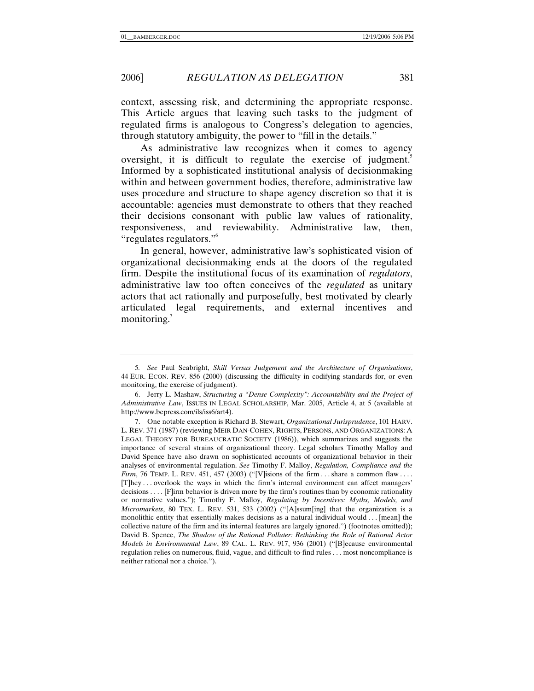context, assessing risk, and determining the appropriate response. This Article argues that leaving such tasks to the judgment of regulated firms is analogous to Congress's delegation to agencies, through statutory ambiguity, the power to "fill in the details."

As administrative law recognizes when it comes to agency oversight, it is difficult to regulate the exercise of judgment.<sup>5</sup> Informed by a sophisticated institutional analysis of decisionmaking within and between government bodies, therefore, administrative law uses procedure and structure to shape agency discretion so that it is accountable: agencies must demonstrate to others that they reached their decisions consonant with public law values of rationality, responsiveness, and reviewability. Administrative law, then, "regulates regulators."6

In general, however, administrative law's sophisticated vision of organizational decisionmaking ends at the doors of the regulated firm. Despite the institutional focus of its examination of *regulators*, administrative law too often conceives of the *regulated* as unitary actors that act rationally and purposefully, best motivated by clearly articulated legal requirements, and external incentives and monitoring.<sup>7</sup>

<sup>5</sup>*. See* Paul Seabright, *Skill Versus Judgement and the Architecture of Organisations*, 44 EUR. ECON. REV. 856 (2000) (discussing the difficulty in codifying standards for, or even monitoring, the exercise of judgment).

 <sup>6.</sup> Jerry L. Mashaw, *Structuring a "Dense Complexity": Accountability and the Project of Administrative Law*, ISSUES IN LEGAL SCHOLARSHIP, Mar. 2005, Article 4, at 5 (available at http://www.bepress.com/ils/iss6/art4).

 <sup>7.</sup> One notable exception is Richard B. Stewart, *Organizational Jurisprudence*, 101 HARV. L. REV. 371 (1987) (reviewing MEIR DAN-COHEN, RIGHTS, PERSONS, AND ORGANIZATIONS: A LEGAL THEORY FOR BUREAUCRATIC SOCIETY (1986)), which summarizes and suggests the importance of several strains of organizational theory. Legal scholars Timothy Malloy and David Spence have also drawn on sophisticated accounts of organizational behavior in their analyses of environmental regulation. *See* Timothy F. Malloy, *Regulation, Compliance and the Firm*, 76 TEMP. L. REV. 451, 457 (2003) ("[V]isions of the firm . . . share a common flaw .... [T]hey . . . overlook the ways in which the firm's internal environment can affect managers' decisions . . . . [F]irm behavior is driven more by the firm's routines than by economic rationality or normative values."); Timothy F. Malloy, *Regulating by Incentives: Myths, Models, and Micromarkets*, 80 TEX. L. REV. 531, 533 (2002) ("[A]ssum[ing] that the organization is a monolithic entity that essentially makes decisions as a natural individual would . . . [mean] the collective nature of the firm and its internal features are largely ignored.") (footnotes omitted)); David B. Spence, *The Shadow of the Rational Polluter: Rethinking the Role of Rational Actor Models in Environmental Law*, 89 CAL. L. REV. 917, 936 (2001) ("[B]ecause environmental regulation relies on numerous, fluid, vague, and difficult-to-find rules . . . most noncompliance is neither rational nor a choice.").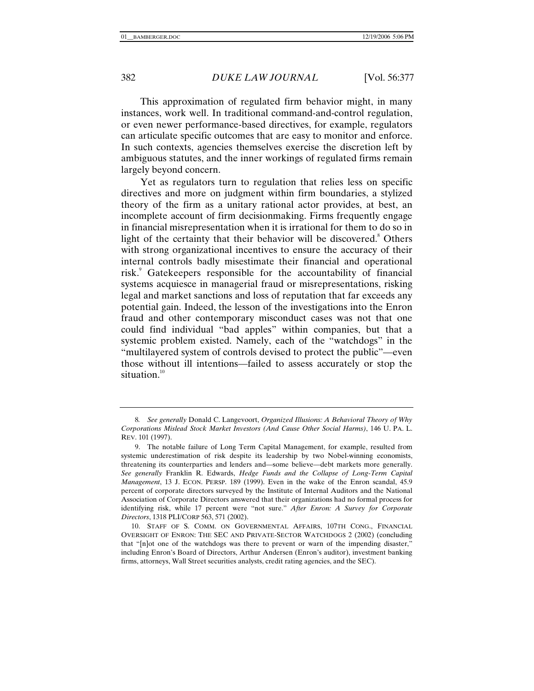This approximation of regulated firm behavior might, in many instances, work well. In traditional command-and-control regulation, or even newer performance-based directives, for example, regulators can articulate specific outcomes that are easy to monitor and enforce. In such contexts, agencies themselves exercise the discretion left by ambiguous statutes, and the inner workings of regulated firms remain largely beyond concern.

Yet as regulators turn to regulation that relies less on specific directives and more on judgment within firm boundaries, a stylized theory of the firm as a unitary rational actor provides, at best, an incomplete account of firm decisionmaking. Firms frequently engage in financial misrepresentation when it is irrational for them to do so in light of the certainty that their behavior will be discovered.<sup>8</sup> Others with strong organizational incentives to ensure the accuracy of their internal controls badly misestimate their financial and operational risk.<sup>9</sup> Gatekeepers responsible for the accountability of financial systems acquiesce in managerial fraud or misrepresentations, risking legal and market sanctions and loss of reputation that far exceeds any potential gain. Indeed, the lesson of the investigations into the Enron fraud and other contemporary misconduct cases was not that one could find individual "bad apples" within companies, but that a systemic problem existed. Namely, each of the "watchdogs" in the "multilayered system of controls devised to protect the public"—even those without ill intentions—failed to assess accurately or stop the situation.<sup>10</sup>

<sup>8</sup>*. See generally* Donald C. Langevoort, *Organized Illusions: A Behavioral Theory of Why Corporations Mislead Stock Market Investors (And Cause Other Social Harms)*, 146 U. PA. L. REV. 101 (1997).

 <sup>9.</sup> The notable failure of Long Term Capital Management, for example, resulted from systemic underestimation of risk despite its leadership by two Nobel-winning economists, threatening its counterparties and lenders and—some believe—debt markets more generally. *See generally* Franklin R. Edwards, *Hedge Funds and the Collapse of Long-Term Capital Management*, 13 J. ECON. PERSP. 189 (1999). Even in the wake of the Enron scandal, 45.9 percent of corporate directors surveyed by the Institute of Internal Auditors and the National Association of Corporate Directors answered that their organizations had no formal process for identifying risk, while 17 percent were "not sure." *After Enron: A Survey for Corporate Directors*, 1318 PLI/CORP 563, 571 (2002).

 <sup>10.</sup> STAFF OF S. COMM. ON GOVERNMENTAL AFFAIRS, 107TH CONG., FINANCIAL OVERSIGHT OF ENRON: THE SEC AND PRIVATE-SECTOR WATCHDOGS 2 (2002) (concluding that "[n]ot one of the watchdogs was there to prevent or warn of the impending disaster," including Enron's Board of Directors, Arthur Andersen (Enron's auditor), investment banking firms, attorneys, Wall Street securities analysts, credit rating agencies, and the SEC).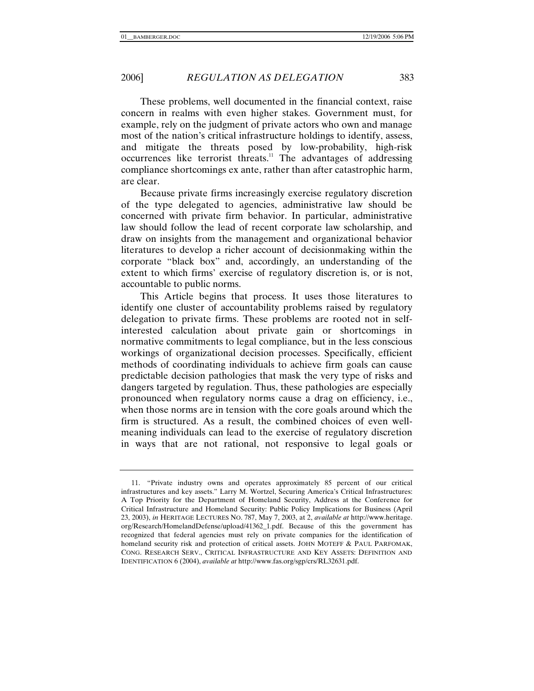These problems, well documented in the financial context, raise concern in realms with even higher stakes. Government must, for example, rely on the judgment of private actors who own and manage most of the nation's critical infrastructure holdings to identify, assess, and mitigate the threats posed by low-probability, high-risk occurrences like terrorist threats.<sup>11</sup> The advantages of addressing compliance shortcomings ex ante, rather than after catastrophic harm, are clear.

Because private firms increasingly exercise regulatory discretion of the type delegated to agencies, administrative law should be concerned with private firm behavior. In particular, administrative law should follow the lead of recent corporate law scholarship, and draw on insights from the management and organizational behavior literatures to develop a richer account of decisionmaking within the corporate "black box" and, accordingly, an understanding of the extent to which firms' exercise of regulatory discretion is, or is not, accountable to public norms.

This Article begins that process. It uses those literatures to identify one cluster of accountability problems raised by regulatory delegation to private firms. These problems are rooted not in selfinterested calculation about private gain or shortcomings in normative commitments to legal compliance, but in the less conscious workings of organizational decision processes. Specifically, efficient methods of coordinating individuals to achieve firm goals can cause predictable decision pathologies that mask the very type of risks and dangers targeted by regulation. Thus, these pathologies are especially pronounced when regulatory norms cause a drag on efficiency, i.e., when those norms are in tension with the core goals around which the firm is structured. As a result, the combined choices of even wellmeaning individuals can lead to the exercise of regulatory discretion in ways that are not rational, not responsive to legal goals or

 <sup>11. &</sup>quot;Private industry owns and operates approximately 85 percent of our critical infrastructures and key assets." Larry M. Wortzel, Securing America's Critical Infrastructures: A Top Priority for the Department of Homeland Security, Address at the Conference for Critical Infrastructure and Homeland Security: Public Policy Implications for Business (April 23, 2003), *in* HERITAGE LECTURES NO. 787, May 7, 2003, at 2, *available at* http://www.heritage. org/Research/HomelandDefense/upload/41362\_1.pdf. Because of this the government has recognized that federal agencies must rely on private companies for the identification of homeland security risk and protection of critical assets. JOHN MOTEFF & PAUL PARFOMAK, CONG. RESEARCH SERV., CRITICAL INFRASTRUCTURE AND KEY ASSETS: DEFINITION AND IDENTIFICATION 6 (2004), *available at* http://www.fas.org/sgp/crs/RL32631.pdf.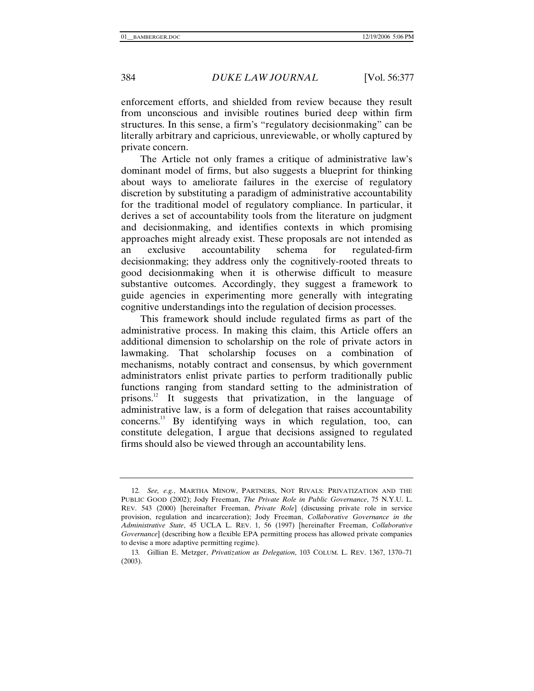enforcement efforts, and shielded from review because they result from unconscious and invisible routines buried deep within firm structures. In this sense, a firm's "regulatory decisionmaking" can be literally arbitrary and capricious, unreviewable, or wholly captured by private concern.

The Article not only frames a critique of administrative law's dominant model of firms, but also suggests a blueprint for thinking about ways to ameliorate failures in the exercise of regulatory discretion by substituting a paradigm of administrative accountability for the traditional model of regulatory compliance. In particular, it derives a set of accountability tools from the literature on judgment and decisionmaking, and identifies contexts in which promising approaches might already exist. These proposals are not intended as an exclusive accountability schema for regulated-firm decisionmaking; they address only the cognitively-rooted threats to good decisionmaking when it is otherwise difficult to measure substantive outcomes. Accordingly, they suggest a framework to guide agencies in experimenting more generally with integrating cognitive understandings into the regulation of decision processes.

This framework should include regulated firms as part of the administrative process. In making this claim, this Article offers an additional dimension to scholarship on the role of private actors in lawmaking. That scholarship focuses on a combination of mechanisms, notably contract and consensus, by which government administrators enlist private parties to perform traditionally public functions ranging from standard setting to the administration of prisons.<sup>12</sup> It suggests that privatization, in the language of administrative law, is a form of delegation that raises accountability concerns.13 By identifying ways in which regulation, too, can constitute delegation, I argue that decisions assigned to regulated firms should also be viewed through an accountability lens.

<sup>12</sup>*. See, e.g.*, MARTHA MINOW, PARTNERS, NOT RIVALS: PRIVATIZATION AND THE PUBLIC GOOD (2002); Jody Freeman, *The Private Role in Public Governance*, 75 N.Y.U. L. REV. 543 (2000) [hereinafter Freeman, *Private Role*] (discussing private role in service provision, regulation and incarceration); Jody Freeman, *Collaborative Governance in the Administrative State*, 45 UCLA L. REV. 1, 56 (1997) [hereinafter Freeman, *Collaborative Governance*] (describing how a flexible EPA permitting process has allowed private companies to devise a more adaptive permitting regime).

<sup>13</sup>*.* Gillian E. Metzger, *Privatization as Delegation*, 103 COLUM. L. REV. 1367, 1370–71 (2003).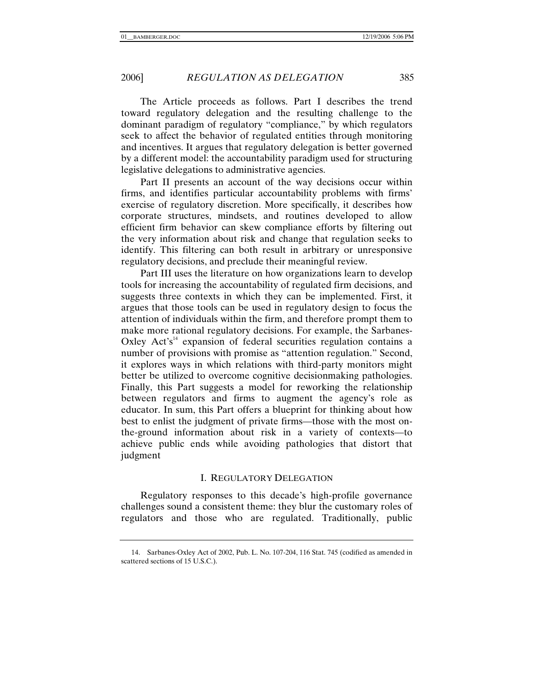The Article proceeds as follows. Part I describes the trend toward regulatory delegation and the resulting challenge to the dominant paradigm of regulatory "compliance," by which regulators seek to affect the behavior of regulated entities through monitoring and incentives. It argues that regulatory delegation is better governed by a different model: the accountability paradigm used for structuring legislative delegations to administrative agencies.

Part II presents an account of the way decisions occur within firms, and identifies particular accountability problems with firms' exercise of regulatory discretion. More specifically, it describes how corporate structures, mindsets, and routines developed to allow efficient firm behavior can skew compliance efforts by filtering out the very information about risk and change that regulation seeks to identify. This filtering can both result in arbitrary or unresponsive regulatory decisions, and preclude their meaningful review.

Part III uses the literature on how organizations learn to develop tools for increasing the accountability of regulated firm decisions, and suggests three contexts in which they can be implemented. First, it argues that those tools can be used in regulatory design to focus the attention of individuals within the firm, and therefore prompt them to make more rational regulatory decisions. For example, the Sarbanes-Oxley Act's<sup>14</sup> expansion of federal securities regulation contains a number of provisions with promise as "attention regulation." Second, it explores ways in which relations with third-party monitors might better be utilized to overcome cognitive decisionmaking pathologies. Finally, this Part suggests a model for reworking the relationship between regulators and firms to augment the agency's role as educator. In sum, this Part offers a blueprint for thinking about how best to enlist the judgment of private firms—those with the most onthe-ground information about risk in a variety of contexts—to achieve public ends while avoiding pathologies that distort that judgment

## I. REGULATORY DELEGATION

Regulatory responses to this decade's high-profile governance challenges sound a consistent theme: they blur the customary roles of regulators and those who are regulated. Traditionally, public

 <sup>14.</sup> Sarbanes-Oxley Act of 2002, Pub. L. No. 107-204, 116 Stat. 745 (codified as amended in scattered sections of 15 U.S.C.).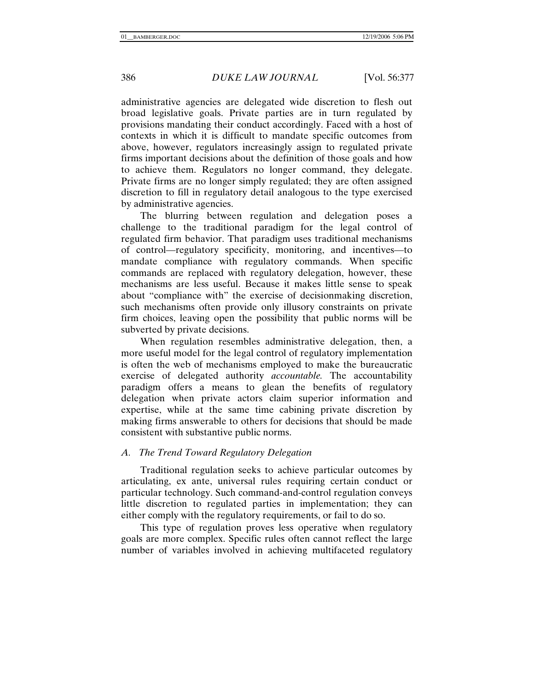administrative agencies are delegated wide discretion to flesh out broad legislative goals. Private parties are in turn regulated by provisions mandating their conduct accordingly. Faced with a host of contexts in which it is difficult to mandate specific outcomes from above, however, regulators increasingly assign to regulated private firms important decisions about the definition of those goals and how to achieve them. Regulators no longer command, they delegate. Private firms are no longer simply regulated; they are often assigned discretion to fill in regulatory detail analogous to the type exercised by administrative agencies.

The blurring between regulation and delegation poses a challenge to the traditional paradigm for the legal control of regulated firm behavior. That paradigm uses traditional mechanisms of control—regulatory specificity, monitoring, and incentives—to mandate compliance with regulatory commands. When specific commands are replaced with regulatory delegation, however, these mechanisms are less useful. Because it makes little sense to speak about "compliance with" the exercise of decisionmaking discretion, such mechanisms often provide only illusory constraints on private firm choices, leaving open the possibility that public norms will be subverted by private decisions.

When regulation resembles administrative delegation, then, a more useful model for the legal control of regulatory implementation is often the web of mechanisms employed to make the bureaucratic exercise of delegated authority *accountable.* The accountability paradigm offers a means to glean the benefits of regulatory delegation when private actors claim superior information and expertise, while at the same time cabining private discretion by making firms answerable to others for decisions that should be made consistent with substantive public norms.

## *A. The Trend Toward Regulatory Delegation*

Traditional regulation seeks to achieve particular outcomes by articulating, ex ante, universal rules requiring certain conduct or particular technology. Such command-and-control regulation conveys little discretion to regulated parties in implementation; they can either comply with the regulatory requirements, or fail to do so.

This type of regulation proves less operative when regulatory goals are more complex. Specific rules often cannot reflect the large number of variables involved in achieving multifaceted regulatory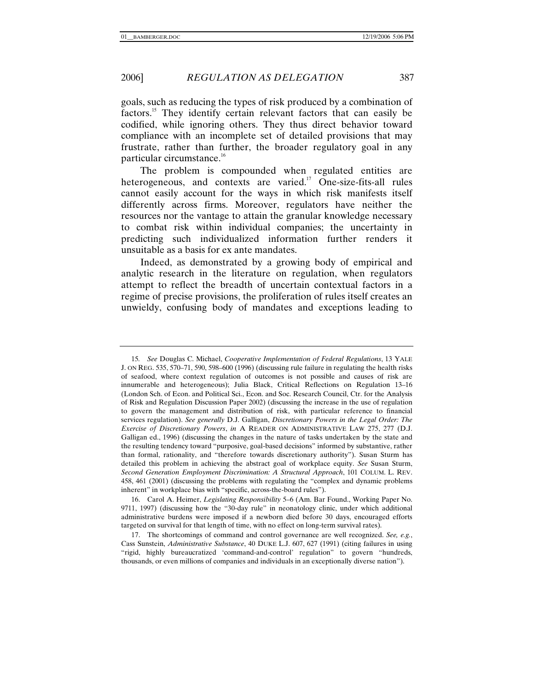goals, such as reducing the types of risk produced by a combination of factors.15 They identify certain relevant factors that can easily be codified, while ignoring others. They thus direct behavior toward compliance with an incomplete set of detailed provisions that may frustrate, rather than further, the broader regulatory goal in any particular circumstance.<sup>16</sup>

The problem is compounded when regulated entities are heterogeneous, and contexts are varied.<sup>17</sup> One-size-fits-all rules cannot easily account for the ways in which risk manifests itself differently across firms. Moreover, regulators have neither the resources nor the vantage to attain the granular knowledge necessary to combat risk within individual companies; the uncertainty in predicting such individualized information further renders it unsuitable as a basis for ex ante mandates.

Indeed, as demonstrated by a growing body of empirical and analytic research in the literature on regulation, when regulators attempt to reflect the breadth of uncertain contextual factors in a regime of precise provisions, the proliferation of rules itself creates an unwieldy, confusing body of mandates and exceptions leading to

 16. Carol A. Heimer, *Legislating Responsibility* 5–6 (Am. Bar Found., Working Paper No. 9711, 1997) (discussing how the "30-day rule" in neonatology clinic, under which additional administrative burdens were imposed if a newborn died before 30 days, encouraged efforts targeted on survival for that length of time, with no effect on long-term survival rates).

<sup>15</sup>*. See* Douglas C. Michael, *Cooperative Implementation of Federal Regulations*, 13 YALE J. ON REG. 535, 570–71, 590, 598–600 (1996) (discussing rule failure in regulating the health risks of seafood, where context regulation of outcomes is not possible and causes of risk are innumerable and heterogeneous); Julia Black, Critical Reflections on Regulation 13–16 (London Sch. of Econ. and Political Sci., Econ. and Soc. Research Council, Ctr. for the Analysis of Risk and Regulation Discussion Paper 2002) (discussing the increase in the use of regulation to govern the management and distribution of risk, with particular reference to financial services regulation). *See generally* D.J. Galligan, *Discretionary Powers in the Legal Order: The Exercise of Discretionary Powers*, *in* A READER ON ADMINISTRATIVE LAW 275, 277 (D.J. Galligan ed., 1996) (discussing the changes in the nature of tasks undertaken by the state and the resulting tendency toward "purposive, goal-based decisions" informed by substantive, rather than formal, rationality, and "therefore towards discretionary authority"). Susan Sturm has detailed this problem in achieving the abstract goal of workplace equity. *See* Susan Sturm, *Second Generation Employment Discrimination: A Structural Approach*, 101 COLUM. L. REV. 458, 461 (2001) (discussing the problems with regulating the "complex and dynamic problems inherent" in workplace bias with "specific, across-the-board rules").

 <sup>17.</sup> The shortcomings of command and control governance are well recognized. *See, e.g.*, Cass Sunstein, *Administrative Substance*, 40 DUKE L.J. 607, 627 (1991) (citing failures in using "rigid, highly bureaucratized 'command-and-control' regulation" to govern "hundreds, thousands, or even millions of companies and individuals in an exceptionally diverse nation").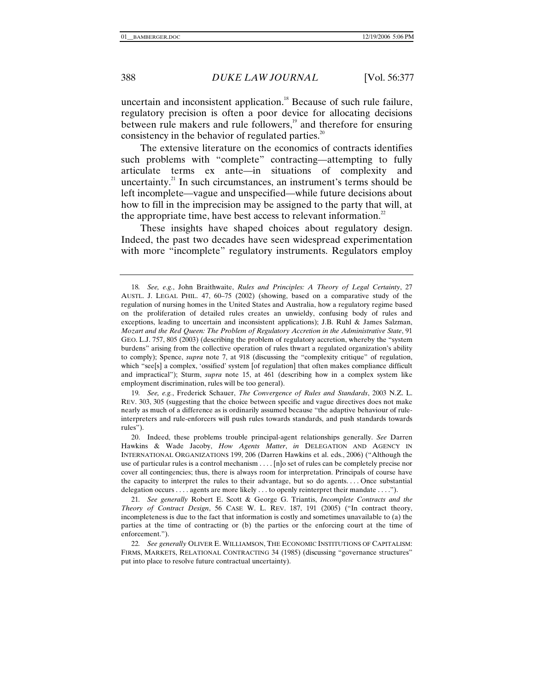uncertain and inconsistent application.<sup>18</sup> Because of such rule failure, regulatory precision is often a poor device for allocating decisions between rule makers and rule followers, $19$  and therefore for ensuring consistency in the behavior of regulated parties. $20$ 

The extensive literature on the economics of contracts identifies such problems with "complete" contracting—attempting to fully articulate terms ex ante—in situations of complexity and uncertainty. $^{21}$  In such circumstances, an instrument's terms should be left incomplete—vague and unspecified—while future decisions about how to fill in the imprecision may be assigned to the party that will, at the appropriate time, have best access to relevant information.<sup>22</sup>

These insights have shaped choices about regulatory design. Indeed, the past two decades have seen widespread experimentation with more "incomplete" regulatory instruments. Regulators employ

19*. See, e.g.*, Frederick Schauer, *The Convergence of Rules and Standards*, 2003 N.Z. L. REV. 303, 305 (suggesting that the choice between specific and vague directives does not make nearly as much of a difference as is ordinarily assumed because "the adaptive behaviour of ruleinterpreters and rule-enforcers will push rules towards standards, and push standards towards rules").

 <sup>18</sup>*. See, e.g.*, John Braithwaite, *Rules and Principles: A Theory of Legal Certainty*, 27 AUSTL. J. LEGAL PHIL. 47, 60–75 (2002) (showing, based on a comparative study of the regulation of nursing homes in the United States and Australia, how a regulatory regime based on the proliferation of detailed rules creates an unwieldy, confusing body of rules and exceptions, leading to uncertain and inconsistent applications); J.B. Ruhl & James Salzman, *Mozart and the Red Queen: The Problem of Regulatory Accretion in the Administrative State*, 91 GEO. L.J. 757, 805 (2003) (describing the problem of regulatory accretion, whereby the "system burdens" arising from the collective operation of rules thwart a regulated organization's ability to comply); Spence, *supra* note 7, at 918 (discussing the "complexity critique" of regulation, which "see[s] a complex, 'ossified' system [of regulation] that often makes compliance difficult and impractical"); Sturm, *supra* note 15, at 461 (describing how in a complex system like employment discrimination, rules will be too general).

 <sup>20.</sup> Indeed, these problems trouble principal-agent relationships generally. *See* Darren Hawkins & Wade Jacoby, *How Agents Matter*, *in* DELEGATION AND AGENCY IN INTERNATIONAL ORGANIZATIONS 199, 206 (Darren Hawkins et al. eds., 2006) ("Although the use of particular rules is a control mechanism . . . . [n]o set of rules can be completely precise nor cover all contingencies; thus, there is always room for interpretation. Principals of course have the capacity to interpret the rules to their advantage, but so do agents. . . . Once substantial delegation occurs . . . . agents are more likely . . . to openly reinterpret their mandate . . . .").

<sup>21</sup>*. See generally* Robert E. Scott & George G. Triantis, *Incomplete Contracts and the Theory of Contract Design*, 56 CASE W. L. REV. 187, 191 (2005) ("In contract theory, incompleteness is due to the fact that information is costly and sometimes unavailable to (a) the parties at the time of contracting or (b) the parties or the enforcing court at the time of enforcement.").

<sup>22</sup>*. See generally* OLIVER E. WILLIAMSON, THE ECONOMIC INSTITUTIONS OF CAPITALISM: FIRMS, MARKETS, RELATIONAL CONTRACTING 34 (1985) (discussing "governance structures" put into place to resolve future contractual uncertainty).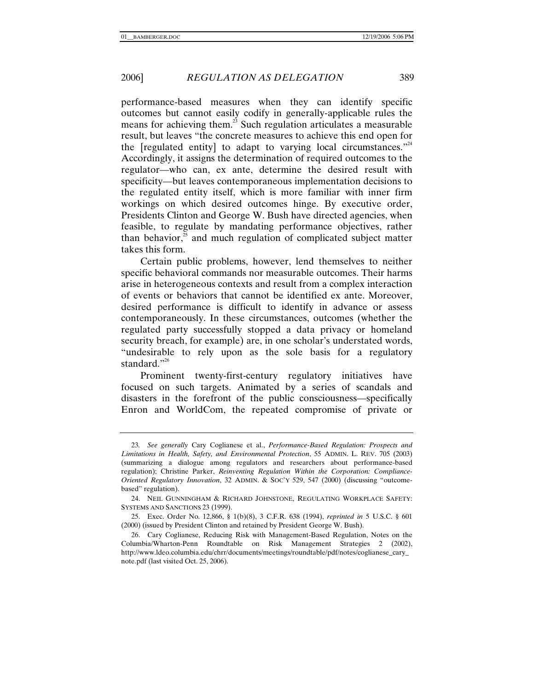performance-based measures when they can identify specific outcomes but cannot easily codify in generally-applicable rules the means for achieving them.<sup>23</sup> Such regulation articulates a measurable result, but leaves "the concrete measures to achieve this end open for the [regulated entity] to adapt to varying local circumstances."<sup>24</sup> Accordingly, it assigns the determination of required outcomes to the regulator—who can, ex ante, determine the desired result with specificity—but leaves contemporaneous implementation decisions to the regulated entity itself, which is more familiar with inner firm workings on which desired outcomes hinge. By executive order, Presidents Clinton and George W. Bush have directed agencies, when feasible, to regulate by mandating performance objectives, rather than behavior, $25$  and much regulation of complicated subject matter takes this form.

Certain public problems, however, lend themselves to neither specific behavioral commands nor measurable outcomes. Their harms arise in heterogeneous contexts and result from a complex interaction of events or behaviors that cannot be identified ex ante. Moreover, desired performance is difficult to identify in advance or assess contemporaneously. In these circumstances, outcomes (whether the regulated party successfully stopped a data privacy or homeland security breach, for example) are, in one scholar's understated words, "undesirable to rely upon as the sole basis for a regulatory standard."<sup>26</sup>

Prominent twenty-first-century regulatory initiatives have focused on such targets. Animated by a series of scandals and disasters in the forefront of the public consciousness—specifically Enron and WorldCom, the repeated compromise of private or

<sup>23</sup>*. See generally* Cary Coglianese et al., *Performance-Based Regulation: Prospects and Limitations in Health, Safety, and Environmental Protection*, 55 ADMIN. L. REV. 705 (2003) (summarizing a dialogue among regulators and researchers about performance-based regulation); Christine Parker, *Reinventing Regulation Within the Corporation: Compliance-Oriented Regulatory Innovation*, 32 ADMIN. & SOC'Y 529, 547 (2000) (discussing "outcomebased" regulation).

 <sup>24.</sup> NEIL GUNNINGHAM & RICHARD JOHNSTONE, REGULATING WORKPLACE SAFETY: SYSTEMS AND SANCTIONS 23 (1999).

 <sup>25.</sup> Exec. Order No. 12,866, § 1(b)(8), 3 C.F.R. 638 (1994), *reprinted in* 5 U.S.C. § 601 (2000) (issued by President Clinton and retained by President George W. Bush).

 <sup>26.</sup> Cary Coglianese, Reducing Risk with Management-Based Regulation, Notes on the Columbia/Wharton-Penn Roundtable on Risk Management Strategies 2 (2002), http://www.ldeo.columbia.edu/chrr/documents/meetings/roundtable/pdf/notes/coglianese\_cary\_ note.pdf (last visited Oct. 25, 2006).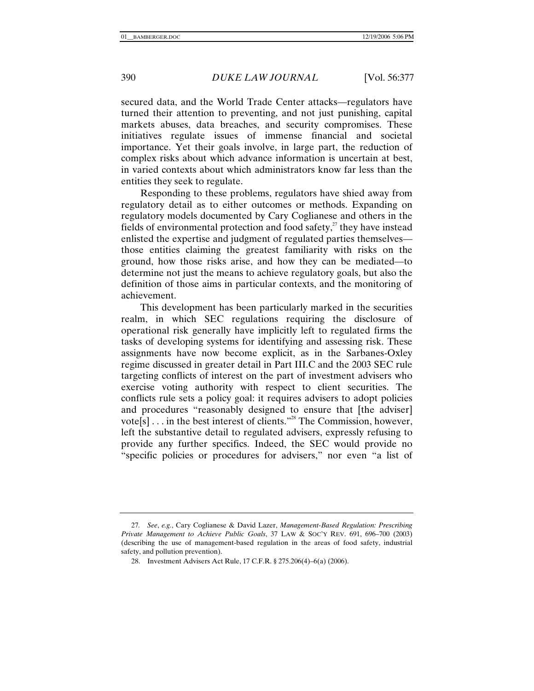secured data, and the World Trade Center attacks—regulators have turned their attention to preventing, and not just punishing, capital markets abuses, data breaches, and security compromises. These initiatives regulate issues of immense financial and societal importance. Yet their goals involve, in large part, the reduction of complex risks about which advance information is uncertain at best, in varied contexts about which administrators know far less than the entities they seek to regulate.

Responding to these problems, regulators have shied away from regulatory detail as to either outcomes or methods. Expanding on regulatory models documented by Cary Coglianese and others in the fields of environmental protection and food safety, $^{27}$  they have instead enlisted the expertise and judgment of regulated parties themselves those entities claiming the greatest familiarity with risks on the ground, how those risks arise, and how they can be mediated—to determine not just the means to achieve regulatory goals, but also the definition of those aims in particular contexts, and the monitoring of achievement.

This development has been particularly marked in the securities realm, in which SEC regulations requiring the disclosure of operational risk generally have implicitly left to regulated firms the tasks of developing systems for identifying and assessing risk. These assignments have now become explicit, as in the Sarbanes-Oxley regime discussed in greater detail in Part III.C and the 2003 SEC rule targeting conflicts of interest on the part of investment advisers who exercise voting authority with respect to client securities. The conflicts rule sets a policy goal: it requires advisers to adopt policies and procedures "reasonably designed to ensure that [the adviser] vote[s] . . . in the best interest of clients."28 The Commission, however, left the substantive detail to regulated advisers, expressly refusing to provide any further specifics. Indeed, the SEC would provide no "specific policies or procedures for advisers," nor even "a list of

<sup>27</sup>*. See*, *e.g.*, Cary Coglianese & David Lazer, *Management-Based Regulation: Prescribing Private Management to Achieve Public Goals*, 37 LAW & SOC'Y REV. 691, 696–700 (2003) (describing the use of management-based regulation in the areas of food safety, industrial safety, and pollution prevention).

 <sup>28.</sup> Investment Advisers Act Rule, 17 C.F.R. § 275.206(4)–6(a) (2006).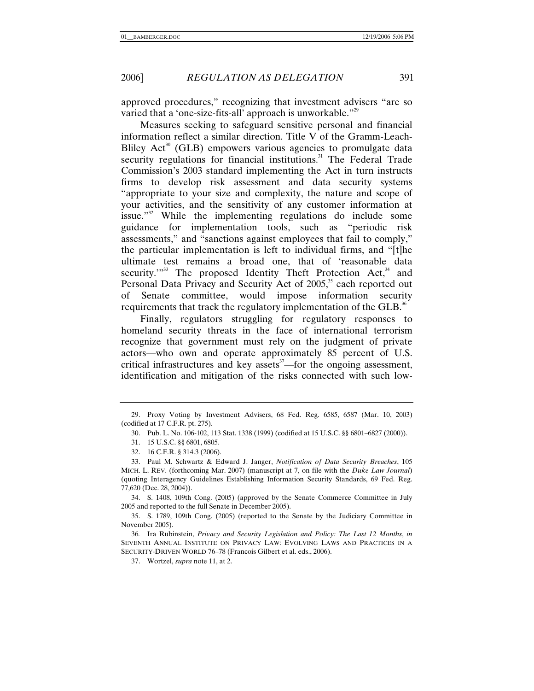approved procedures," recognizing that investment advisers "are so varied that a 'one-size-fits-all' approach is unworkable."<sup>29</sup>

Measures seeking to safeguard sensitive personal and financial information reflect a similar direction. Title V of the Gramm-Leach-Bliley  $Act^{30}$  (GLB) empowers various agencies to promulgate data security regulations for financial institutions.<sup>31</sup> The Federal Trade Commission's 2003 standard implementing the Act in turn instructs firms to develop risk assessment and data security systems "appropriate to your size and complexity, the nature and scope of your activities, and the sensitivity of any customer information at issue."32 While the implementing regulations do include some guidance for implementation tools, such as "periodic risk assessments," and "sanctions against employees that fail to comply," the particular implementation is left to individual firms, and "[t]he ultimate test remains a broad one, that of 'reasonable data security. $1^{33}$  The proposed Identity Theft Protection Act,  $34$  and Personal Data Privacy and Security Act of 2005,<sup>35</sup> each reported out of Senate committee, would impose information security requirements that track the regulatory implementation of the GLB.<sup>36</sup>

Finally, regulators struggling for regulatory responses to homeland security threats in the face of international terrorism recognize that government must rely on the judgment of private actors—who own and operate approximately 85 percent of U.S. critical infrastructures and key assets $37$ —for the ongoing assessment, identification and mitigation of the risks connected with such low-

32. 16 C.F.R. § 314.3 (2006).

 34. S. 1408, 109th Cong. (2005) (approved by the Senate Commerce Committee in July 2005 and reported to the full Senate in December 2005).

 35. S. 1789, 109th Cong. (2005) (reported to the Senate by the Judiciary Committee in November 2005).

36*.* Ira Rubinstein, *Privacy and Security Legislation and Policy: The Last 12 Months*, *in* SEVENTH ANNUAL INSTITUTE ON PRIVACY LAW: EVOLVING LAWS AND PRACTICES IN A SECURITY-DRIVEN WORLD 76–78 (Francois Gilbert et al. eds., 2006).

37. Wortzel, *supra* note 11, at 2.

 <sup>29.</sup> Proxy Voting by Investment Advisers, 68 Fed. Reg. 6585, 6587 (Mar. 10, 2003) (codified at 17 C.F.R. pt. 275).

 <sup>30.</sup> Pub. L. No. 106-102, 113 Stat. 1338 (1999) (codified at 15 U.S.C. §§ 6801–6827 (2000)).

 <sup>31. 15</sup> U.S.C. §§ 6801, 6805.

 <sup>33.</sup> Paul M. Schwartz & Edward J. Janger, *Notification of Data Security Breaches*, 105 MICH. L. REV. (forthcoming Mar. 2007) (manuscript at 7, on file with the *Duke Law Journal*) (quoting Interagency Guidelines Establishing Information Security Standards, 69 Fed. Reg. 77,620 (Dec. 28, 2004)).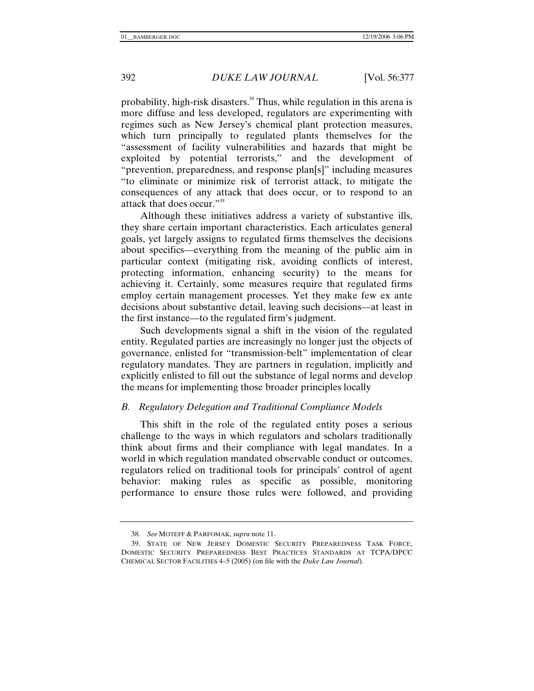probability, high-risk disasters.<sup>38</sup> Thus, while regulation in this arena is more diffuse and less developed, regulators are experimenting with regimes such as New Jersey's chemical plant protection measures, which turn principally to regulated plants themselves for the "assessment of facility vulnerabilities and hazards that might be exploited by potential terrorists," and the development of "prevention, preparedness, and response plan[s]" including measures "to eliminate or minimize risk of terrorist attack, to mitigate the consequences of any attack that does occur, or to respond to an attack that does occur."<sup>39</sup>

Although these initiatives address a variety of substantive ills, they share certain important characteristics. Each articulates general goals, yet largely assigns to regulated firms themselves the decisions about specifics—everything from the meaning of the public aim in particular context (mitigating risk, avoiding conflicts of interest, protecting information, enhancing security) to the means for achieving it. Certainly, some measures require that regulated firms employ certain management processes. Yet they make few ex ante decisions about substantive detail, leaving such decisions—at least in the first instance—to the regulated firm's judgment.

Such developments signal a shift in the vision of the regulated entity. Regulated parties are increasingly no longer just the objects of governance, enlisted for "transmission-belt" implementation of clear regulatory mandates. They are partners in regulation, implicitly and explicitly enlisted to fill out the substance of legal norms and develop the means for implementing those broader principles locally

#### *B. Regulatory Delegation and Traditional Compliance Models*

This shift in the role of the regulated entity poses a serious challenge to the ways in which regulators and scholars traditionally think about firms and their compliance with legal mandates. In a world in which regulation mandated observable conduct or outcomes, regulators relied on traditional tools for principals' control of agent behavior: making rules as specific as possible, monitoring performance to ensure those rules were followed, and providing

<sup>38</sup>*. See* MOTEFF & PARFOMAK, *supra* note 11.

 <sup>39.</sup> STATE OF NEW JERSEY DOMESTIC SECURITY PREPAREDNESS TASK FORCE, DOMESTIC SECURITY PREPAREDNESS BEST PRACTICES STANDARDS AT TCPA/DPCC CHEMICAL SECTOR FACILITIES 4–5 (2005) (on file with the *Duke Law Journal*).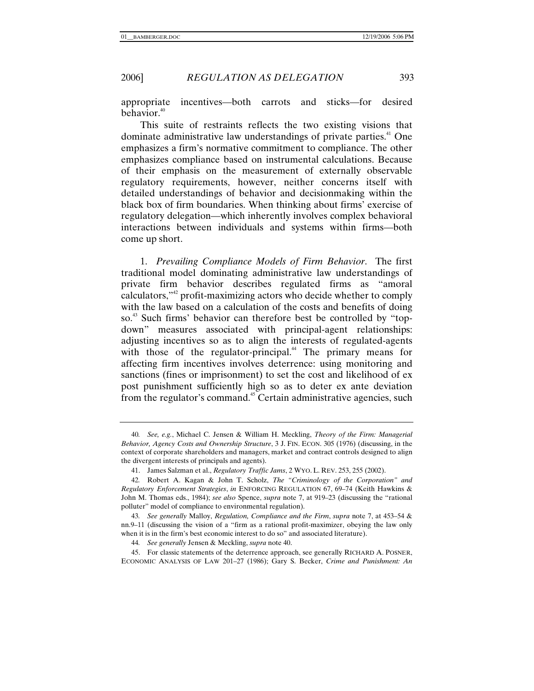appropriate incentives—both carrots and sticks—for desired behavior.<sup>40</sup>

This suite of restraints reflects the two existing visions that dominate administrative law understandings of private parties.<sup>41</sup> One emphasizes a firm's normative commitment to compliance. The other emphasizes compliance based on instrumental calculations. Because of their emphasis on the measurement of externally observable regulatory requirements, however, neither concerns itself with detailed understandings of behavior and decisionmaking within the black box of firm boundaries. When thinking about firms' exercise of regulatory delegation—which inherently involves complex behavioral interactions between individuals and systems within firms—both come up short.

1. *Prevailing Compliance Models of Firm Behavior*. The first traditional model dominating administrative law understandings of private firm behavior describes regulated firms as "amoral calculators,"42 profit-maximizing actors who decide whether to comply with the law based on a calculation of the costs and benefits of doing so.<sup>43</sup> Such firms' behavior can therefore best be controlled by "topdown" measures associated with principal-agent relationships: adjusting incentives so as to align the interests of regulated-agents with those of the regulator-principal. $44$  The primary means for affecting firm incentives involves deterrence: using monitoring and sanctions (fines or imprisonment) to set the cost and likelihood of ex post punishment sufficiently high so as to deter ex ante deviation from the regulator's command.<sup>45</sup> Certain administrative agencies, such

<sup>40</sup>*. See, e.g.*, Michael C. Jensen & William H. Meckling, *Theory of the Firm: Managerial Behavior, Agency Costs and Ownership Structure*, 3 J. FIN. ECON. 305 (1976) (discussing, in the context of corporate shareholders and managers, market and contract controls designed to align the divergent interests of principals and agents).

 <sup>41.</sup> James Salzman et al., *Regulatory Traffic Jams*, 2 WYO. L. REV. 253, 255 (2002).

<sup>42</sup>*.* Robert A. Kagan & John T. Scholz, *The "Criminology of the Corporation" and Regulatory Enforcement Strategies*, *in* ENFORCING REGULATION 67, 69–74 (Keith Hawkins & John M. Thomas eds., 1984); *see also* Spence, *supra* note 7, at 919–23 (discussing the "rational polluter" model of compliance to environmental regulation).

<sup>43</sup>*. See generally* Malloy, *Regulation, Compliance and the Firm*, *supra* note 7, at 453–54 & nn.9–11 (discussing the vision of a "firm as a rational profit-maximizer, obeying the law only when it is in the firm's best economic interest to do so" and associated literature).

<sup>44</sup>*. See generally* Jensen & Meckling, *supra* note 40.

 <sup>45.</sup> For classic statements of the deterrence approach, see generally RICHARD A. POSNER, ECONOMIC ANALYSIS OF LAW 201–27 (1986); Gary S. Becker, *Crime and Punishment: An*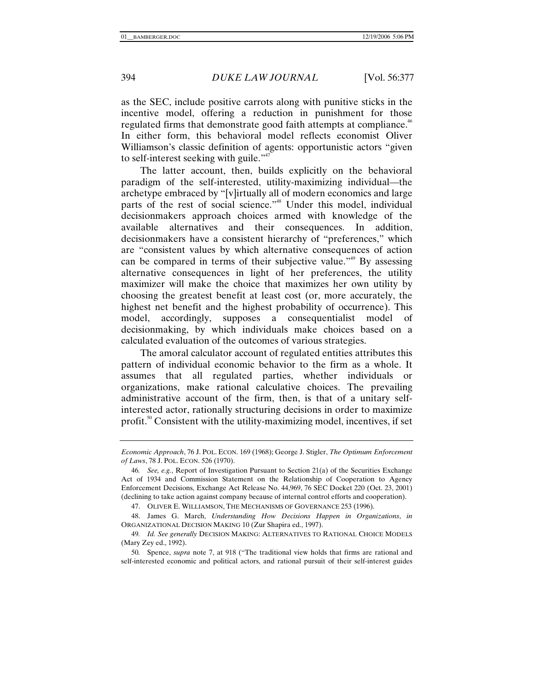as the SEC, include positive carrots along with punitive sticks in the incentive model, offering a reduction in punishment for those regulated firms that demonstrate good faith attempts at compliance.<sup>46</sup> In either form, this behavioral model reflects economist Oliver Williamson's classic definition of agents: opportunistic actors "given to self-interest seeking with guile."<sup>47</sup>

The latter account, then, builds explicitly on the behavioral paradigm of the self-interested, utility-maximizing individual—the archetype embraced by "[v]irtually all of modern economics and large parts of the rest of social science."<sup>48</sup> Under this model, individual decisionmakers approach choices armed with knowledge of the available alternatives and their consequences. In addition, decisionmakers have a consistent hierarchy of "preferences," which are "consistent values by which alternative consequences of action can be compared in terms of their subjective value."<sup>49</sup> By assessing alternative consequences in light of her preferences, the utility maximizer will make the choice that maximizes her own utility by choosing the greatest benefit at least cost (or, more accurately, the highest net benefit and the highest probability of occurrence). This model, accordingly, supposes a consequentialist model of decisionmaking, by which individuals make choices based on a calculated evaluation of the outcomes of various strategies.

The amoral calculator account of regulated entities attributes this pattern of individual economic behavior to the firm as a whole. It assumes that all regulated parties, whether individuals or organizations, make rational calculative choices. The prevailing administrative account of the firm, then, is that of a unitary selfinterested actor, rationally structuring decisions in order to maximize profit.<sup>50</sup> Consistent with the utility-maximizing model, incentives, if set

47. OLIVER E. WILLIAMSON, THE MECHANISMS OF GOVERNANCE 253 (1996).

 48. James G. March, *Understanding How Decisions Happen in Organizations*, *in* ORGANIZATIONAL DECISION MAKING 10 (Zur Shapira ed., 1997).

49*. Id. See generally* DECISION MAKING: ALTERNATIVES TO RATIONAL CHOICE MODELS (Mary Zey ed., 1992).

50*.* Spence, *supra* note 7, at 918 ("The traditional view holds that firms are rational and self-interested economic and political actors, and rational pursuit of their self-interest guides

*Economic Approach*, 76 J. POL. ECON. 169 (1968); George J. Stigler, *The Optimum Enforcement of Laws*, 78 J. POL. ECON. 526 (1970).

<sup>46</sup>*. See, e.g.*, Report of Investigation Pursuant to Section 21(a) of the Securities Exchange Act of 1934 and Commission Statement on the Relationship of Cooperation to Agency Enforcement Decisions, Exchange Act Release No. 44,969, 76 SEC Docket 220 (Oct. 23, 2001) (declining to take action against company because of internal control efforts and cooperation).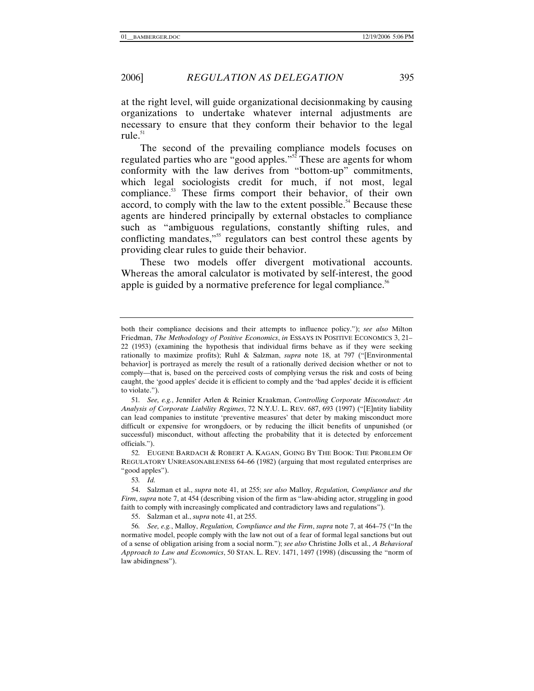at the right level, will guide organizational decisionmaking by causing organizations to undertake whatever internal adjustments are necessary to ensure that they conform their behavior to the legal rule. $51$ 

The second of the prevailing compliance models focuses on regulated parties who are "good apples."<sup>52</sup> These are agents for whom conformity with the law derives from "bottom-up" commitments, which legal sociologists credit for much, if not most, legal compliance.<sup>53</sup> These firms comport their behavior, of their own accord, to comply with the law to the extent possible.<sup>54</sup> Because these agents are hindered principally by external obstacles to compliance such as "ambiguous regulations, constantly shifting rules, and conflicting mandates,<sup>355</sup> regulators can best control these agents by providing clear rules to guide their behavior.

These two models offer divergent motivational accounts. Whereas the amoral calculator is motivated by self-interest, the good apple is guided by a normative preference for legal compliance.<sup>56</sup>

53*. Id.*

55. Salzman et al., *supra* note 41, at 255.

both their compliance decisions and their attempts to influence policy."); *see also* Milton Friedman, *The Methodology of Positive Economics*, *in* ESSAYS IN POSITIVE ECONOMICS 3, 21– 22 (1953) (examining the hypothesis that individual firms behave as if they were seeking rationally to maximize profits); Ruhl & Salzman, *supra* note 18, at 797 ("[Environmental behavior] is portrayed as merely the result of a rationally derived decision whether or not to comply—that is, based on the perceived costs of complying versus the risk and costs of being caught, the 'good apples' decide it is efficient to comply and the 'bad apples' decide it is efficient to violate.").

<sup>51</sup>*. See, e.g.*, Jennifer Arlen & Reinier Kraakman, *Controlling Corporate Misconduct: An Analysis of Corporate Liability Regimes*, 72 N.Y.U. L. REV. 687, 693 (1997) ("[E]ntity liability can lead companies to institute 'preventive measures' that deter by making misconduct more difficult or expensive for wrongdoers, or by reducing the illicit benefits of unpunished (or successful) misconduct, without affecting the probability that it is detected by enforcement officials.").

<sup>52</sup>*.* EUGENE BARDACH & ROBERT A. KAGAN, GOING BY THE BOOK: THE PROBLEM OF REGULATORY UNREASONABLENESS 64–66 (1982) (arguing that most regulated enterprises are "good apples").

 <sup>54.</sup> Salzman et al., *supra* note 41, at 255; *see also* Malloy, *Regulation, Compliance and the Firm*, *supra* note 7, at 454 (describing vision of the firm as "law-abiding actor, struggling in good faith to comply with increasingly complicated and contradictory laws and regulations").

<sup>56</sup>*. See, e.g.*, Malloy, *Regulation, Compliance and the Firm*, *supra* note 7, at 464–75 ("In the normative model, people comply with the law not out of a fear of formal legal sanctions but out of a sense of obligation arising from a social norm."); *see also* Christine Jolls et al., *A Behavioral Approach to Law and Economics*, 50 STAN. L. REV. 1471, 1497 (1998) (discussing the "norm of law abidingness").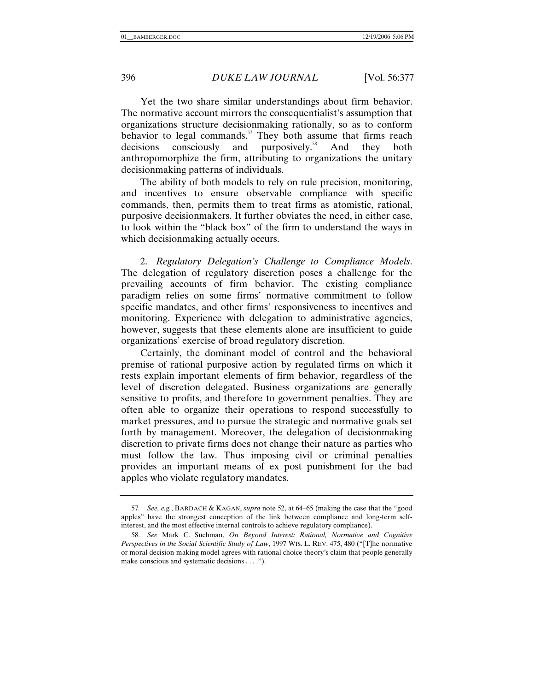Yet the two share similar understandings about firm behavior. The normative account mirrors the consequentialist's assumption that organizations structure decisionmaking rationally, so as to conform behavior to legal commands. $57$  They both assume that firms reach decisions consciously and purposively.<sup>58</sup> And they both anthropomorphize the firm, attributing to organizations the unitary decisionmaking patterns of individuals.

The ability of both models to rely on rule precision, monitoring, and incentives to ensure observable compliance with specific commands, then, permits them to treat firms as atomistic, rational, purposive decisionmakers. It further obviates the need, in either case, to look within the "black box" of the firm to understand the ways in which decisionmaking actually occurs.

2. *Regulatory Delegation's Challenge to Compliance Models*. The delegation of regulatory discretion poses a challenge for the prevailing accounts of firm behavior. The existing compliance paradigm relies on some firms' normative commitment to follow specific mandates, and other firms' responsiveness to incentives and monitoring. Experience with delegation to administrative agencies, however, suggests that these elements alone are insufficient to guide organizations' exercise of broad regulatory discretion.

Certainly, the dominant model of control and the behavioral premise of rational purposive action by regulated firms on which it rests explain important elements of firm behavior, regardless of the level of discretion delegated. Business organizations are generally sensitive to profits, and therefore to government penalties. They are often able to organize their operations to respond successfully to market pressures, and to pursue the strategic and normative goals set forth by management. Moreover, the delegation of decisionmaking discretion to private firms does not change their nature as parties who must follow the law. Thus imposing civil or criminal penalties provides an important means of ex post punishment for the bad apples who violate regulatory mandates.

<sup>57</sup>*. See, e.g.*, BARDACH & KAGAN, *supra* note 52, at 64–65 (making the case that the "good apples" have the strongest conception of the link between compliance and long-term selfinterest, and the most effective internal controls to achieve regulatory compliance).

<sup>58</sup>*. See* Mark C. Suchman, *On Beyond Interest: Rational, Normative and Cognitive Perspectives in the Social Scientific Study of Law*, 1997 WIS. L. REV. 475, 480 ("[T]he normative or moral decision-making model agrees with rational choice theory's claim that people generally make conscious and systematic decisions . . . .").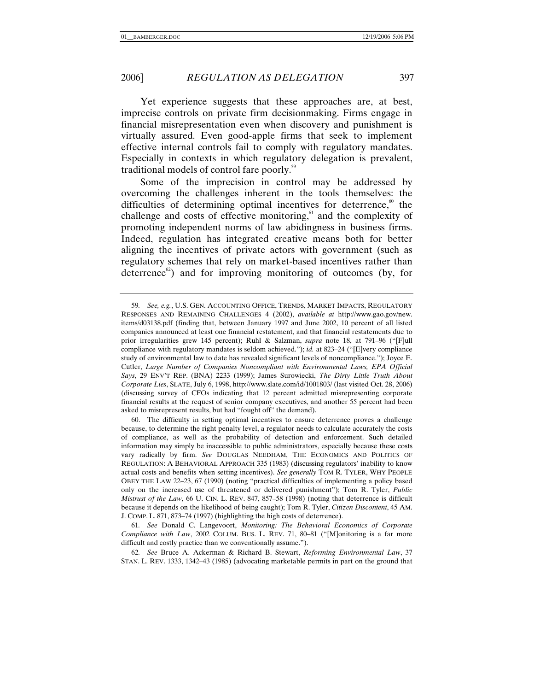Yet experience suggests that these approaches are, at best, imprecise controls on private firm decisionmaking. Firms engage in financial misrepresentation even when discovery and punishment is virtually assured. Even good-apple firms that seek to implement effective internal controls fail to comply with regulatory mandates. Especially in contexts in which regulatory delegation is prevalent, traditional models of control fare poorly.<sup>59</sup>

Some of the imprecision in control may be addressed by overcoming the challenges inherent in the tools themselves: the difficulties of determining optimal incentives for deterrence, $\delta$ <sup>0</sup> the challenge and costs of effective monitoring, $61$  and the complexity of promoting independent norms of law abidingness in business firms. Indeed, regulation has integrated creative means both for better aligning the incentives of private actors with government (such as regulatory schemes that rely on market-based incentives rather than deterrence<sup>62</sup>) and for improving monitoring of outcomes (by, for

61*. See* Donald C. Langevoort, *Monitoring: The Behavioral Economics of Corporate Compliance with Law*, 2002 COLUM. BUS. L. REV. 71, 80–81 ("[M]onitoring is a far more difficult and costly practice than we conventionally assume.").

62*. See* Bruce A. Ackerman & Richard B. Stewart, *Reforming Environmental Law*, 37 STAN. L. REV. 1333, 1342–43 (1985) (advocating marketable permits in part on the ground that

<sup>59</sup>*. See, e.g.*, U.S. GEN. ACCOUNTING OFFICE, TRENDS, MARKET IMPACTS, REGULATORY RESPONSES AND REMAINING CHALLENGES 4 (2002), *available at* http://www.gao.gov/new. items/d03138.pdf (finding that, between January 1997 and June 2002, 10 percent of all listed companies announced at least one financial restatement, and that financial restatements due to prior irregularities grew 145 percent); Ruhl & Salzman, *supra* note 18, at 791–96 ("[F]ull compliance with regulatory mandates is seldom achieved."); *id.* at 823–24 ("[E]very compliance study of environmental law to date has revealed significant levels of noncompliance."); Joyce E. Cutler, *Large Number of Companies Noncompliant with Environmental Laws, EPA Official Says*, 29 ENV'T REP. (BNA) 2233 (1999); James Surowiecki, *The Dirty Little Truth About Corporate Lies*, SLATE, July 6, 1998, http://www.slate.com/id/1001803/ (last visited Oct. 28, 2006) (discussing survey of CFOs indicating that 12 percent admitted misrepresenting corporate financial results at the request of senior company executives, and another 55 percent had been asked to misrepresent results, but had "fought off" the demand).

 <sup>60.</sup> The difficulty in setting optimal incentives to ensure deterrence proves a challenge because, to determine the right penalty level, a regulator needs to calculate accurately the costs of compliance, as well as the probability of detection and enforcement. Such detailed information may simply be inaccessible to public administrators, especially because these costs vary radically by firm. *See* DOUGLAS NEEDHAM, THE ECONOMICS AND POLITICS OF REGULATION: A BEHAVIORAL APPROACH 335 (1983) (discussing regulators' inability to know actual costs and benefits when setting incentives). *See generally* TOM R. TYLER, WHY PEOPLE OBEY THE LAW 22–23, 67 (1990) (noting "practical difficulties of implementing a policy based only on the increased use of threatened or delivered punishment"); Tom R. Tyler, *Public Mistrust of the Law*, 66 U. CIN. L. REV. 847, 857–58 (1998) (noting that deterrence is difficult because it depends on the likelihood of being caught); Tom R. Tyler, *Citizen Discontent*, 45 AM. J. COMP. L. 871, 873–74 (1997) (highlighting the high costs of deterrence).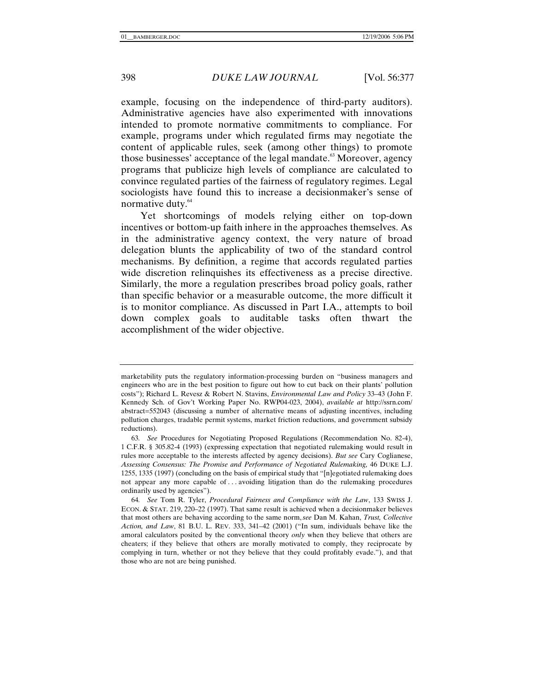example, focusing on the independence of third-party auditors). Administrative agencies have also experimented with innovations intended to promote normative commitments to compliance. For example, programs under which regulated firms may negotiate the content of applicable rules, seek (among other things) to promote those businesses' acceptance of the legal mandate.<sup>63</sup> Moreover, agency programs that publicize high levels of compliance are calculated to convince regulated parties of the fairness of regulatory regimes. Legal sociologists have found this to increase a decisionmaker's sense of normative duty.<sup>64</sup>

Yet shortcomings of models relying either on top-down incentives or bottom-up faith inhere in the approaches themselves. As in the administrative agency context, the very nature of broad delegation blunts the applicability of two of the standard control mechanisms. By definition, a regime that accords regulated parties wide discretion relinquishes its effectiveness as a precise directive. Similarly, the more a regulation prescribes broad policy goals, rather than specific behavior or a measurable outcome, the more difficult it is to monitor compliance. As discussed in Part I.A., attempts to boil down complex goals to auditable tasks often thwart the accomplishment of the wider objective.

marketability puts the regulatory information-processing burden on "business managers and engineers who are in the best position to figure out how to cut back on their plants' pollution costs"); Richard L. Revesz & Robert N. Stavins, *Environmental Law and Policy* 33–43 (John F. Kennedy Sch. of Gov't Working Paper No. RWP04-023, 2004), *available at* http://ssrn.com/ abstract=552043 (discussing a number of alternative means of adjusting incentives, including pollution charges, tradable permit systems, market friction reductions, and government subsidy reductions).

<sup>63</sup>*. See* Procedures for Negotiating Proposed Regulations (Recommendation No. 82-4), 1 C.F.R. § 305.82-4 (1993) (expressing expectation that negotiated rulemaking would result in rules more acceptable to the interests affected by agency decisions). *But see* Cary Coglianese, *Assessing Consensus: The Promise and Performance of Negotiated Rulemaking,* 46 DUKE L.J. 1255, 1335 (1997) (concluding on the basis of empirical study that "[n]egotiated rulemaking does not appear any more capable of . . . avoiding litigation than do the rulemaking procedures ordinarily used by agencies").

<sup>64</sup>*. See* Tom R. Tyler, *Procedural Fairness and Compliance with the Law*, 133 SWISS J. ECON. & STAT. 219, 220–22 (1997). That same result is achieved when a decisionmaker believes that most others are behaving according to the same norm,*see* Dan M. Kahan, *Trust, Collective Action, and Law*, 81 B.U. L. REV. 333, 341–42 (2001) ("In sum, individuals behave like the amoral calculators posited by the conventional theory *only* when they believe that others are cheaters; if they believe that others are morally motivated to comply, they reciprocate by complying in turn, whether or not they believe that they could profitably evade."), and that those who are not are being punished.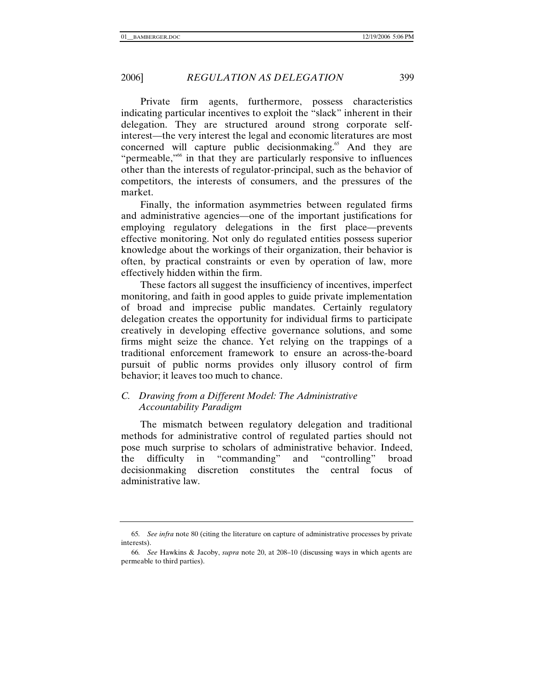Private firm agents, furthermore, possess characteristics indicating particular incentives to exploit the "slack" inherent in their delegation. They are structured around strong corporate selfinterest—the very interest the legal and economic literatures are most concerned will capture public decisionmaking.<sup>65</sup> And they are "permeable,"<sup>66</sup> in that they are particularly responsive to influences other than the interests of regulator-principal, such as the behavior of competitors, the interests of consumers, and the pressures of the market.

Finally, the information asymmetries between regulated firms and administrative agencies—one of the important justifications for employing regulatory delegations in the first place—prevents effective monitoring. Not only do regulated entities possess superior knowledge about the workings of their organization, their behavior is often, by practical constraints or even by operation of law, more effectively hidden within the firm.

These factors all suggest the insufficiency of incentives, imperfect monitoring, and faith in good apples to guide private implementation of broad and imprecise public mandates. Certainly regulatory delegation creates the opportunity for individual firms to participate creatively in developing effective governance solutions, and some firms might seize the chance. Yet relying on the trappings of a traditional enforcement framework to ensure an across-the-board pursuit of public norms provides only illusory control of firm behavior; it leaves too much to chance.

# *C. Drawing from a Different Model: The Administrative Accountability Paradigm*

The mismatch between regulatory delegation and traditional methods for administrative control of regulated parties should not pose much surprise to scholars of administrative behavior. Indeed, the difficulty in "commanding" and "controlling" broad decisionmaking discretion constitutes the central focus of administrative law.

<sup>65</sup>*. See infra* note 80 (citing the literature on capture of administrative processes by private interests).

<sup>66</sup>*. See* Hawkins & Jacoby, *supra* note 20, at 208–10 (discussing ways in which agents are permeable to third parties).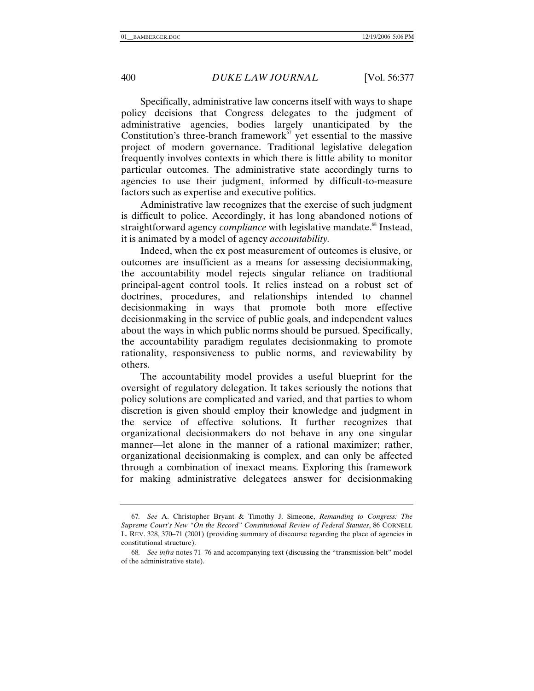Specifically, administrative law concerns itself with ways to shape policy decisions that Congress delegates to the judgment of administrative agencies, bodies largely unanticipated by the Constitution's three-branch framework<sup> $\bar{67}$ </sup> yet essential to the massive project of modern governance. Traditional legislative delegation frequently involves contexts in which there is little ability to monitor particular outcomes. The administrative state accordingly turns to agencies to use their judgment, informed by difficult-to-measure factors such as expertise and executive politics.

Administrative law recognizes that the exercise of such judgment is difficult to police. Accordingly, it has long abandoned notions of straightforward agency *compliance* with legislative mandate.<sup>68</sup> Instead, it is animated by a model of agency *accountability.*

Indeed, when the ex post measurement of outcomes is elusive, or outcomes are insufficient as a means for assessing decisionmaking, the accountability model rejects singular reliance on traditional principal-agent control tools. It relies instead on a robust set of doctrines, procedures, and relationships intended to channel decisionmaking in ways that promote both more effective decisionmaking in the service of public goals, and independent values about the ways in which public norms should be pursued. Specifically, the accountability paradigm regulates decisionmaking to promote rationality, responsiveness to public norms, and reviewability by others.

The accountability model provides a useful blueprint for the oversight of regulatory delegation. It takes seriously the notions that policy solutions are complicated and varied, and that parties to whom discretion is given should employ their knowledge and judgment in the service of effective solutions. It further recognizes that organizational decisionmakers do not behave in any one singular manner—let alone in the manner of a rational maximizer; rather, organizational decisionmaking is complex, and can only be affected through a combination of inexact means. Exploring this framework for making administrative delegatees answer for decisionmaking

<sup>67</sup>*. See* A. Christopher Bryant & Timothy J. Simeone, *Remanding to Congress: The Supreme Court's New "On the Record" Constitutional Review of Federal Statutes*, 86 CORNELL L. REV. 328, 370–71 (2001) (providing summary of discourse regarding the place of agencies in constitutional structure).

<sup>68</sup>*. See infra* notes 71–76 and accompanying text (discussing the "transmission-belt" model of the administrative state).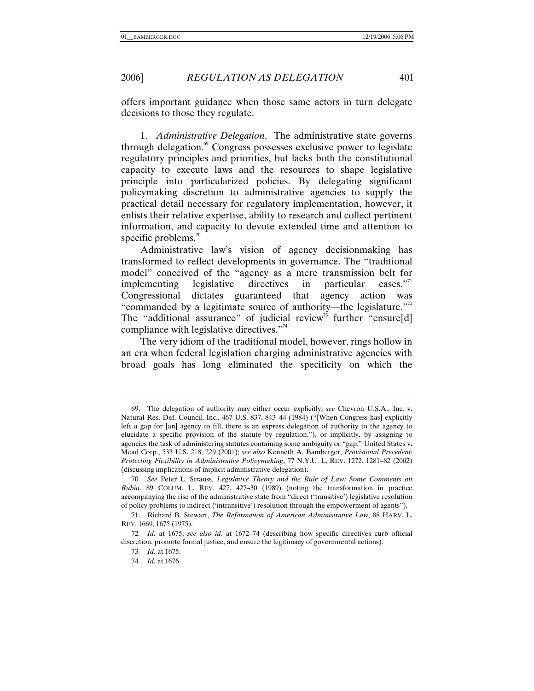offers important guidance when those same actors in turn delegate decisions to those they regulate.

1. *Administrative Delegation*. The administrative state governs through delegation.<sup>69</sup> Congress possesses exclusive power to legislate regulatory principles and priorities, but lacks both the constitutional capacity to execute laws and the resources to shape legislative principle into particularized policies. By delegating significant policymaking discretion to administrative agencies to supply the practical detail necessary for regulatory implementation, however, it enlists their relative expertise, ability to research and collect pertinent information, and capacity to devote extended time and attention to specific problems. $\frac{70}{2}$ 

Administrative law's vision of agency decisionmaking has transformed to reflect developments in governance. The "traditional model" conceived of the "agency as a mere transmission belt for implementing legislative directives in particular cases."<sup>1</sup> Congressional dictates guaranteed that agency action was "commanded by a legitimate source of authority—the legislature."<sup>72</sup> The "additional assurance" of judicial review<sup>73</sup> further "ensure[d] compliance with legislative directives."<sup>74</sup>

The very idiom of the traditional model, however, rings hollow in an era when federal legislation charging administrative agencies with broad goals has long eliminated the specificity on which the

 <sup>69.</sup> The delegation of authority may either occur explicitly, *see* Chevron U.S.A., Inc. v. Natural Res. Def. Council, Inc., 467 U.S. 837, 843–44 (1984) ("[When Congress has] explicitly left a gap for [an] agency to fill, there is an express delegation of authority to the agency to elucidate a specific provision of the statute by regulation."), or implicitly, by assigning to agencies the task of administering statutes containing some ambiguity or "gap," United States v. Mead Corp., 533 U.S. 218, 229 (2001); *see also* Kenneth A. Bamberger, *Provisional Precedent: Protecting Flexibility in Administrative Policymaking*, 77 N.Y.U. L. REV. 1272, 1281–82 (2002) (discussing implications of implicit administrative delegation).

<sup>70</sup>*. See* Peter L. Strauss, *Legislative Theory and the Rule of Law: Some Comments on Rubin*, 89 COLUM. L. REV. 427, 427–30 (1989) (noting the transformation in practice accompanying the rise of the administrative state from "direct ('transitive') legislative resolution of policy problems to indirect ('intransitive') resolution through the empowerment of agents").

 <sup>71.</sup> Richard B. Stewart, *The Reformation of American Administrative Law*, 88 HARV. L. REV. 1669, 1675 (1975).

<sup>72</sup>*. Id.* at 1675; *see also id.* at 1672–74 (describing how specific directives curb official discretion, promote formal justice, and ensure the legitimacy of governmental actions).

<sup>73</sup>*. Id.* at 1675.

<sup>74</sup>*. Id.* at 1676.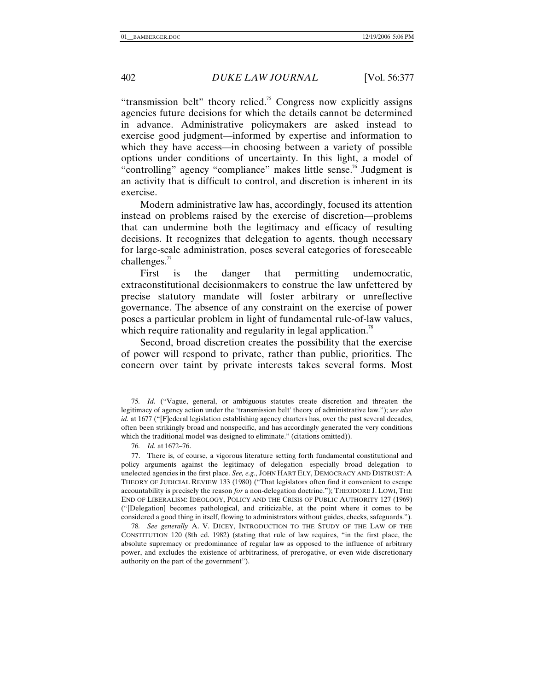"transmission belt" theory relied.<sup>75</sup> Congress now explicitly assigns agencies future decisions for which the details cannot be determined in advance. Administrative policymakers are asked instead to exercise good judgment—informed by expertise and information to which they have access—in choosing between a variety of possible options under conditions of uncertainty. In this light, a model of "controlling" agency "compliance" makes little sense.<sup>76</sup> Judgment is an activity that is difficult to control, and discretion is inherent in its exercise.

Modern administrative law has, accordingly, focused its attention instead on problems raised by the exercise of discretion—problems that can undermine both the legitimacy and efficacy of resulting decisions. It recognizes that delegation to agents, though necessary for large-scale administration, poses several categories of foreseeable challenges. $77$ 

First is the danger that permitting undemocratic, extraconstitutional decisionmakers to construe the law unfettered by precise statutory mandate will foster arbitrary or unreflective governance. The absence of any constraint on the exercise of power poses a particular problem in light of fundamental rule-of-law values, which require rationality and regularity in legal application.<sup>78</sup>

Second, broad discretion creates the possibility that the exercise of power will respond to private, rather than public, priorities. The concern over taint by private interests takes several forms. Most

<sup>75</sup>*. Id.* ("Vague, general, or ambiguous statutes create discretion and threaten the legitimacy of agency action under the 'transmission belt' theory of administrative law."); *see also id.* at 1677 ("[F]ederal legislation establishing agency charters has, over the past several decades, often been strikingly broad and nonspecific, and has accordingly generated the very conditions which the traditional model was designed to eliminate." (citations omitted)).

<sup>76</sup>*. Id.* at 1672–76.

 <sup>77.</sup> There is, of course, a vigorous literature setting forth fundamental constitutional and policy arguments against the legitimacy of delegation—especially broad delegation—to unelected agencies in the first place. *See, e.g.*, JOHN HART ELY, DEMOCRACY AND DISTRUST: A THEORY OF JUDICIAL REVIEW 133 (1980) ("That legislators often find it convenient to escape accountability is precisely the reason *for* a non-delegation doctrine."); THEODORE J. LOWI, THE END OF LIBERALISM: IDEOLOGY, POLICY AND THE CRISIS OF PUBLIC AUTHORITY 127 (1969) ("[Delegation] becomes pathological, and criticizable, at the point where it comes to be considered a good thing in itself, flowing to administrators without guides, checks, safeguards.").

<sup>78</sup>*. See generally* A. V. DICEY, INTRODUCTION TO THE STUDY OF THE LAW OF THE CONSTITUTION 120 (8th ed. 1982) (stating that rule of law requires, "in the first place, the absolute supremacy or predominance of regular law as opposed to the influence of arbitrary power, and excludes the existence of arbitrariness, of prerogative, or even wide discretionary authority on the part of the government").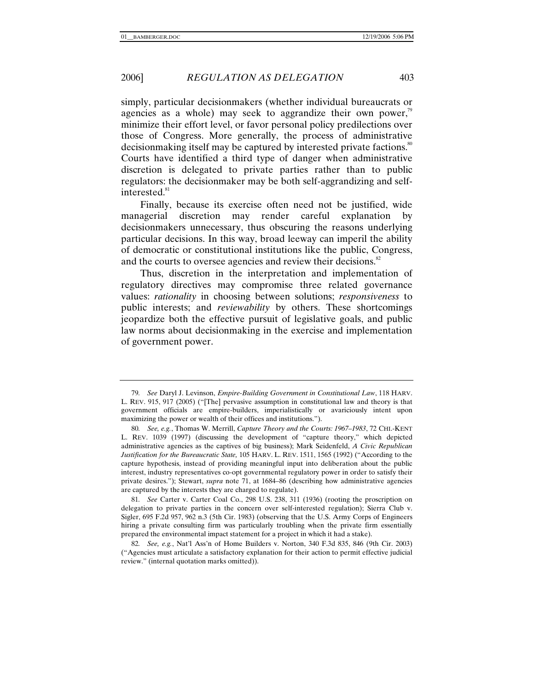simply, particular decisionmakers (whether individual bureaucrats or agencies as a whole) may seek to aggrandize their own power, $\beta$ minimize their effort level, or favor personal policy predilections over those of Congress. More generally, the process of administrative decisionmaking itself may be captured by interested private factions.<sup>80</sup> Courts have identified a third type of danger when administrative discretion is delegated to private parties rather than to public regulators: the decisionmaker may be both self-aggrandizing and selfinterested.<sup>81</sup>

Finally, because its exercise often need not be justified, wide managerial discretion may render careful explanation by decisionmakers unnecessary, thus obscuring the reasons underlying particular decisions. In this way, broad leeway can imperil the ability of democratic or constitutional institutions like the public, Congress, and the courts to oversee agencies and review their decisions.<sup>82</sup>

Thus, discretion in the interpretation and implementation of regulatory directives may compromise three related governance values: *rationality* in choosing between solutions; *responsiveness* to public interests; and *reviewability* by others. These shortcomings jeopardize both the effective pursuit of legislative goals, and public law norms about decisionmaking in the exercise and implementation of government power.

81*. See* Carter v. Carter Coal Co., 298 U.S. 238, 311 (1936) (rooting the proscription on delegation to private parties in the concern over self-interested regulation); Sierra Club v. Sigler, 695 F.2d 957, 962 n.3 (5th Cir. 1983) (observing that the U.S. Army Corps of Engineers hiring a private consulting firm was particularly troubling when the private firm essentially prepared the environmental impact statement for a project in which it had a stake).

<sup>79</sup>*. See* Daryl J. Levinson, *Empire-Building Government in Constitutional Law*, 118 HARV. L. REV. 915, 917 (2005) ("[The] pervasive assumption in constitutional law and theory is that government officials are empire-builders, imperialistically or avariciously intent upon maximizing the power or wealth of their offices and institutions.").

<sup>80</sup>*. See, e.g.*, Thomas W. Merrill, *Capture Theory and the Courts: 1967–1983*, 72 CHI.-KENT L. REV. 1039 (1997) (discussing the development of "capture theory," which depicted administrative agencies as the captives of big business); Mark Seidenfeld, *A Civic Republican Justification for the Bureaucratic State,* 105 HARV. L. REV. 1511, 1565 (1992) ("According to the capture hypothesis, instead of providing meaningful input into deliberation about the public interest, industry representatives co-opt governmental regulatory power in order to satisfy their private desires."); Stewart, *supra* note 71, at 1684–86 (describing how administrative agencies are captured by the interests they are charged to regulate).

<sup>82</sup>*. See, e.g.*, Nat'l Ass'n of Home Builders v. Norton, 340 F.3d 835, 846 (9th Cir. 2003) ("Agencies must articulate a satisfactory explanation for their action to permit effective judicial review." (internal quotation marks omitted)).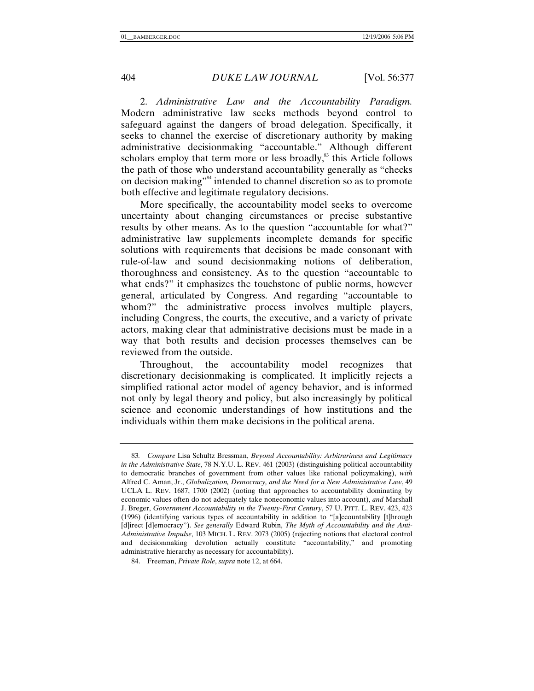2. *Administrative Law and the Accountability Paradigm.* Modern administrative law seeks methods beyond control to safeguard against the dangers of broad delegation. Specifically, it seeks to channel the exercise of discretionary authority by making administrative decisionmaking "accountable." Although different scholars employ that term more or less broadly, $^{83}$  this Article follows the path of those who understand accountability generally as "checks on decision making"<sup>84</sup> intended to channel discretion so as to promote both effective and legitimate regulatory decisions.

More specifically, the accountability model seeks to overcome uncertainty about changing circumstances or precise substantive results by other means. As to the question "accountable for what?" administrative law supplements incomplete demands for specific solutions with requirements that decisions be made consonant with rule-of-law and sound decisionmaking notions of deliberation, thoroughness and consistency. As to the question "accountable to what ends?" it emphasizes the touchstone of public norms, however general, articulated by Congress. And regarding "accountable to whom?" the administrative process involves multiple players, including Congress, the courts, the executive, and a variety of private actors, making clear that administrative decisions must be made in a way that both results and decision processes themselves can be reviewed from the outside.

Throughout, the accountability model recognizes that discretionary decisionmaking is complicated. It implicitly rejects a simplified rational actor model of agency behavior, and is informed not only by legal theory and policy, but also increasingly by political science and economic understandings of how institutions and the individuals within them make decisions in the political arena.

<sup>83</sup>*. Compare* Lisa Schultz Bressman, *Beyond Accountability: Arbitrariness and Legitimacy in the Administrative State*, 78 N.Y.U. L. REV. 461 (2003) (distinguishing political accountability to democratic branches of government from other values like rational policymaking), *with* Alfred C. Aman, Jr., *Globalization, Democracy, and the Need for a New Administrative Law*, 49 UCLA L. REV. 1687, 1700 (2002) (noting that approaches to accountability dominating by economic values often do not adequately take noneconomic values into account), *and* Marshall J. Breger, *Government Accountability in the Twenty-First Century*, 57 U. PITT. L. REV. 423, 423 (1996) (identifying various types of accountability in addition to "[a]ccountability [t]hrough [d]irect [d]emocracy"). *See generally* Edward Rubin, *The Myth of Accountability and the Anti-Administrative Impulse*, 103 MICH. L. REV. 2073 (2005) (rejecting notions that electoral control and decisionmaking devolution actually constitute "accountability," and promoting administrative hierarchy as necessary for accountability).

 <sup>84.</sup> Freeman, *Private Role*, *supra* note 12, at 664.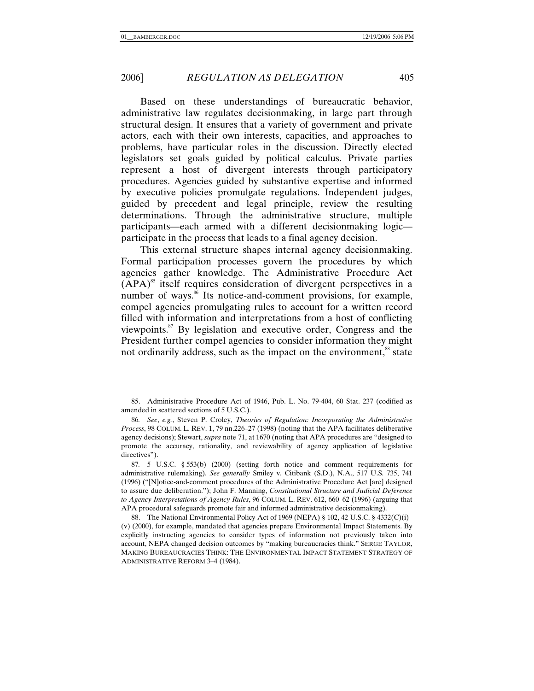Based on these understandings of bureaucratic behavior, administrative law regulates decisionmaking, in large part through structural design. It ensures that a variety of government and private actors, each with their own interests, capacities, and approaches to problems, have particular roles in the discussion. Directly elected legislators set goals guided by political calculus. Private parties represent a host of divergent interests through participatory procedures. Agencies guided by substantive expertise and informed by executive policies promulgate regulations. Independent judges, guided by precedent and legal principle, review the resulting determinations. Through the administrative structure, multiple participants—each armed with a different decisionmaking logic participate in the process that leads to a final agency decision.

This external structure shapes internal agency decisionmaking. Formal participation processes govern the procedures by which agencies gather knowledge. The Administrative Procedure Act  $(APA)^{85}$  itself requires consideration of divergent perspectives in a number of ways.<sup>86</sup> Its notice-and-comment provisions, for example, compel agencies promulgating rules to account for a written record filled with information and interpretations from a host of conflicting viewpoints.87 By legislation and executive order, Congress and the President further compel agencies to consider information they might not ordinarily address, such as the impact on the environment,<sup>88</sup> state

 <sup>85.</sup> Administrative Procedure Act of 1946, Pub. L. No. 79-404, 60 Stat. 237 (codified as amended in scattered sections of 5 U.S.C.).

<sup>86</sup>*. See*, *e.g.*, Steven P. Croley, *Theories of Regulation: Incorporating the Administrative Process*, 98 COLUM. L. REV. 1, 79 nn.226–27 (1998) (noting that the APA facilitates deliberative agency decisions); Stewart, *supra* note 71, at 1670 (noting that APA procedures are "designed to promote the accuracy, rationality, and reviewability of agency application of legislative directives").

<sup>87</sup>*.* 5 U.S.C. § 553(b) (2000) (setting forth notice and comment requirements for administrative rulemaking). *See generally* Smiley v. Citibank (S.D.), N.A., 517 U.S. 735, 741 (1996) ("[N]otice-and-comment procedures of the Administrative Procedure Act [are] designed to assure due deliberation."); John F. Manning, *Constitutional Structure and Judicial Deference to Agency Interpretations of Agency Rules*, 96 COLUM. L. REV. 612, 660–62 (1996) (arguing that APA procedural safeguards promote fair and informed administrative decisionmaking).

 <sup>88.</sup> The National Environmental Policy Act of 1969 (NEPA) § 102, 42 U.S.C. § 4332(C)(i)– (v) (2000), for example, mandated that agencies prepare Environmental Impact Statements. By explicitly instructing agencies to consider types of information not previously taken into account, NEPA changed decision outcomes by "making bureaucracies think." SERGE TAYLOR, MAKING BUREAUCRACIES THINK: THE ENVIRONMENTAL IMPACT STATEMENT STRATEGY OF ADMINISTRATIVE REFORM 3–4 (1984).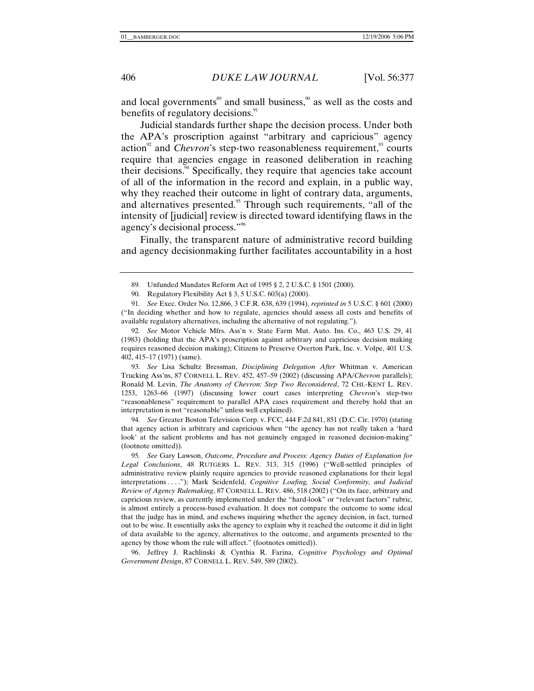and local governments $\delta$ <sup>89</sup> and small business, $\delta$ <sup>90</sup> as well as the costs and benefits of regulatory decisions.<sup>91</sup>

Judicial standards further shape the decision process. Under both the APA's proscription against "arbitrary and capricious" agency action<sup>92</sup> and *Chevron*'s step-two reasonableness requirement,<sup>93</sup> courts require that agencies engage in reasoned deliberation in reaching their decisions. $94$  Specifically, they require that agencies take account of all of the information in the record and explain, in a public way, why they reached their outcome in light of contrary data, arguments, and alternatives presented.<sup>95</sup> Through such requirements, "all of the intensity of [judicial] review is directed toward identifying flaws in the agency's decisional process."96

Finally, the transparent nature of administrative record building and agency decisionmaking further facilitates accountability in a host

92*. See* Motor Vehicle Mfrs. Ass'n v. State Farm Mut. Auto. Ins. Co., 463 U.S. 29, 41 (1983) (holding that the APA's proscription against arbitrary and capricious decision making requires reasoned decision making); Citizens to Preserve Overton Park, Inc. v. Volpe, 401 U.S. 402, 415–17 (1971) (same).

93*. See* Lisa Schultz Bressman, *Disciplining Delegation After* Whitman v. American Trucking Ass'ns, 87 CORNELL L. REV. 452, 457–59 (2002) (discussing APA/*Chevron* parallels); Ronald M. Levin, *The Anatomy of Chevron: Step Two Reconsidered*, 72 CHI.-KENT L. REV. 1253, 1263–66 (1997) (discussing lower court cases interpreting *Chevron*'s step-two "reasonableness" requirement to parallel APA cases requirement and thereby hold that an interpretation is not "reasonable" unless well explained).

94*. See* Greater Boston Television Corp. v. FCC, 444 F.2d 841, 851 (D.C. Cir. 1970) (stating that agency action is arbitrary and capricious when "the agency has not really taken a 'hard look' at the salient problems and has not genuinely engaged in reasoned decision-making" (footnote omitted)).

 96. Jeffrey J. Rachlinski & Cynthia R. Farina, *Cognitive Psychology and Optimal Government Design*, 87 CORNELL L. REV. 549, 589 (2002).

<sup>89</sup>*.* Unfunded Mandates Reform Act of 1995 § 2, 2 U.S.C. § 1501 (2000).

<sup>90</sup>*.* Regulatory Flexibility Act § 3, 5 U.S.C. 603(a) (2000).

<sup>91</sup>*. See* Exec. Order No. 12,866, 3 C.F.R. 638, 639 (1994), *reprinted in* 5 U.S.C. § 601 (2000) ("In deciding whether and how to regulate, agencies should assess all costs and benefits of available regulatory alternatives, including the alternative of not regulating.").

<sup>95</sup>*. See* Gary Lawson, *Outcome, Procedure and Process: Agency Duties of Explanation for Legal Conclusions*, 48 RUTGERS L. REV. 313, 315 (1996) ("Well-settled principles of administrative review plainly require agencies to provide reasoned explanations for their legal interpretations . . . ."); Mark Seidenfeld, *Cognitive Loafing, Social Conformity, and Judicial Review of Agency Rulemaking*, 87 CORNELL L. REV. 486, 518 (2002) ("On its face, arbitrary and capricious review, as currently implemented under the "hard-look" or "relevant factors" rubric, is almost entirely a process-based evaluation. It does not compare the outcome to some ideal that the judge has in mind, and eschews inquiring whether the agency decision, in fact, turned out to be wise. It essentially asks the agency to explain why it reached the outcome it did in light of data available to the agency, alternatives to the outcome, and arguments presented to the agency by those whom the rule will affect." (footnotes omitted)).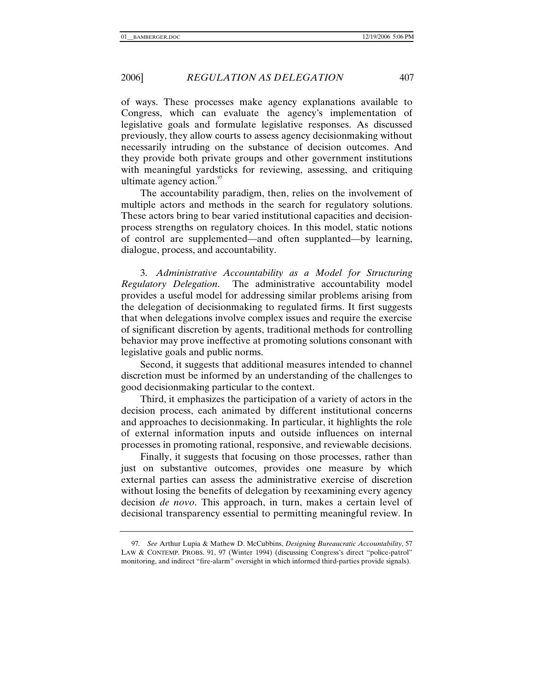of ways. These processes make agency explanations available to Congress, which can evaluate the agency's implementation of legislative goals and formulate legislative responses. As discussed previously, they allow courts to assess agency decisionmaking without necessarily intruding on the substance of decision outcomes. And they provide both private groups and other government institutions with meaningful yardsticks for reviewing, assessing, and critiquing ultimate agency action. $\frac{97}{2}$ 

The accountability paradigm, then, relies on the involvement of multiple actors and methods in the search for regulatory solutions. These actors bring to bear varied institutional capacities and decisionprocess strengths on regulatory choices. In this model, static notions of control are supplemented—and often supplanted—by learning, dialogue, process, and accountability.

3. *Administrative Accountability as a Model for Structuring Regulatory Delegation*. The administrative accountability model provides a useful model for addressing similar problems arising from the delegation of decisionmaking to regulated firms. It first suggests that when delegations involve complex issues and require the exercise of significant discretion by agents, traditional methods for controlling behavior may prove ineffective at promoting solutions consonant with legislative goals and public norms.

Second, it suggests that additional measures intended to channel discretion must be informed by an understanding of the challenges to good decisionmaking particular to the context.

Third, it emphasizes the participation of a variety of actors in the decision process, each animated by different institutional concerns and approaches to decisionmaking. In particular, it highlights the role of external information inputs and outside influences on internal processes in promoting rational, responsive, and reviewable decisions.

Finally, it suggests that focusing on those processes, rather than just on substantive outcomes, provides one measure by which external parties can assess the administrative exercise of discretion without losing the benefits of delegation by reexamining every agency decision *de novo*. This approach, in turn, makes a certain level of decisional transparency essential to permitting meaningful review. In

<sup>97</sup>*. See* Arthur Lupia & Mathew D. McCubbins, *Designing Bureaucratic Accountability*, 57 LAW & CONTEMP. PROBS. 91, 97 (Winter 1994) (discussing Congress's direct "police-patrol" monitoring, and indirect "fire-alarm" oversight in which informed third-parties provide signals).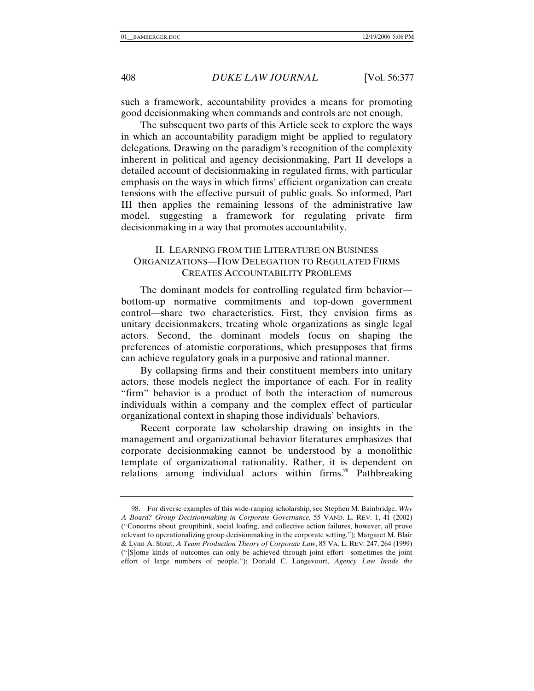such a framework, accountability provides a means for promoting good decisionmaking when commands and controls are not enough.

The subsequent two parts of this Article seek to explore the ways in which an accountability paradigm might be applied to regulatory delegations. Drawing on the paradigm's recognition of the complexity inherent in political and agency decisionmaking, Part II develops a detailed account of decisionmaking in regulated firms, with particular emphasis on the ways in which firms' efficient organization can create tensions with the effective pursuit of public goals. So informed, Part III then applies the remaining lessons of the administrative law model, suggesting a framework for regulating private firm decisionmaking in a way that promotes accountability.

# II. LEARNING FROM THE LITERATURE ON BUSINESS ORGANIZATIONS—HOW DELEGATION TO REGULATED FIRMS CREATES ACCOUNTABILITY PROBLEMS

The dominant models for controlling regulated firm behavior bottom-up normative commitments and top-down government control—share two characteristics. First, they envision firms as unitary decisionmakers, treating whole organizations as single legal actors. Second, the dominant models focus on shaping the preferences of atomistic corporations, which presupposes that firms can achieve regulatory goals in a purposive and rational manner.

By collapsing firms and their constituent members into unitary actors, these models neglect the importance of each. For in reality "firm" behavior is a product of both the interaction of numerous individuals within a company and the complex effect of particular organizational context in shaping those individuals' behaviors.

Recent corporate law scholarship drawing on insights in the management and organizational behavior literatures emphasizes that corporate decisionmaking cannot be understood by a monolithic template of organizational rationality. Rather, it is dependent on relations among individual actors within firms.<sup>98</sup> Pathbreaking

 <sup>98.</sup> For diverse examples of this wide-ranging scholarship, see Stephen M. Bainbridge, *Why A Board? Group Decisionmaking in Corporate Governance*, 55 VAND. L. REV. 1, 41 (2002) ("Concerns about groupthink, social loafing, and collective action failures, however, all prove relevant to operationalizing group decisionmaking in the corporate setting."); Margaret M. Blair & Lynn A. Stout, *A Team Production Theory of Corporate Law*, 85 VA. L. REV. 247, 264 (1999) ("[S]ome kinds of outcomes can only be achieved through joint effort—sometimes the joint effort of large numbers of people."); Donald C. Langevoort, *Agency Law Inside the*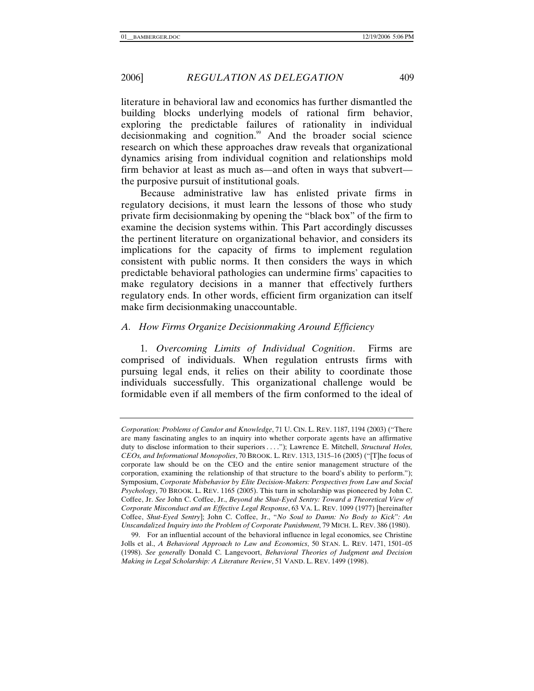literature in behavioral law and economics has further dismantled the building blocks underlying models of rational firm behavior, exploring the predictable failures of rationality in individual decisionmaking and cognition.<sup>99</sup> And the broader social science research on which these approaches draw reveals that organizational dynamics arising from individual cognition and relationships mold firm behavior at least as much as—and often in ways that subvert the purposive pursuit of institutional goals.

Because administrative law has enlisted private firms in regulatory decisions, it must learn the lessons of those who study private firm decisionmaking by opening the "black box" of the firm to examine the decision systems within. This Part accordingly discusses the pertinent literature on organizational behavior, and considers its implications for the capacity of firms to implement regulation consistent with public norms. It then considers the ways in which predictable behavioral pathologies can undermine firms' capacities to make regulatory decisions in a manner that effectively furthers regulatory ends. In other words, efficient firm organization can itself make firm decisionmaking unaccountable.

## *A. How Firms Organize Decisionmaking Around Efficiency*

1. *Overcoming Limits of Individual Cognition*. Firms are comprised of individuals. When regulation entrusts firms with pursuing legal ends, it relies on their ability to coordinate those individuals successfully. This organizational challenge would be formidable even if all members of the firm conformed to the ideal of

*Corporation: Problems of Candor and Knowledge*, 71 U. CIN. L. REV. 1187, 1194 (2003) ("There are many fascinating angles to an inquiry into whether corporate agents have an affirmative duty to disclose information to their superiors . . . ."); Lawrence E. Mitchell, *Structural Holes, CEOs, and Informational Monopolies*, 70 BROOK. L. REV. 1313, 1315–16 (2005) ("[T]he focus of corporate law should be on the CEO and the entire senior management structure of the corporation, examining the relationship of that structure to the board's ability to perform."); Symposium, *Corporate Misbehavior by Elite Decision-Makers: Perspectives from Law and Social Psychology*, 70 BROOK. L. REV. 1165 (2005). This turn in scholarship was pioneered by John C. Coffee, Jr. *See* John C. Coffee, Jr., *Beyond the Shut-Eyed Sentry: Toward a Theoretical View of Corporate Misconduct and an Effective Legal Response*, 63 VA. L. REV. 1099 (1977) [hereinafter Coffee, *Shut-Eyed Sentry*]; John C. Coffee, Jr., "*No Soul to Damn: No Body to Kick*"*: An Unscandalized Inquiry into the Problem of Corporate Punishment*, 79 MICH. L. REV. 386 (1980).

 <sup>99.</sup> For an influential account of the behavioral influence in legal economics, see Christine Jolls et al., *A Behavioral Approach to Law and Economics*, 50 STAN. L. REV. 1471, 1501–05 (1998). *See generally* Donald C. Langevoort, *Behavioral Theories of Judgment and Decision Making in Legal Scholarship: A Literature Review*, 51 VAND. L. REV. 1499 (1998).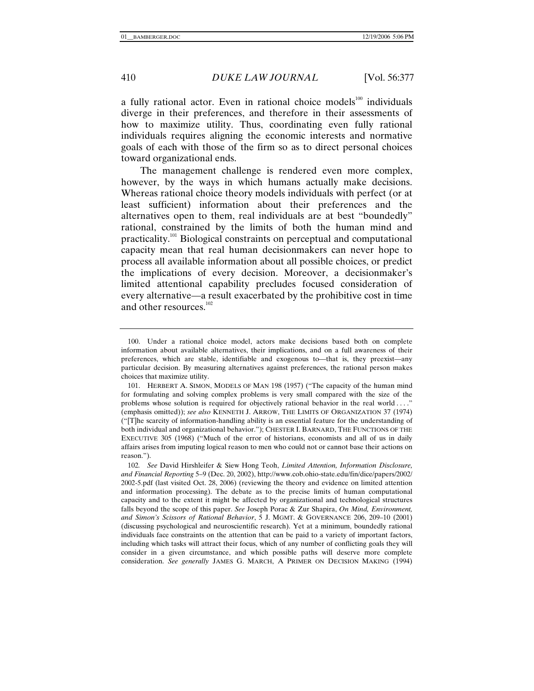a fully rational actor. Even in rational choice models $100$  individuals diverge in their preferences, and therefore in their assessments of how to maximize utility. Thus, coordinating even fully rational individuals requires aligning the economic interests and normative goals of each with those of the firm so as to direct personal choices toward organizational ends.

The management challenge is rendered even more complex, however, by the ways in which humans actually make decisions. Whereas rational choice theory models individuals with perfect (or at least sufficient) information about their preferences and the alternatives open to them, real individuals are at best "boundedly" rational, constrained by the limits of both the human mind and practicality.101 Biological constraints on perceptual and computational capacity mean that real human decisionmakers can never hope to process all available information about all possible choices, or predict the implications of every decision. Moreover, a decisionmaker's limited attentional capability precludes focused consideration of every alternative—a result exacerbated by the prohibitive cost in time and other resources.<sup>102</sup>

 <sup>100.</sup> Under a rational choice model, actors make decisions based both on complete information about available alternatives, their implications, and on a full awareness of their preferences, which are stable, identifiable and exogenous to—that is, they preexist—any particular decision. By measuring alternatives against preferences, the rational person makes choices that maximize utility.

 <sup>101.</sup> HERBERT A. SIMON, MODELS OF MAN 198 (1957) ("The capacity of the human mind for formulating and solving complex problems is very small compared with the size of the problems whose solution is required for objectively rational behavior in the real world . . . ." (emphasis omitted)); *see also* KENNETH J. ARROW, THE LIMITS OF ORGANIZATION 37 (1974) ("[T]he scarcity of information-handling ability is an essential feature for the understanding of both individual and organizational behavior."); CHESTER I. BARNARD, THE FUNCTIONS OF THE EXECUTIVE 305 (1968) ("Much of the error of historians, economists and all of us in daily affairs arises from imputing logical reason to men who could not or cannot base their actions on reason.").

<sup>102</sup>*. See* David Hirshleifer & Siew Hong Teoh, *Limited Attention, Information Disclosure, and Financial Reporting* 5–9 (Dec. 20, 2002), http://www.cob.ohio-state.edu/fin/dice/papers/2002/ 2002-5.pdf (last visited Oct. 28, 2006) (reviewing the theory and evidence on limited attention and information processing). The debate as to the precise limits of human computational capacity and to the extent it might be affected by organizational and technological structures falls beyond the scope of this paper. *See* Joseph Porac & Zur Shapira, *On Mind, Environment, and Simon's Scissors of Rational Behavior*, 5 J. MGMT. & GOVERNANCE 206, 209–10 (2001) (discussing psychological and neuroscientific research). Yet at a minimum, boundedly rational individuals face constraints on the attention that can be paid to a variety of important factors, including which tasks will attract their focus, which of any number of conflicting goals they will consider in a given circumstance, and which possible paths will deserve more complete consideration. *See generally* JAMES G. MARCH, A PRIMER ON DECISION MAKING (1994)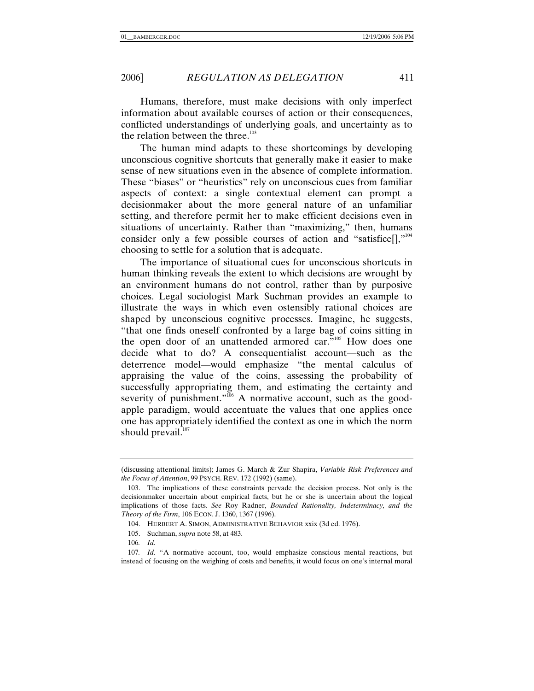Humans, therefore, must make decisions with only imperfect information about available courses of action or their consequences, conflicted understandings of underlying goals, and uncertainty as to the relation between the three. $103$ 

The human mind adapts to these shortcomings by developing unconscious cognitive shortcuts that generally make it easier to make sense of new situations even in the absence of complete information. These "biases" or "heuristics" rely on unconscious cues from familiar aspects of context: a single contextual element can prompt a decisionmaker about the more general nature of an unfamiliar setting, and therefore permit her to make efficient decisions even in situations of uncertainty. Rather than "maximizing," then, humans consider only a few possible courses of action and "satisfice[],"<sup>104</sup> choosing to settle for a solution that is adequate.

The importance of situational cues for unconscious shortcuts in human thinking reveals the extent to which decisions are wrought by an environment humans do not control, rather than by purposive choices. Legal sociologist Mark Suchman provides an example to illustrate the ways in which even ostensibly rational choices are shaped by unconscious cognitive processes. Imagine, he suggests, "that one finds oneself confronted by a large bag of coins sitting in the open door of an unattended armored car."105 How does one decide what to do? A consequentialist account—such as the deterrence model—would emphasize "the mental calculus of appraising the value of the coins, assessing the probability of successfully appropriating them, and estimating the certainty and severity of punishment."<sup>106</sup> A normative account, such as the goodapple paradigm, would accentuate the values that one applies once one has appropriately identified the context as one in which the norm should prevail. $107$ 

<sup>(</sup>discussing attentional limits); James G. March & Zur Shapira, *Variable Risk Preferences and the Focus of Attention*, 99 PSYCH. REV. 172 (1992) (same).

 <sup>103.</sup> The implications of these constraints pervade the decision process. Not only is the decisionmaker uncertain about empirical facts, but he or she is uncertain about the logical implications of those facts. *See* Roy Radner, *Bounded Rationality, Indeterminacy, and the Theory of the Firm*, 106 ECON. J. 1360, 1367 (1996).

 <sup>104.</sup> HERBERT A. SIMON, ADMINISTRATIVE BEHAVIOR xxix (3d ed. 1976).

 <sup>105.</sup> Suchman, *supra* note 58, at 483.

<sup>106</sup>*. Id.*

<sup>107</sup>*. Id.* "A normative account, too, would emphasize conscious mental reactions, but instead of focusing on the weighing of costs and benefits, it would focus on one's internal moral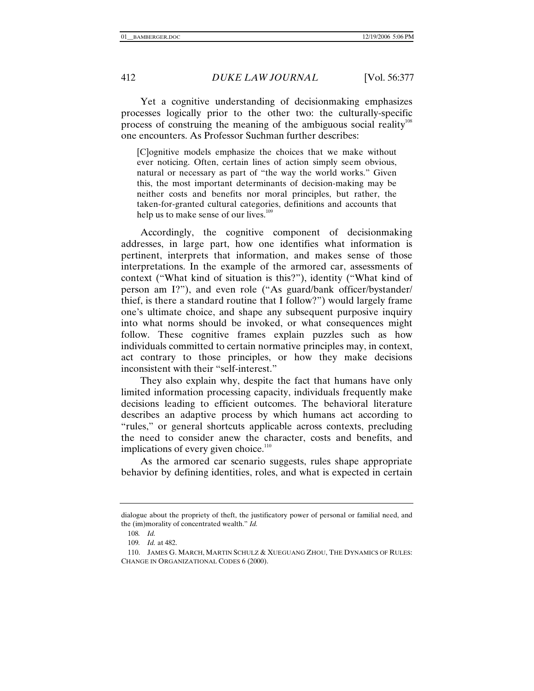Yet a cognitive understanding of decisionmaking emphasizes processes logically prior to the other two: the culturally-specific process of construing the meaning of the ambiguous social reality<sup>108</sup> one encounters. As Professor Suchman further describes:

[C]ognitive models emphasize the choices that we make without ever noticing. Often, certain lines of action simply seem obvious, natural or necessary as part of "the way the world works." Given this, the most important determinants of decision-making may be neither costs and benefits nor moral principles, but rather, the taken-for-granted cultural categories, definitions and accounts that help us to make sense of our lives.<sup>109</sup>

Accordingly, the cognitive component of decisionmaking addresses, in large part, how one identifies what information is pertinent, interprets that information, and makes sense of those interpretations. In the example of the armored car, assessments of context ("What kind of situation is this?"), identity ("What kind of person am I?"), and even role ("As guard/bank officer/bystander/ thief, is there a standard routine that I follow?") would largely frame one's ultimate choice, and shape any subsequent purposive inquiry into what norms should be invoked, or what consequences might follow. These cognitive frames explain puzzles such as how individuals committed to certain normative principles may, in context, act contrary to those principles, or how they make decisions inconsistent with their "self-interest."

They also explain why, despite the fact that humans have only limited information processing capacity, individuals frequently make decisions leading to efficient outcomes. The behavioral literature describes an adaptive process by which humans act according to "rules," or general shortcuts applicable across contexts, precluding the need to consider anew the character, costs and benefits, and implications of every given choice. $110$ 

As the armored car scenario suggests, rules shape appropriate behavior by defining identities, roles, and what is expected in certain

dialogue about the propriety of theft, the justificatory power of personal or familial need, and the (im)morality of concentrated wealth." *Id.*

<sup>108</sup>*. Id.*

<sup>109</sup>*. Id.* at 482.

 <sup>110.</sup> JAMES G. MARCH, MARTIN SCHULZ & XUEGUANG ZHOU, THE DYNAMICS OF RULES: CHANGE IN ORGANIZATIONAL CODES 6 (2000).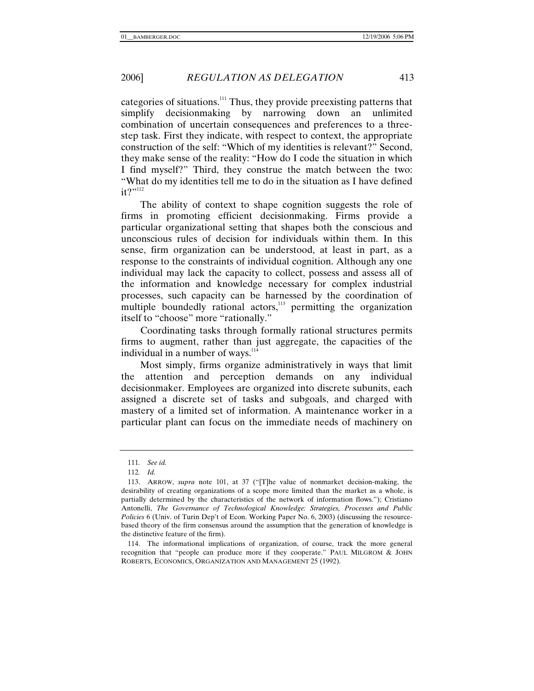categories of situations.<sup>111</sup> Thus, they provide preexisting patterns that simplify decisionmaking by narrowing down an unlimited combination of uncertain consequences and preferences to a threestep task. First they indicate, with respect to context, the appropriate construction of the self: "Which of my identities is relevant?" Second, they make sense of the reality: "How do I code the situation in which I find myself?" Third, they construe the match between the two: "What do my identities tell me to do in the situation as I have defined  $it?$ <sup>"112</sup>

The ability of context to shape cognition suggests the role of firms in promoting efficient decisionmaking. Firms provide a particular organizational setting that shapes both the conscious and unconscious rules of decision for individuals within them. In this sense, firm organization can be understood, at least in part, as a response to the constraints of individual cognition. Although any one individual may lack the capacity to collect, possess and assess all of the information and knowledge necessary for complex industrial processes, such capacity can be harnessed by the coordination of multiple boundedly rational actors,<sup>113</sup> permitting the organization itself to "choose" more "rationally."

Coordinating tasks through formally rational structures permits firms to augment, rather than just aggregate, the capacities of the individual in a number of ways. $114$ 

Most simply, firms organize administratively in ways that limit the attention and perception demands on any individual decisionmaker. Employees are organized into discrete subunits, each assigned a discrete set of tasks and subgoals, and charged with mastery of a limited set of information. A maintenance worker in a particular plant can focus on the immediate needs of machinery on

<sup>111</sup>*. See id.*

<sup>112</sup>*. Id.*

 <sup>113.</sup> ARROW, *supra* note 101, at 37 ("[T]he value of nonmarket decision-making, the desirability of creating organizations of a scope more limited than the market as a whole, is partially determined by the characteristics of the network of information flows."); Cristiano Antonelli, *The Governance of Technological Knowledge: Strategies, Processes and Public Policies* 6 (Univ. of Turin Dep't of Econ. Working Paper No. 6, 2003) (discussing the resourcebased theory of the firm consensus around the assumption that the generation of knowledge is the distinctive feature of the firm).

 <sup>114.</sup> The informational implications of organization, of course, track the more general recognition that "people can produce more if they cooperate." PAUL MILGROM & JOHN ROBERTS, ECONOMICS, ORGANIZATION AND MANAGEMENT 25 (1992).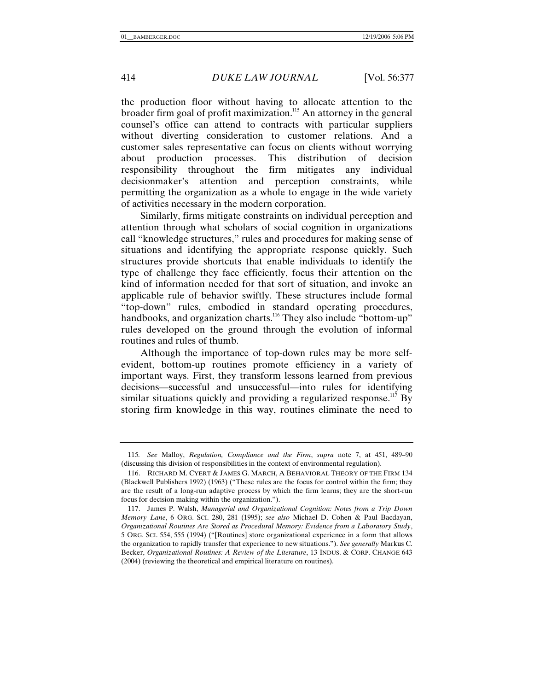the production floor without having to allocate attention to the broader firm goal of profit maximization.<sup>115</sup> An attorney in the general counsel's office can attend to contracts with particular suppliers without diverting consideration to customer relations. And a customer sales representative can focus on clients without worrying about production processes. This distribution of decision responsibility throughout the firm mitigates any individual decisionmaker's attention and perception constraints, while permitting the organization as a whole to engage in the wide variety of activities necessary in the modern corporation.

Similarly, firms mitigate constraints on individual perception and attention through what scholars of social cognition in organizations call "knowledge structures," rules and procedures for making sense of situations and identifying the appropriate response quickly. Such structures provide shortcuts that enable individuals to identify the type of challenge they face efficiently, focus their attention on the kind of information needed for that sort of situation, and invoke an applicable rule of behavior swiftly. These structures include formal "top-down" rules, embodied in standard operating procedures, handbooks, and organization charts.<sup>116</sup> They also include "bottom-up" rules developed on the ground through the evolution of informal routines and rules of thumb.

Although the importance of top-down rules may be more selfevident, bottom-up routines promote efficiency in a variety of important ways. First, they transform lessons learned from previous decisions—successful and unsuccessful—into rules for identifying similar situations quickly and providing a regularized response.<sup>117</sup> By storing firm knowledge in this way, routines eliminate the need to

<sup>115</sup>*. See* Malloy, *Regulation, Compliance and the Firm*, *supra* note 7, at 451, 489–90 (discussing this division of responsibilities in the context of environmental regulation).

 <sup>116.</sup> RICHARD M. CYERT & JAMES G. MARCH, A BEHAVIORAL THEORY OF THE FIRM 134 (Blackwell Publishers 1992) (1963) ("These rules are the focus for control within the firm; they are the result of a long-run adaptive process by which the firm learns; they are the short-run focus for decision making within the organization.").

 <sup>117.</sup> James P. Walsh, *Managerial and Organizational Cognition: Notes from a Trip Down Memory Lane*, 6 ORG. SCI. 280, 281 (1995); *see also* Michael D. Cohen & Paul Bacdayan, *Organizational Routines Are Stored as Procedural Memory: Evidence from a Laboratory Study*, 5 ORG. SCI. 554, 555 (1994) ("[Routines] store organizational experience in a form that allows the organization to rapidly transfer that experience to new situations."). *See generally* Markus C. Becker, *Organizational Routines: A Review of the Literature*, 13 INDUS. & CORP. CHANGE 643 (2004) (reviewing the theoretical and empirical literature on routines).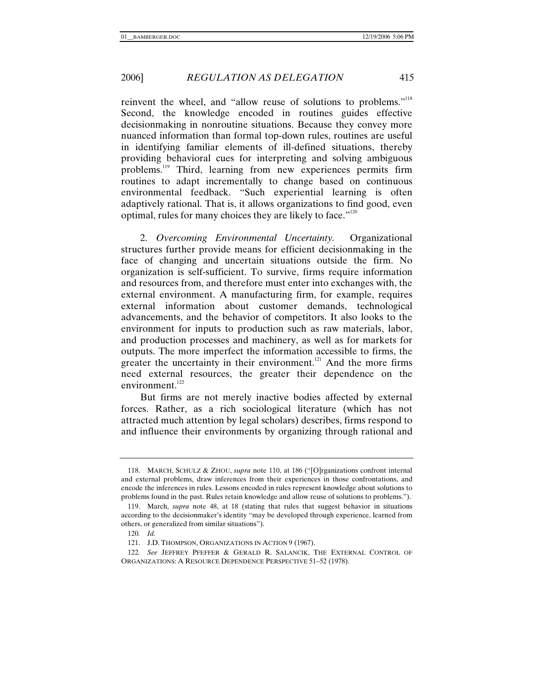reinvent the wheel, and "allow reuse of solutions to problems."118 Second, the knowledge encoded in routines guides effective decisionmaking in nonroutine situations. Because they convey more nuanced information than formal top-down rules, routines are useful in identifying familiar elements of ill-defined situations, thereby providing behavioral cues for interpreting and solving ambiguous problems.119 Third, learning from new experiences permits firm routines to adapt incrementally to change based on continuous environmental feedback. "Such experiential learning is often adaptively rational. That is, it allows organizations to find good, even optimal, rules for many choices they are likely to face."<sup>120</sup>

2. *Overcoming Environmental Uncertainty.* Organizational structures further provide means for efficient decisionmaking in the face of changing and uncertain situations outside the firm. No organization is self-sufficient. To survive, firms require information and resources from, and therefore must enter into exchanges with, the external environment. A manufacturing firm, for example, requires external information about customer demands, technological advancements, and the behavior of competitors. It also looks to the environment for inputs to production such as raw materials, labor, and production processes and machinery, as well as for markets for outputs. The more imperfect the information accessible to firms, the greater the uncertainty in their environment.<sup>121</sup> And the more firms need external resources, the greater their dependence on the environment. $122$ 

But firms are not merely inactive bodies affected by external forces. Rather, as a rich sociological literature (which has not attracted much attention by legal scholars) describes, firms respond to and influence their environments by organizing through rational and

 <sup>118.</sup> MARCH, SCHULZ & ZHOU, *supra* note 110, at 186 ("[O]rganizations confront internal and external problems, draw inferences from their experiences in those confrontations, and encode the inferences in rules. Lessons encoded in rules represent knowledge about solutions to problems found in the past. Rules retain knowledge and allow reuse of solutions to problems.").

 <sup>119.</sup> March, *supra* note 48, at 18 (stating that rules that suggest behavior in situations according to the decisionmaker's identity "may be developed through experience, learned from others, or generalized from similar situations").

<sup>120</sup>*. Id.*

 <sup>121.</sup> J.D. THOMPSON, ORGANIZATIONS IN ACTION 9 (1967).

<sup>122</sup>*. See* JEFFREY PFEFFER & GERALD R. SALANCIK, THE EXTERNAL CONTROL OF ORGANIZATIONS: A RESOURCE DEPENDENCE PERSPECTIVE 51–52 (1978).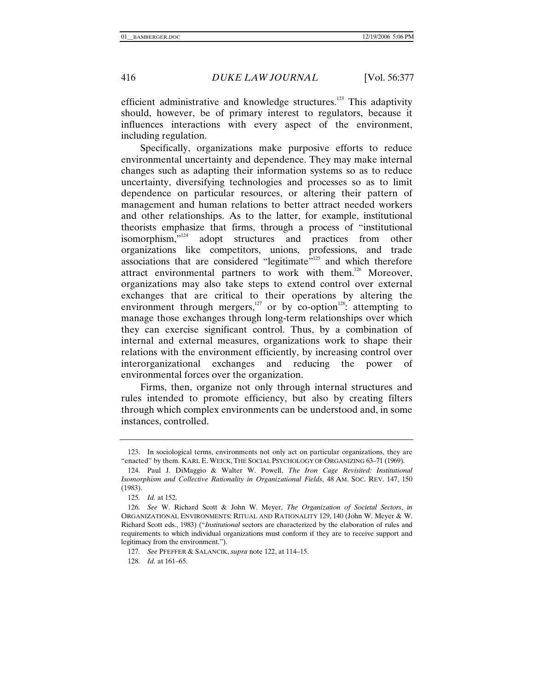efficient administrative and knowledge structures.<sup>123</sup> This adaptivity should, however, be of primary interest to regulators, because it influences interactions with every aspect of the environment, including regulation.

Specifically, organizations make purposive efforts to reduce environmental uncertainty and dependence. They may make internal changes such as adapting their information systems so as to reduce uncertainty, diversifying technologies and processes so as to limit dependence on particular resources, or altering their pattern of management and human relations to better attract needed workers and other relationships. As to the latter, for example, institutional theorists emphasize that firms, through a process of "institutional isomorphism,"<sup>124</sup> adopt structures and practices from other adopt structures and practices from other organizations like competitors, unions, professions, and trade associations that are considered "legitimate"<sup>125</sup> and which therefore attract environmental partners to work with them.<sup>126</sup> Moreover, organizations may also take steps to extend control over external exchanges that are critical to their operations by altering the environment through mergers, $127$  or by co-option<sup>128</sup>: attempting to manage those exchanges through long-term relationships over which they can exercise significant control. Thus, by a combination of internal and external measures, organizations work to shape their relations with the environment efficiently, by increasing control over interorganizational exchanges and reducing the power of environmental forces over the organization.

Firms, then, organize not only through internal structures and rules intended to promote efficiency, but also by creating filters through which complex environments can be understood and, in some instances, controlled.

 <sup>123.</sup> In sociological terms, environments not only act on particular organizations, they are "enacted" by them. KARL E. WEICK, THE SOCIAL PSYCHOLOGY OF ORGANIZING 63–71 (1969).

 <sup>124.</sup> Paul J. DiMaggio & Walter W. Powell, *The Iron Cage Revisited: Institutional Isomorphism and Collective Rationality in Organizational Fields*, 48 AM. SOC. REV. 147, 150 (1983).

<sup>125</sup>*. Id.* at 152.

<sup>126</sup>*. See* W. Richard Scott & John W. Meyer, *The Organization of Societal Sectors*, *in* ORGANIZATIONAL ENVIRONMENTS: RITUAL AND RATIONALITY 129, 140 (John W. Meyer & W. Richard Scott eds., 1983) ("*Institutional* sectors are characterized by the elaboration of rules and requirements to which individual organizations must conform if they are to receive support and legitimacy from the environment.").

<sup>127</sup>*. See* PFEFFER & SALANCIK, *supra* note 122, at 114–15.

<sup>128</sup>*. Id.* at 161–65.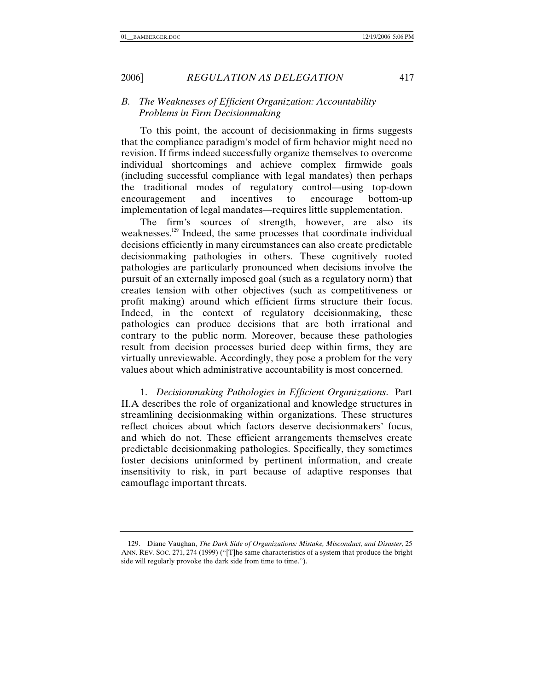## *B. The Weaknesses of Efficient Organization: Accountability Problems in Firm Decisionmaking*

To this point, the account of decisionmaking in firms suggests that the compliance paradigm's model of firm behavior might need no revision. If firms indeed successfully organize themselves to overcome individual shortcomings and achieve complex firmwide goals (including successful compliance with legal mandates) then perhaps the traditional modes of regulatory control—using top-down encouragement and incentives to encourage bottom-up implementation of legal mandates—requires little supplementation.

The firm's sources of strength, however, are also its weaknesses.<sup>129</sup> Indeed, the same processes that coordinate individual decisions efficiently in many circumstances can also create predictable decisionmaking pathologies in others. These cognitively rooted pathologies are particularly pronounced when decisions involve the pursuit of an externally imposed goal (such as a regulatory norm) that creates tension with other objectives (such as competitiveness or profit making) around which efficient firms structure their focus. Indeed, in the context of regulatory decisionmaking, these pathologies can produce decisions that are both irrational and contrary to the public norm. Moreover, because these pathologies result from decision processes buried deep within firms, they are virtually unreviewable. Accordingly, they pose a problem for the very values about which administrative accountability is most concerned.

1. *Decisionmaking Pathologies in Efficient Organizations*. Part II.A describes the role of organizational and knowledge structures in streamlining decisionmaking within organizations. These structures reflect choices about which factors deserve decisionmakers' focus, and which do not. These efficient arrangements themselves create predictable decisionmaking pathologies. Specifically, they sometimes foster decisions uninformed by pertinent information, and create insensitivity to risk, in part because of adaptive responses that camouflage important threats.

 <sup>129.</sup> Diane Vaughan, *The Dark Side of Organizations: Mistake, Misconduct, and Disaster*, 25 ANN. REV. SOC. 271, 274 (1999) ("[T]he same characteristics of a system that produce the bright side will regularly provoke the dark side from time to time.").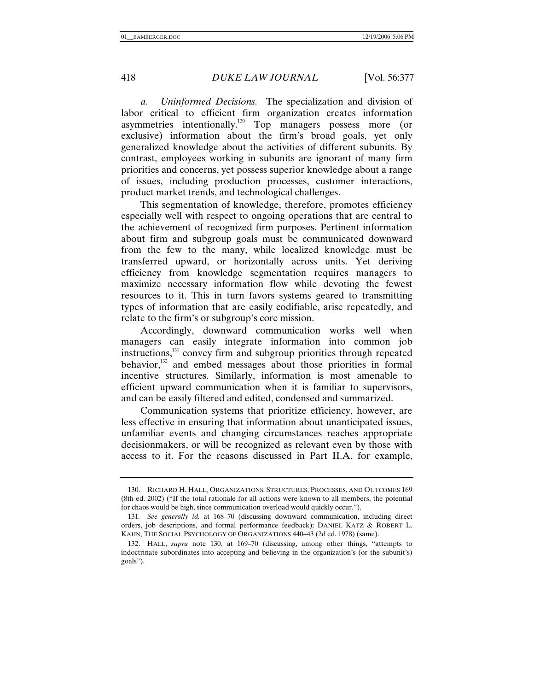*a. Uninformed Decisions.* The specialization and division of labor critical to efficient firm organization creates information asymmetries intentionally.<sup>130</sup> Top managers possess more (or exclusive) information about the firm's broad goals, yet only generalized knowledge about the activities of different subunits. By contrast, employees working in subunits are ignorant of many firm priorities and concerns, yet possess superior knowledge about a range of issues, including production processes, customer interactions, product market trends, and technological challenges.

This segmentation of knowledge, therefore, promotes efficiency especially well with respect to ongoing operations that are central to the achievement of recognized firm purposes. Pertinent information about firm and subgroup goals must be communicated downward from the few to the many, while localized knowledge must be transferred upward, or horizontally across units. Yet deriving efficiency from knowledge segmentation requires managers to maximize necessary information flow while devoting the fewest resources to it. This in turn favors systems geared to transmitting types of information that are easily codifiable, arise repeatedly, and relate to the firm's or subgroup's core mission.

Accordingly, downward communication works well when managers can easily integrate information into common job instructions,<sup>131</sup> convey firm and subgroup priorities through repeated behavior,<sup>132</sup> and embed messages about those priorities in formal incentive structures. Similarly, information is most amenable to efficient upward communication when it is familiar to supervisors, and can be easily filtered and edited, condensed and summarized.

Communication systems that prioritize efficiency, however, are less effective in ensuring that information about unanticipated issues, unfamiliar events and changing circumstances reaches appropriate decisionmakers, or will be recognized as relevant even by those with access to it. For the reasons discussed in Part II.A, for example,

 <sup>130.</sup> RICHARD H. HALL, ORGANIZATIONS: STRUCTURES, PROCESSES, AND OUTCOMES 169 (8th ed. 2002) ("If the total rationale for all actions were known to all members, the potential for chaos would be high, since communication overload would quickly occur.").

<sup>131</sup>*. See generally id.* at 168–70 (discussing downward communication, including direct orders, job descriptions, and formal performance feedback); DANIEL KATZ & ROBERT L. KAHN, THE SOCIAL PSYCHOLOGY OF ORGANIZATIONS 440–43 (2d ed. 1978) (same).

 <sup>132.</sup> HALL, *supra* note 130, at 169–70 (discussing, among other things, "attempts to indoctrinate subordinates into accepting and believing in the organization's (or the subunit's) goals").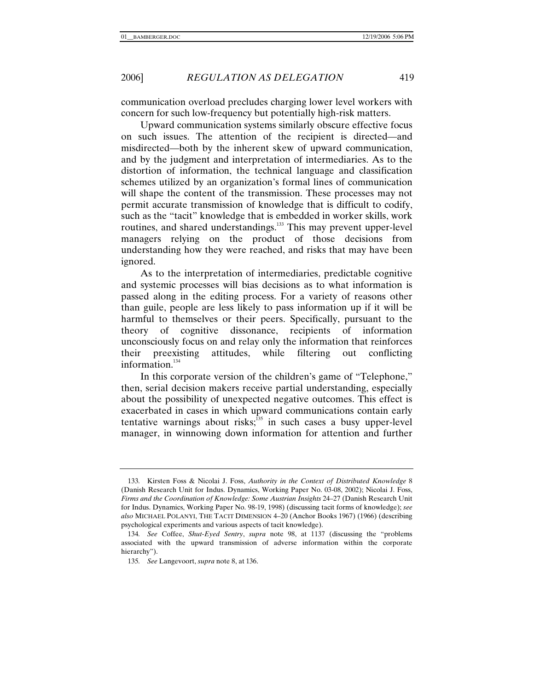communication overload precludes charging lower level workers with concern for such low-frequency but potentially high-risk matters.

Upward communication systems similarly obscure effective focus on such issues. The attention of the recipient is directed—and misdirected—both by the inherent skew of upward communication, and by the judgment and interpretation of intermediaries. As to the distortion of information, the technical language and classification schemes utilized by an organization's formal lines of communication will shape the content of the transmission. These processes may not permit accurate transmission of knowledge that is difficult to codify, such as the "tacit" knowledge that is embedded in worker skills, work routines, and shared understandings.<sup>133</sup> This may prevent upper-level managers relying on the product of those decisions from understanding how they were reached, and risks that may have been ignored.

As to the interpretation of intermediaries, predictable cognitive and systemic processes will bias decisions as to what information is passed along in the editing process. For a variety of reasons other than guile, people are less likely to pass information up if it will be harmful to themselves or their peers. Specifically, pursuant to the theory of cognitive dissonance, recipients of information unconsciously focus on and relay only the information that reinforces their preexisting attitudes, while filtering out conflicting information.<sup>134</sup>

In this corporate version of the children's game of "Telephone," then, serial decision makers receive partial understanding, especially about the possibility of unexpected negative outcomes. This effect is exacerbated in cases in which upward communications contain early tentative warnings about risks; $135$  in such cases a busy upper-level manager, in winnowing down information for attention and further

<sup>133</sup>*.* Kirsten Foss & Nicolai J. Foss, *Authority in the Context of Distributed Knowledge* 8 (Danish Research Unit for Indus. Dynamics, Working Paper No. 03-08, 2002); Nicolai J. Foss, *Firms and the Coordination of Knowledge: Some Austrian Insights* 24–27 (Danish Research Unit for Indus. Dynamics, Working Paper No. 98-19, 1998) (discussing tacit forms of knowledge); *see also* MICHAEL POLANYI, THE TACIT DIMENSION 4–20 (Anchor Books 1967) (1966) (describing psychological experiments and various aspects of tacit knowledge).

<sup>134</sup>*. See* Coffee, *Shut-Eyed Sentry*, *supra* note 98, at 1137 (discussing the "problems associated with the upward transmission of adverse information within the corporate hierarchy").

<sup>135</sup>*. See* Langevoort, *supra* note 8, at 136.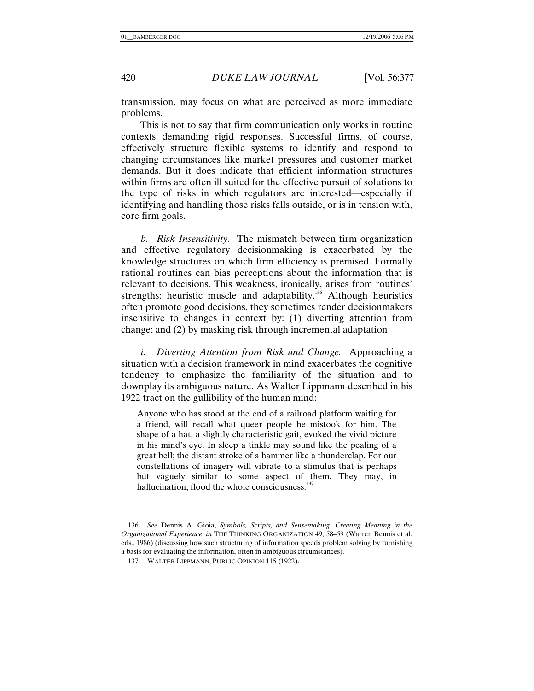transmission, may focus on what are perceived as more immediate problems.

This is not to say that firm communication only works in routine contexts demanding rigid responses. Successful firms, of course, effectively structure flexible systems to identify and respond to changing circumstances like market pressures and customer market demands. But it does indicate that efficient information structures within firms are often ill suited for the effective pursuit of solutions to the type of risks in which regulators are interested—especially if identifying and handling those risks falls outside, or is in tension with, core firm goals.

*b. Risk Insensitivity.* The mismatch between firm organization and effective regulatory decisionmaking is exacerbated by the knowledge structures on which firm efficiency is premised. Formally rational routines can bias perceptions about the information that is relevant to decisions. This weakness, ironically, arises from routines' strengths: heuristic muscle and adaptability.<sup>136</sup> Although heuristics often promote good decisions, they sometimes render decisionmakers insensitive to changes in context by: (1) diverting attention from change; and (2) by masking risk through incremental adaptation

*i. Diverting Attention from Risk and Change.* Approaching a situation with a decision framework in mind exacerbates the cognitive tendency to emphasize the familiarity of the situation and to downplay its ambiguous nature. As Walter Lippmann described in his 1922 tract on the gullibility of the human mind:

Anyone who has stood at the end of a railroad platform waiting for a friend, will recall what queer people he mistook for him. The shape of a hat, a slightly characteristic gait, evoked the vivid picture in his mind's eye. In sleep a tinkle may sound like the pealing of a great bell; the distant stroke of a hammer like a thunderclap. For our constellations of imagery will vibrate to a stimulus that is perhaps but vaguely similar to some aspect of them. They may, in hallucination, flood the whole consciousness. $^{137}$ 

<sup>136</sup>*. See* Dennis A. Gioia, *Symbols, Scripts, and Sensemaking: Creating Meaning in the Organizational Experience*, *in* THE THINKING ORGANIZATION 49, 58–59 (Warren Bennis et al. eds., 1986) (discussing how such structuring of information speeds problem solving by furnishing a basis for evaluating the information, often in ambiguous circumstances).

 <sup>137.</sup> WALTER LIPPMANN, PUBLIC OPINION 115 (1922).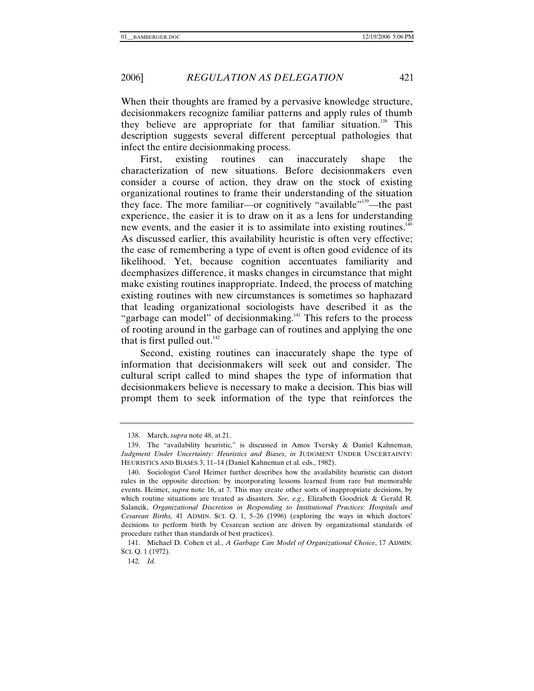When their thoughts are framed by a pervasive knowledge structure, decisionmakers recognize familiar patterns and apply rules of thumb they believe are appropriate for that familiar situation.<sup>138</sup> This description suggests several different perceptual pathologies that infect the entire decisionmaking process.

First, existing routines can inaccurately shape the characterization of new situations. Before decisionmakers even consider a course of action, they draw on the stock of existing organizational routines to frame their understanding of the situation they face. The more familiar—or cognitively "available"<sup>139</sup>—the past experience, the easier it is to draw on it as a lens for understanding new events, and the easier it is to assimilate into existing routines.<sup>140</sup> As discussed earlier, this availability heuristic is often very effective; the ease of remembering a type of event is often good evidence of its likelihood. Yet, because cognition accentuates familiarity and deemphasizes difference, it masks changes in circumstance that might make existing routines inappropriate. Indeed, the process of matching existing routines with new circumstances is sometimes so haphazard that leading organizational sociologists have described it as the "garbage can model" of decisionmaking.<sup>141</sup> This refers to the process of rooting around in the garbage can of routines and applying the one that is first pulled out.<sup>142</sup>

Second, existing routines can inaccurately shape the type of information that decisionmakers will seek out and consider. The cultural script called to mind shapes the type of information that decisionmakers believe is necessary to make a decision. This bias will prompt them to seek information of the type that reinforces the

 <sup>138.</sup> March, *supra* note 48, at 21.

 <sup>139.</sup> The "availability heuristic," is discussed in Amos Tversky & Daniel Kahneman, *Judgment Under Uncertainty: Heuristics and Biases*, *in* JUDGMENT UNDER UNCERTAINTY: HEURISTICS AND BIASES 3, 11–14 (Daniel Kahneman et al. eds., 1982).

 <sup>140.</sup> Sociologist Carol Heimer further describes how the availability heuristic can distort rules in the opposite direction: by incorporating lessons learned from rare but memorable events. Heimer, *supra* note 16, at 7. This may create other sorts of inappropriate decisions, by which routine situations are treated as disasters. *See, e.g.*, Elizabeth Goodrick & Gerald R. Salancik, *Organizational Discretion in Responding to Institutional Practices: Hospitals and Cesarean Births,* 41 ADMIN. SCI. Q. 1, 5–26 (1996) (exploring the ways in which doctors' decisions to perform birth by Cesarean section are driven by organizational standards of procedure rather than standards of best practices).

 <sup>141.</sup> Michael D. Cohen et al., *A Garbage Can Model of Organizational Choice*, 17 ADMIN. SCI. Q. 1 (1972).

<sup>142</sup>*. Id.*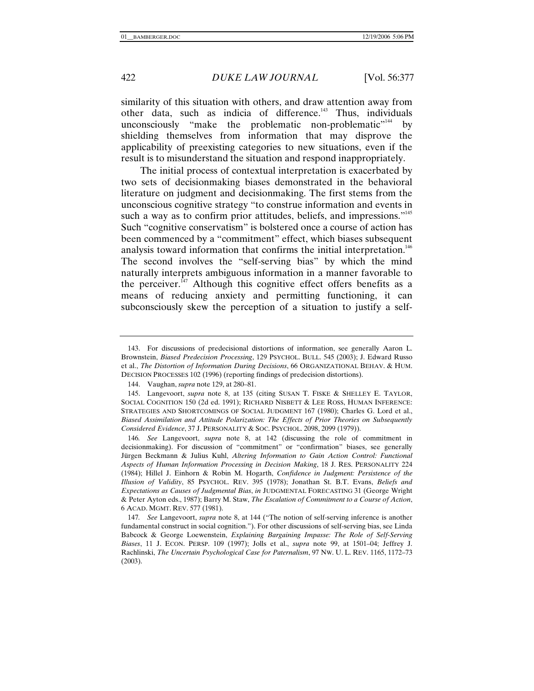similarity of this situation with others, and draw attention away from other data, such as indicia of difference.<sup>143</sup> Thus, individuals unconsciously "make the problematic non-problematic"<sup>144</sup> by shielding themselves from information that may disprove the applicability of preexisting categories to new situations, even if the result is to misunderstand the situation and respond inappropriately.

The initial process of contextual interpretation is exacerbated by two sets of decisionmaking biases demonstrated in the behavioral literature on judgment and decisionmaking. The first stems from the unconscious cognitive strategy "to construe information and events in such a way as to confirm prior attitudes, beliefs, and impressions."<sup>145</sup> Such "cognitive conservatism" is bolstered once a course of action has been commenced by a "commitment" effect, which biases subsequent analysis toward information that confirms the initial interpretation.<sup>146</sup> The second involves the "self-serving bias" by which the mind naturally interprets ambiguous information in a manner favorable to the perceiver. $\frac{1}{47}$  Although this cognitive effect offers benefits as a means of reducing anxiety and permitting functioning, it can subconsciously skew the perception of a situation to justify a self-

 <sup>143.</sup> For discussions of predecisional distortions of information, see generally Aaron L. Brownstein, *Biased Predecision Processing*, 129 PSYCHOL. BULL. 545 (2003); J. Edward Russo et al., *The Distortion of Information During Decisions*, 66 ORGANIZATIONAL BEHAV. & HUM. DECISION PROCESSES 102 (1996) (reporting findings of predecision distortions).

 <sup>144.</sup> Vaughan, *supra* note 129, at 280–81.

 <sup>145.</sup> Langevoort, *supra* note 8, at 135 (citing SUSAN T. FISKE & SHELLEY E. TAYLOR, SOCIAL COGNITION 150 (2d ed. 1991); RICHARD NISBETT & LEE ROSS, HUMAN INFERENCE: STRATEGIES AND SHORTCOMINGS OF SOCIAL JUDGMENT 167 (1980); Charles G. Lord et al., *Biased Assimilation and Attitude Polarization: The Effects of Prior Theories on Subsequently Considered Evidence*, 37 J. PERSONALITY & SOC. PSYCHOL. 2098, 2099 (1979)).

<sup>146</sup>*. See* Langevoort, *supra* note 8, at 142 (discussing the role of commitment in decisionmaking). For discussion of "commitment" or "confirmation" biases, see generally Jürgen Beckmann & Julius Kuhl, *Altering Information to Gain Action Control: Functional Aspects of Human Information Processing in Decision Making*, 18 J. RES. PERSONALITY 224 (1984); Hillel J. Einhorn & Robin M. Hogarth, *Confidence in Judgment: Persistence of the Illusion of Validity*, 85 PSYCHOL. REV. 395 (1978); Jonathan St. B.T. Evans, *Beliefs and Expectations as Causes of Judgmental Bias*, *in* JUDGMENTAL FORECASTING 31 (George Wright & Peter Ayton eds., 1987); Barry M. Staw, *The Escalation of Commitment to a Course of Action*, 6 ACAD. MGMT. REV. 577 (1981).

<sup>147</sup>*. See* Langevoort, *supra* note 8, at 144 ("The notion of self-serving inference is another fundamental construct in social cognition."). For other discussions of self-serving bias, see Linda Babcock & George Loewenstein, *Explaining Bargaining Impasse: The Role of Self-Serving Biases*, 11 J. ECON. PERSP. 109 (1997); Jolls et al., *supra* note 99, at 1501–04; Jeffrey J. Rachlinski, *The Uncertain Psychological Case for Paternalism*, 97 NW. U. L. REV. 1165, 1172–73 (2003).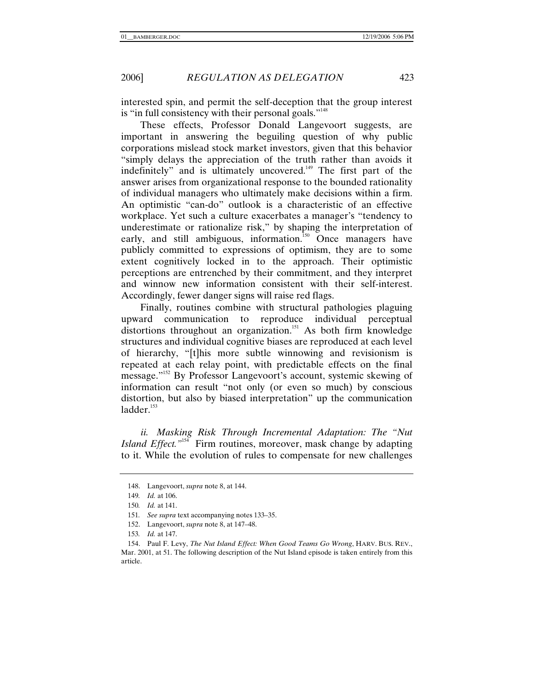interested spin, and permit the self-deception that the group interest is "in full consistency with their personal goals."<sup>148</sup>

These effects, Professor Donald Langevoort suggests, are important in answering the beguiling question of why public corporations mislead stock market investors, given that this behavior "simply delays the appreciation of the truth rather than avoids it indefinitely" and is ultimately uncovered.<sup>149</sup> The first part of the answer arises from organizational response to the bounded rationality of individual managers who ultimately make decisions within a firm. An optimistic "can-do" outlook is a characteristic of an effective workplace. Yet such a culture exacerbates a manager's "tendency to underestimate or rationalize risk," by shaping the interpretation of early, and still ambiguous, information.<sup>150</sup> Once managers have publicly committed to expressions of optimism, they are to some extent cognitively locked in to the approach. Their optimistic perceptions are entrenched by their commitment, and they interpret and winnow new information consistent with their self-interest. Accordingly, fewer danger signs will raise red flags.

Finally, routines combine with structural pathologies plaguing upward communication to reproduce individual perceptual distortions throughout an organization.<sup>151</sup> As both firm knowledge structures and individual cognitive biases are reproduced at each level of hierarchy, "[t]his more subtle winnowing and revisionism is repeated at each relay point, with predictable effects on the final message."152 By Professor Langevoort's account, systemic skewing of information can result "not only (or even so much) by conscious distortion, but also by biased interpretation" up the communication  $ladder.<sup>153</sup>$ 

*ii. Masking Risk Through Incremental Adaptation: The "Nut Island Effect.*"<sup>154</sup> Firm routines, moreover, mask change by adapting to it. While the evolution of rules to compensate for new challenges

 <sup>148.</sup> Langevoort, *supra* note 8, at 144.

<sup>149</sup>*. Id.* at 106.

<sup>150</sup>*. Id.* at 141.

<sup>151</sup>*. See supra* text accompanying notes 133–35.

 <sup>152.</sup> Langevoort, *supra* note 8, at 147–48.

<sup>153</sup>*. Id.* at 147.

 <sup>154.</sup> Paul F. Levy, *The Nut Island Effect: When Good Teams Go Wrong*, HARV. BUS. REV., Mar. 2001, at 51. The following description of the Nut Island episode is taken entirely from this article.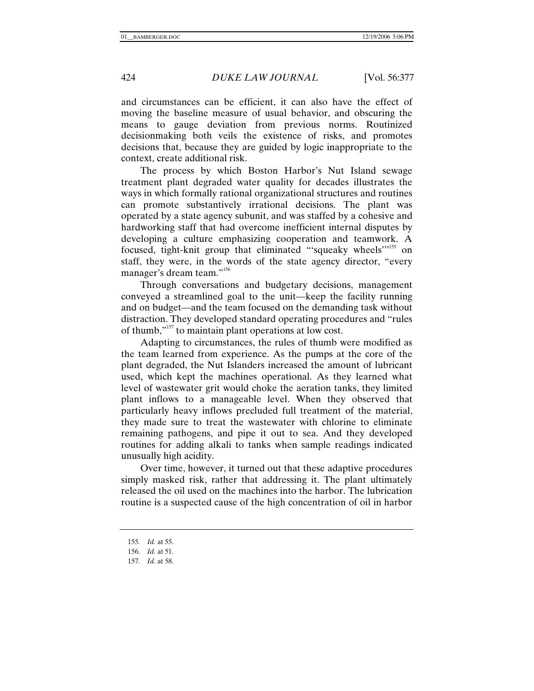and circumstances can be efficient, it can also have the effect of moving the baseline measure of usual behavior, and obscuring the means to gauge deviation from previous norms. Routinized decisionmaking both veils the existence of risks, and promotes decisions that, because they are guided by logic inappropriate to the context, create additional risk.

The process by which Boston Harbor's Nut Island sewage treatment plant degraded water quality for decades illustrates the ways in which formally rational organizational structures and routines can promote substantively irrational decisions. The plant was operated by a state agency subunit, and was staffed by a cohesive and hardworking staff that had overcome inefficient internal disputes by developing a culture emphasizing cooperation and teamwork. A focused, tight-knit group that eliminated "squeaky wheels"<sup>155</sup> on staff, they were, in the words of the state agency director, "every manager's dream team."<sup>156</sup>

Through conversations and budgetary decisions, management conveyed a streamlined goal to the unit—keep the facility running and on budget—and the team focused on the demanding task without distraction. They developed standard operating procedures and "rules of thumb,"157 to maintain plant operations at low cost.

Adapting to circumstances, the rules of thumb were modified as the team learned from experience. As the pumps at the core of the plant degraded, the Nut Islanders increased the amount of lubricant used, which kept the machines operational. As they learned what level of wastewater grit would choke the aeration tanks, they limited plant inflows to a manageable level. When they observed that particularly heavy inflows precluded full treatment of the material, they made sure to treat the wastewater with chlorine to eliminate remaining pathogens, and pipe it out to sea. And they developed routines for adding alkali to tanks when sample readings indicated unusually high acidity.

Over time, however, it turned out that these adaptive procedures simply masked risk, rather that addressing it. The plant ultimately released the oil used on the machines into the harbor. The lubrication routine is a suspected cause of the high concentration of oil in harbor

<sup>155</sup>*. Id.* at 55.

<sup>156</sup>*. Id.* at 51.

<sup>157</sup>*. Id.* at 58.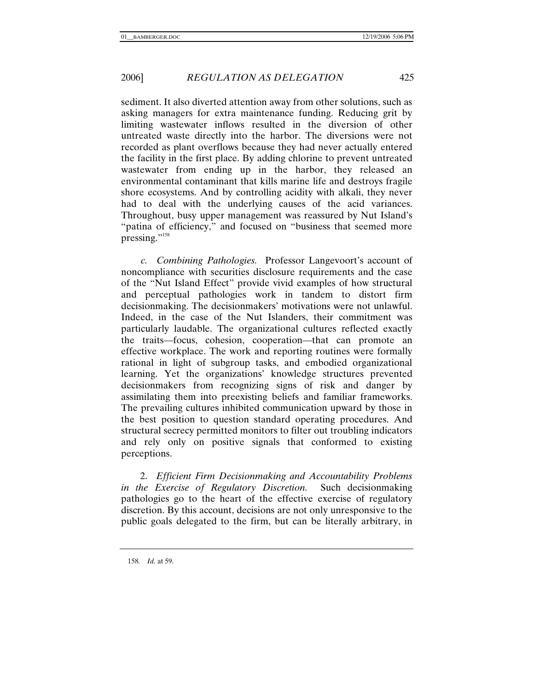sediment. It also diverted attention away from other solutions, such as asking managers for extra maintenance funding. Reducing grit by limiting wastewater inflows resulted in the diversion of other untreated waste directly into the harbor. The diversions were not recorded as plant overflows because they had never actually entered the facility in the first place. By adding chlorine to prevent untreated wastewater from ending up in the harbor, they released an environmental contaminant that kills marine life and destroys fragile shore ecosystems. And by controlling acidity with alkali, they never had to deal with the underlying causes of the acid variances. Throughout, busy upper management was reassured by Nut Island's "patina of efficiency," and focused on "business that seemed more pressing."<sup>158</sup>

*c. Combining Pathologies.* Professor Langevoort's account of noncompliance with securities disclosure requirements and the case of the "Nut Island Effect" provide vivid examples of how structural and perceptual pathologies work in tandem to distort firm decisionmaking. The decisionmakers' motivations were not unlawful. Indeed, in the case of the Nut Islanders, their commitment was particularly laudable. The organizational cultures reflected exactly the traits—focus, cohesion, cooperation—that can promote an effective workplace. The work and reporting routines were formally rational in light of subgroup tasks, and embodied organizational learning. Yet the organizations' knowledge structures prevented decisionmakers from recognizing signs of risk and danger by assimilating them into preexisting beliefs and familiar frameworks. The prevailing cultures inhibited communication upward by those in the best position to question standard operating procedures. And structural secrecy permitted monitors to filter out troubling indicators and rely only on positive signals that conformed to existing perceptions.

2. *Efficient Firm Decisionmaking and Accountability Problems in the Exercise of Regulatory Discretion.* Such decisionmaking pathologies go to the heart of the effective exercise of regulatory discretion. By this account, decisions are not only unresponsive to the public goals delegated to the firm, but can be literally arbitrary, in

158*. Id.* at 59.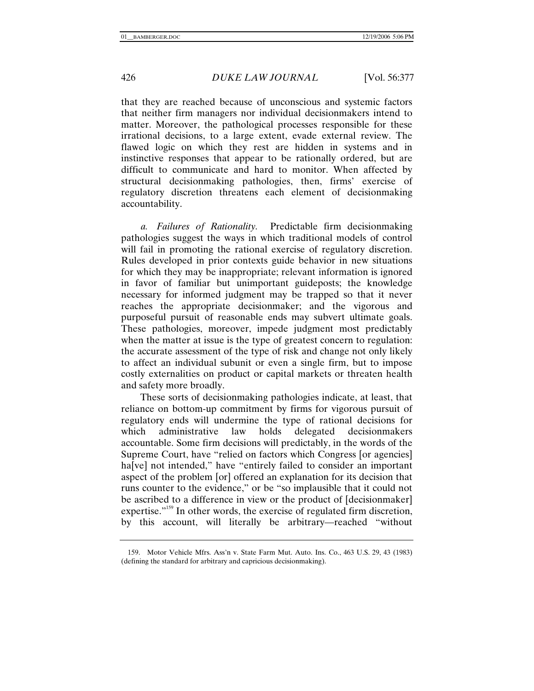that they are reached because of unconscious and systemic factors that neither firm managers nor individual decisionmakers intend to matter. Moreover, the pathological processes responsible for these irrational decisions, to a large extent, evade external review. The flawed logic on which they rest are hidden in systems and in instinctive responses that appear to be rationally ordered, but are difficult to communicate and hard to monitor. When affected by structural decisionmaking pathologies, then, firms' exercise of regulatory discretion threatens each element of decisionmaking accountability.

*a. Failures of Rationality.* Predictable firm decisionmaking pathologies suggest the ways in which traditional models of control will fail in promoting the rational exercise of regulatory discretion. Rules developed in prior contexts guide behavior in new situations for which they may be inappropriate; relevant information is ignored in favor of familiar but unimportant guideposts; the knowledge necessary for informed judgment may be trapped so that it never reaches the appropriate decisionmaker; and the vigorous and purposeful pursuit of reasonable ends may subvert ultimate goals. These pathologies, moreover, impede judgment most predictably when the matter at issue is the type of greatest concern to regulation: the accurate assessment of the type of risk and change not only likely to affect an individual subunit or even a single firm, but to impose costly externalities on product or capital markets or threaten health and safety more broadly.

These sorts of decisionmaking pathologies indicate, at least, that reliance on bottom-up commitment by firms for vigorous pursuit of regulatory ends will undermine the type of rational decisions for which administrative law holds delegated decisionmakers accountable. Some firm decisions will predictably, in the words of the Supreme Court, have "relied on factors which Congress [or agencies] ha<sup>[ve]</sup> not intended," have "entirely failed to consider an important aspect of the problem [or] offered an explanation for its decision that runs counter to the evidence," or be "so implausible that it could not be ascribed to a difference in view or the product of [decisionmaker] expertise."<sup>159</sup> In other words, the exercise of regulated firm discretion, by this account, will literally be arbitrary—reached "without

 <sup>159.</sup> Motor Vehicle Mfrs. Ass'n v. State Farm Mut. Auto. Ins. Co., 463 U.S. 29, 43 (1983) (defining the standard for arbitrary and capricious decisionmaking).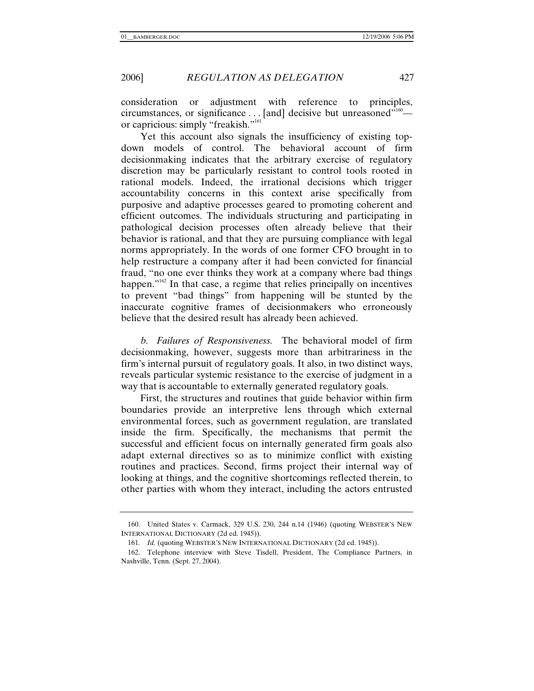consideration or adjustment with reference to principles, circumstances, or significance  $\dots$  [and] decisive but unreasoned"<sup>160</sup> or capricious: simply "freakish."<sup>161</sup>

Yet this account also signals the insufficiency of existing topdown models of control. The behavioral account of firm decisionmaking indicates that the arbitrary exercise of regulatory discretion may be particularly resistant to control tools rooted in rational models. Indeed, the irrational decisions which trigger accountability concerns in this context arise specifically from purposive and adaptive processes geared to promoting coherent and efficient outcomes. The individuals structuring and participating in pathological decision processes often already believe that their behavior is rational, and that they are pursuing compliance with legal norms appropriately. In the words of one former CFO brought in to help restructure a company after it had been convicted for financial fraud, "no one ever thinks they work at a company where bad things happen." $162$  In that case, a regime that relies principally on incentives to prevent "bad things" from happening will be stunted by the inaccurate cognitive frames of decisionmakers who erroneously believe that the desired result has already been achieved.

*b. Failures of Responsiveness.* The behavioral model of firm decisionmaking, however, suggests more than arbitrariness in the firm's internal pursuit of regulatory goals. It also, in two distinct ways, reveals particular systemic resistance to the exercise of judgment in a way that is accountable to externally generated regulatory goals.

First, the structures and routines that guide behavior within firm boundaries provide an interpretive lens through which external environmental forces, such as government regulation, are translated inside the firm. Specifically, the mechanisms that permit the successful and efficient focus on internally generated firm goals also adapt external directives so as to minimize conflict with existing routines and practices. Second, firms project their internal way of looking at things, and the cognitive shortcomings reflected therein, to other parties with whom they interact, including the actors entrusted

 <sup>160.</sup> United States v. Carmack, 329 U.S. 230, 244 n.14 (1946) (quoting WEBSTER'S NEW INTERNATIONAL DICTIONARY (2d ed. 1945)).

<sup>161.</sup> *Id.* (quoting WEBSTER'S NEW INTERNATIONAL DICTIONARY (2d ed. 1945)).

 <sup>162.</sup> Telephone interview with Steve Tisdell, President, The Compliance Partners, in Nashville, Tenn. (Sept. 27, 2004).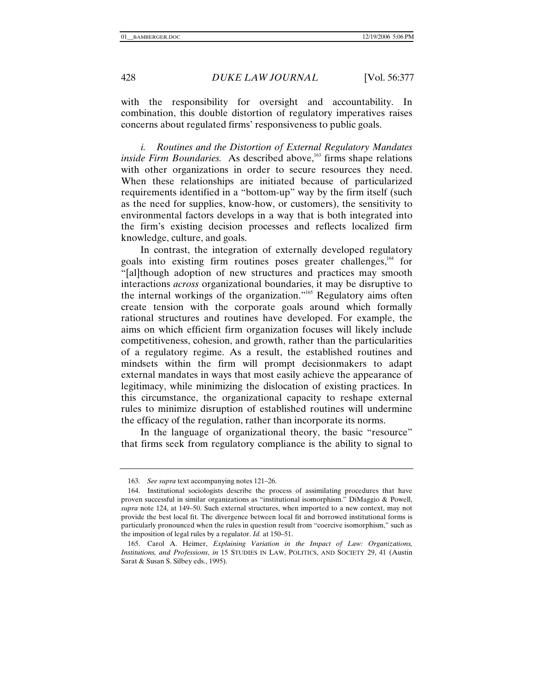with the responsibility for oversight and accountability. In combination, this double distortion of regulatory imperatives raises concerns about regulated firms' responsiveness to public goals.

*i. Routines and the Distortion of External Regulatory Mandates inside Firm Boundaries.* As described above,<sup>163</sup> firms shape relations with other organizations in order to secure resources they need. When these relationships are initiated because of particularized requirements identified in a "bottom-up" way by the firm itself (such as the need for supplies, know-how, or customers), the sensitivity to environmental factors develops in a way that is both integrated into the firm's existing decision processes and reflects localized firm knowledge, culture, and goals.

In contrast, the integration of externally developed regulatory goals into existing firm routines poses greater challenges,<sup>164</sup> for "[al]though adoption of new structures and practices may smooth interactions *across* organizational boundaries, it may be disruptive to the internal workings of the organization."165 Regulatory aims often create tension with the corporate goals around which formally rational structures and routines have developed. For example, the aims on which efficient firm organization focuses will likely include competitiveness, cohesion, and growth, rather than the particularities of a regulatory regime. As a result, the established routines and mindsets within the firm will prompt decisionmakers to adapt external mandates in ways that most easily achieve the appearance of legitimacy, while minimizing the dislocation of existing practices. In this circumstance, the organizational capacity to reshape external rules to minimize disruption of established routines will undermine the efficacy of the regulation, rather than incorporate its norms.

In the language of organizational theory, the basic "resource" that firms seek from regulatory compliance is the ability to signal to

<sup>163</sup>*. See supra* text accompanying notes 121–26.

 <sup>164.</sup> Institutional sociologists describe the process of assimilating procedures that have proven successful in similar organizations as "institutional isomorphism." DiMaggio & Powell, *supra* note 124, at 149–50. Such external structures, when imported to a new context, may not provide the best local fit. The divergence between local fit and borrowed institutional forms is particularly pronounced when the rules in question result from "coercive isomorphism," such as the imposition of legal rules by a regulator. *Id.* at 150–51.

 <sup>165.</sup> Carol A. Heimer, *Explaining Variation in the Impact of Law: Organizations, Institutions, and Professions*, *in* 15 STUDIES IN LAW, POLITICS, AND SOCIETY 29, 41 (Austin Sarat & Susan S. Silbey eds., 1995).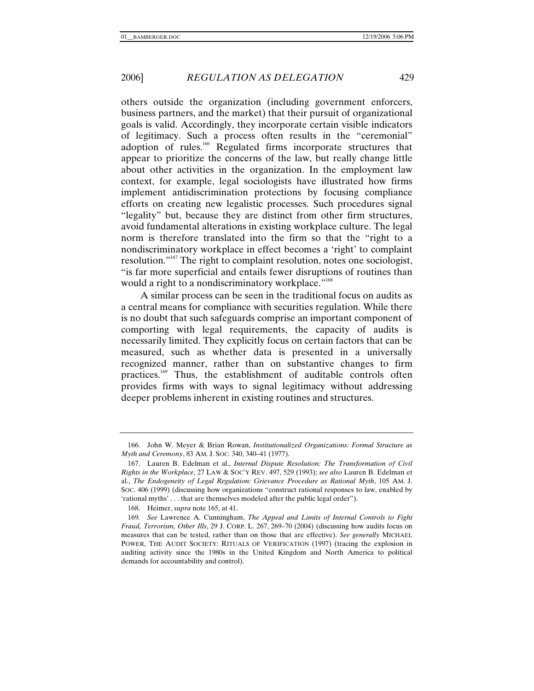others outside the organization (including government enforcers, business partners, and the market) that their pursuit of organizational goals is valid. Accordingly, they incorporate certain visible indicators of legitimacy. Such a process often results in the "ceremonial" adoption of rules.<sup>166</sup> Regulated firms incorporate structures that appear to prioritize the concerns of the law, but really change little about other activities in the organization. In the employment law context, for example, legal sociologists have illustrated how firms implement antidiscrimination protections by focusing compliance efforts on creating new legalistic processes. Such procedures signal "legality" but, because they are distinct from other firm structures, avoid fundamental alterations in existing workplace culture. The legal norm is therefore translated into the firm so that the "right to a nondiscriminatory workplace in effect becomes a 'right' to complaint resolution."167 The right to complaint resolution, notes one sociologist, "is far more superficial and entails fewer disruptions of routines than would a right to a nondiscriminatory workplace."<sup>168</sup>

A similar process can be seen in the traditional focus on audits as a central means for compliance with securities regulation. While there is no doubt that such safeguards comprise an important component of comporting with legal requirements, the capacity of audits is necessarily limited. They explicitly focus on certain factors that can be measured, such as whether data is presented in a universally recognized manner, rather than on substantive changes to firm practices.<sup>169</sup> Thus, the establishment of auditable controls often provides firms with ways to signal legitimacy without addressing deeper problems inherent in existing routines and structures.

 <sup>166.</sup> John W. Meyer & Brian Rowan, *Institutionalized Organizations: Formal Structure as Myth and Ceremony*, 83 AM. J. SOC. 340, 340–41 (1977).

 <sup>167.</sup> Lauren B. Edelman et al., *Internal Dispute Resolution: The Transformation of Civil Rights in the Workplace*, 27 LAW & SOC'Y REV. 497, 529 (1993); *see also* Lauren B. Edelman et al., *The Endogeneity of Legal Regulation: Grievance Procedure as Rational Myth*, 105 AM. J. SOC. 406 (1999) (discussing how organizations "construct rational responses to law, enabled by 'rational myths' . . . that are themselves modeled after the public legal order").

 <sup>168.</sup> Heimer, *supra* note 165, at 41.

<sup>169</sup>*. See* Lawrence A. Cunningham, *The Appeal and Limits of Internal Controls to Fight Fraud, Terrorism, Other Ills*, 29 J. CORP. L. 267, 269–70 (2004) (discussing how audits focus on measures that can be tested, rather than on those that are effective). *See generally* MICHAEL POWER, THE AUDIT SOCIETY: RITUALS OF VERIFICATION (1997) (tracing the explosion in auditing activity since the 1980s in the United Kingdom and North America to political demands for accountability and control).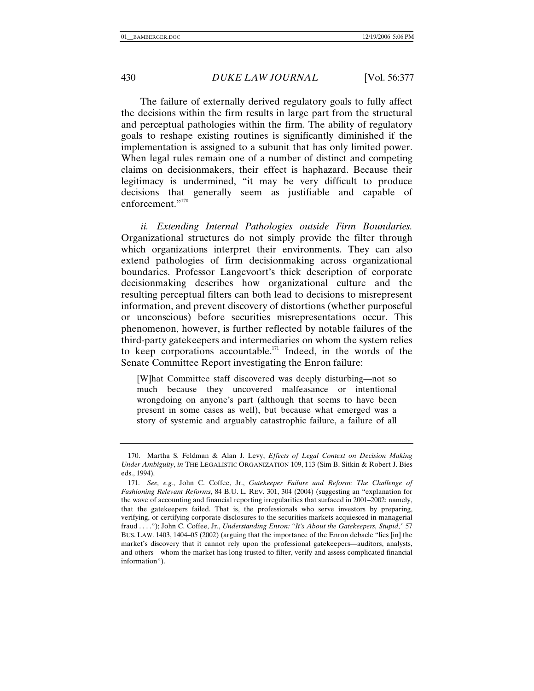The failure of externally derived regulatory goals to fully affect the decisions within the firm results in large part from the structural and perceptual pathologies within the firm. The ability of regulatory goals to reshape existing routines is significantly diminished if the implementation is assigned to a subunit that has only limited power. When legal rules remain one of a number of distinct and competing claims on decisionmakers, their effect is haphazard. Because their legitimacy is undermined, "it may be very difficult to produce decisions that generally seem as justifiable and capable of enforcement."<sup>170</sup>

*ii. Extending Internal Pathologies outside Firm Boundaries.* Organizational structures do not simply provide the filter through which organizations interpret their environments. They can also extend pathologies of firm decisionmaking across organizational boundaries. Professor Langevoort's thick description of corporate decisionmaking describes how organizational culture and the resulting perceptual filters can both lead to decisions to misrepresent information, and prevent discovery of distortions (whether purposeful or unconscious) before securities misrepresentations occur. This phenomenon, however, is further reflected by notable failures of the third-party gatekeepers and intermediaries on whom the system relies to keep corporations accountable.<sup>171</sup> Indeed, in the words of the Senate Committee Report investigating the Enron failure:

[W]hat Committee staff discovered was deeply disturbing—not so much because they uncovered malfeasance or intentional wrongdoing on anyone's part (although that seems to have been present in some cases as well), but because what emerged was a story of systemic and arguably catastrophic failure, a failure of all

 <sup>170.</sup> Martha S. Feldman & Alan J. Levy, *Effects of Legal Context on Decision Making Under Ambiguity*, *in* THE LEGALISTIC ORGANIZATION 109, 113 (Sim B. Sitkin & Robert J. Bies eds., 1994).

<sup>171</sup>*. See, e.g.*, John C. Coffee, Jr., *Gatekeeper Failure and Reform: The Challenge of Fashioning Relevant Reforms*, 84 B.U. L. REV. 301, 304 (2004) (suggesting an "explanation for the wave of accounting and financial reporting irregularities that surfaced in 2001–2002: namely, that the gatekeepers failed. That is, the professionals who serve investors by preparing, verifying, or certifying corporate disclosures to the securities markets acquiesced in managerial fraud . . . ."); John C. Coffee, Jr., *Understanding Enron: "It's About the Gatekeepers, Stupid*,*"* 57 BUS. LAW. 1403, 1404–05 (2002) (arguing that the importance of the Enron debacle "lies [in] the market's discovery that it cannot rely upon the professional gatekeepers—auditors, analysts, and others—whom the market has long trusted to filter, verify and assess complicated financial information").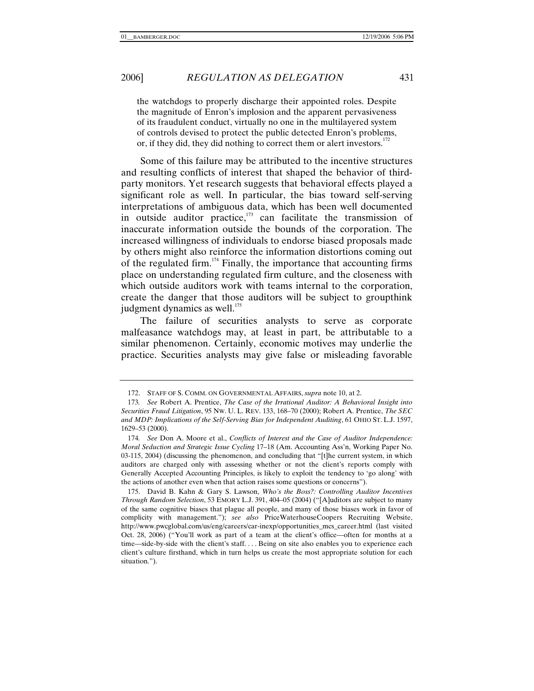the watchdogs to properly discharge their appointed roles. Despite the magnitude of Enron's implosion and the apparent pervasiveness of its fraudulent conduct, virtually no one in the multilayered system of controls devised to protect the public detected Enron's problems, or, if they did, they did nothing to correct them or alert investors. $172$ 

Some of this failure may be attributed to the incentive structures and resulting conflicts of interest that shaped the behavior of thirdparty monitors. Yet research suggests that behavioral effects played a significant role as well. In particular, the bias toward self-serving interpretations of ambiguous data, which has been well documented in outside auditor practice, $173$  can facilitate the transmission of inaccurate information outside the bounds of the corporation. The increased willingness of individuals to endorse biased proposals made by others might also reinforce the information distortions coming out of the regulated firm.<sup>174</sup> Finally, the importance that accounting firms place on understanding regulated firm culture, and the closeness with which outside auditors work with teams internal to the corporation, create the danger that those auditors will be subject to groupthink judgment dynamics as well. $175$ 

The failure of securities analysts to serve as corporate malfeasance watchdogs may, at least in part, be attributable to a similar phenomenon. Certainly, economic motives may underlie the practice. Securities analysts may give false or misleading favorable

 <sup>172.</sup> STAFF OF S. COMM. ON GOVERNMENTAL AFFAIRS, *supra* note 10, at 2.

<sup>173</sup>*. See* Robert A. Prentice, *The Case of the Irrational Auditor: A Behavioral Insight into Securities Fraud Litigation*, 95 NW. U. L. REV. 133, 168–70 (2000); Robert A. Prentice, *The SEC and MDP: Implications of the Self-Serving Bias for Independent Auditing*, 61 OHIO ST. L.J. 1597, 1629–53 (2000).

<sup>174</sup>*. See* Don A. Moore et al., *Conflicts of Interest and the Case of Auditor Independence: Moral Seduction and Strategic Issue Cycling* 17–18 (Am. Accounting Ass'n, Working Paper No. 03-115, 2004) (discussing the phenomenon, and concluding that "[t]he current system, in which auditors are charged only with assessing whether or not the client's reports comply with Generally Accepted Accounting Principles, is likely to exploit the tendency to 'go along' with the actions of another even when that action raises some questions or concerns").

 <sup>175.</sup> David B. Kahn & Gary S. Lawson, *Who's the Boss?: Controlling Auditor Incentives Through Random Selection*, 53 EMORY L.J. 391, 404–05 (2004) ("[A]uditors are subject to many of the same cognitive biases that plague all people, and many of those biases work in favor of complicity with management."); *see also* PriceWaterhouseCoopers Recruiting Website, http://www.pwcglobal.com/us/eng/careers/car-inexp/opportunities\_mcs\_career.html (last visited Oct. 28, 2006) ("You'll work as part of a team at the client's office—often for months at a time—side-by-side with the client's staff. . . . Being on site also enables you to experience each client's culture firsthand, which in turn helps us create the most appropriate solution for each situation.").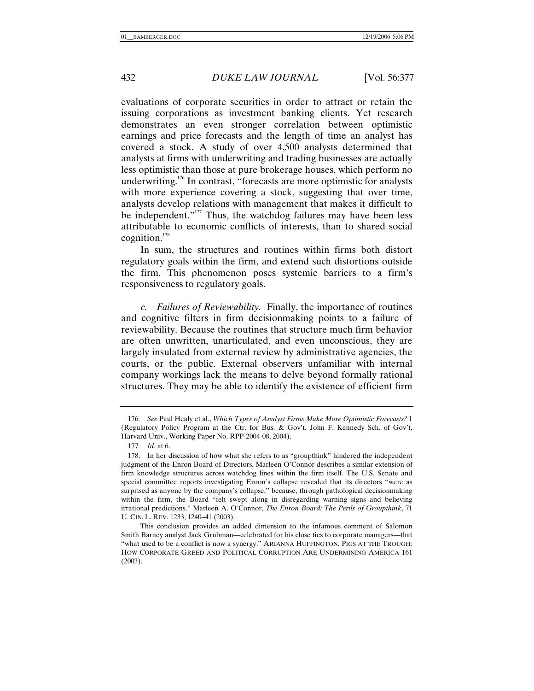evaluations of corporate securities in order to attract or retain the issuing corporations as investment banking clients. Yet research demonstrates an even stronger correlation between optimistic earnings and price forecasts and the length of time an analyst has covered a stock. A study of over 4,500 analysts determined that analysts at firms with underwriting and trading businesses are actually less optimistic than those at pure brokerage houses, which perform no underwriting.176 In contrast, "forecasts are more optimistic for analysts with more experience covering a stock, suggesting that over time, analysts develop relations with management that makes it difficult to be independent."<sup>177</sup> Thus, the watchdog failures may have been less attributable to economic conflicts of interests, than to shared social cognition.178

In sum, the structures and routines within firms both distort regulatory goals within the firm, and extend such distortions outside the firm. This phenomenon poses systemic barriers to a firm's responsiveness to regulatory goals.

*c. Failures of Reviewability.* Finally, the importance of routines and cognitive filters in firm decisionmaking points to a failure of reviewability. Because the routines that structure much firm behavior are often unwritten, unarticulated, and even unconscious, they are largely insulated from external review by administrative agencies, the courts, or the public. External observers unfamiliar with internal company workings lack the means to delve beyond formally rational structures. They may be able to identify the existence of efficient firm

<sup>176</sup>*. See* Paul Healy et al., *Which Types of Analyst Firms Make More Optimistic Forecasts?* 1 (Regulatory Policy Program at the Ctr. for Bus. & Gov't, John F. Kennedy Sch. of Gov't, Harvard Univ., Working Paper No. RPP-2004-08, 2004).

<sup>177</sup>*. Id.* at 6.

 <sup>178.</sup> In her discussion of how what she refers to as "groupthink" hindered the independent judgment of the Enron Board of Directors, Marleen O'Connor describes a similar extension of firm knowledge structures across watchdog lines within the firm itself. The U.S. Senate and special committee reports investigating Enron's collapse revealed that its directors "were as surprised as anyone by the company's collapse," because, through pathological decisionmaking within the firm, the Board "felt swept along in disregarding warning signs and believing irrational predictions." Marleen A. O'Connor, *The Enron Board: The Perils of Groupthink*, 71 U. CIN. L. REV. 1233, 1240–41 (2003).

This conclusion provides an added dimension to the infamous comment of Salomon Smith Barney analyst Jack Grubman—celebrated for his close ties to corporate managers—that "what used to be a conflict is now a synergy." ARIANNA HUFFINGTON, PIGS AT THE TROUGH: HOW CORPORATE GREED AND POLITICAL CORRUPTION ARE UNDERMINING AMERICA 161 (2003).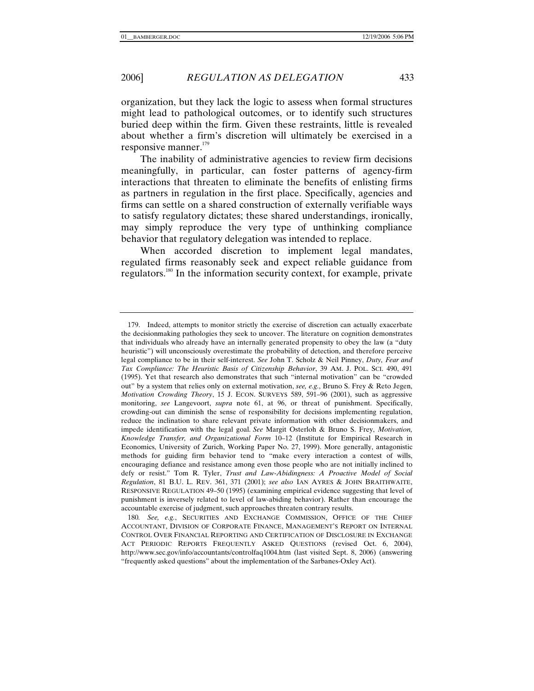organization, but they lack the logic to assess when formal structures might lead to pathological outcomes, or to identify such structures buried deep within the firm. Given these restraints, little is revealed about whether a firm's discretion will ultimately be exercised in a responsive manner. $179$ 

The inability of administrative agencies to review firm decisions meaningfully, in particular, can foster patterns of agency-firm interactions that threaten to eliminate the benefits of enlisting firms as partners in regulation in the first place. Specifically, agencies and firms can settle on a shared construction of externally verifiable ways to satisfy regulatory dictates; these shared understandings, ironically, may simply reproduce the very type of unthinking compliance behavior that regulatory delegation was intended to replace.

When accorded discretion to implement legal mandates, regulated firms reasonably seek and expect reliable guidance from regulators.180 In the information security context, for example, private

 <sup>179.</sup> Indeed, attempts to monitor strictly the exercise of discretion can actually exacerbate the decisionmaking pathologies they seek to uncover. The literature on cognition demonstrates that individuals who already have an internally generated propensity to obey the law (a "duty heuristic") will unconsciously overestimate the probability of detection, and therefore perceive legal compliance to be in their self-interest. *See* John T. Scholz & Neil Pinney, *Duty, Fear and Tax Compliance: The Heuristic Basis of Citizenship Behavior*, 39 AM. J. POL. SCI. 490, 491 (1995). Yet that research also demonstrates that such "internal motivation" can be "crowded out" by a system that relies only on external motivation, *see, e.g.*, Bruno S. Frey & Reto Jegen, *Motivation Crowding Theory*, 15 J. ECON. SURVEYS 589, 591–96 (2001), such as aggressive monitoring, *see* Langevoort, *supra* note 61, at 96, or threat of punishment. Specifically, crowding-out can diminish the sense of responsibility for decisions implementing regulation, reduce the inclination to share relevant private information with other decisionmakers, and impede identification with the legal goal. *See* Margit Osterloh & Bruno S. Frey, *Motivation, Knowledge Transfer, and Organizational Form* 10–12 (Institute for Empirical Research in Economics, University of Zurich, Working Paper No. 27, 1999). More generally, antagonistic methods for guiding firm behavior tend to "make every interaction a contest of wills, encouraging defiance and resistance among even those people who are not initially inclined to defy or resist." Tom R. Tyler, *Trust and Law-Abidingness: A Proactive Model of Social Regulation*, 81 B.U. L. REV. 361, 371 (2001); *see also* IAN AYRES & JOHN BRAITHWAITE, RESPONSIVE REGULATION 49–50 (1995) (examining empirical evidence suggesting that level of punishment is inversely related to level of law-abiding behavior). Rather than encourage the accountable exercise of judgment, such approaches threaten contrary results.

<sup>180</sup>*. See, e.g.*, SECURITIES AND EXCHANGE COMMISSION, OFFICE OF THE CHIEF ACCOUNTANT, DIVISION OF CORPORATE FINANCE, MANAGEMENT'S REPORT ON INTERNAL CONTROL OVER FINANCIAL REPORTING AND CERTIFICATION OF DISCLOSURE IN EXCHANGE ACT PERIODIC REPORTS FREQUENTLY ASKED QUESTIONS (revised Oct. 6, 2004), http://www.sec.gov/info/accountants/controlfaq1004.htm (last visited Sept. 8, 2006) (answering "frequently asked questions" about the implementation of the Sarbanes-Oxley Act).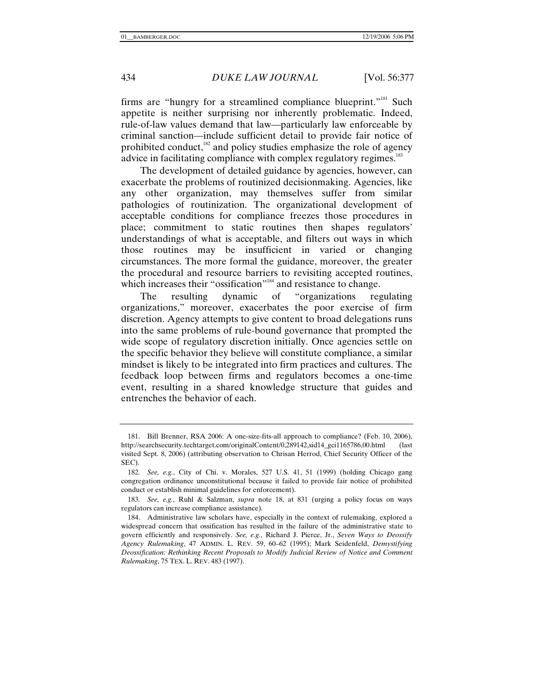firms are "hungry for a streamlined compliance blueprint."181 Such appetite is neither surprising nor inherently problematic. Indeed, rule-of-law values demand that law—particularly law enforceable by criminal sanction—include sufficient detail to provide fair notice of prohibited conduct, $182$  and policy studies emphasize the role of agency advice in facilitating compliance with complex regulatory regimes.<sup>183</sup>

The development of detailed guidance by agencies, however, can exacerbate the problems of routinized decisionmaking. Agencies, like any other organization, may themselves suffer from similar pathologies of routinization. The organizational development of acceptable conditions for compliance freezes those procedures in place; commitment to static routines then shapes regulators' understandings of what is acceptable, and filters out ways in which those routines may be insufficient in varied or changing circumstances. The more formal the guidance, moreover, the greater the procedural and resource barriers to revisiting accepted routines, which increases their "ossification"<sup>184</sup> and resistance to change.

The resulting dynamic of "organizations regulating organizations," moreover, exacerbates the poor exercise of firm discretion. Agency attempts to give content to broad delegations runs into the same problems of rule-bound governance that prompted the wide scope of regulatory discretion initially. Once agencies settle on the specific behavior they believe will constitute compliance, a similar mindset is likely to be integrated into firm practices and cultures. The feedback loop between firms and regulators becomes a one-time event, resulting in a shared knowledge structure that guides and entrenches the behavior of each.

 <sup>181.</sup> Bill Brenner, RSA 2006: A one-size-fits-all approach to compliance? (Feb. 10, 2006), http://searchsecurity.techtarget.com/originalContent/0,289142,sid14\_gci1165786,00.html (last visited Sept. 8, 2006) (attributing observation to Chrisan Herrod, Chief Security Officer of the SEC).

<sup>182</sup>*. See, e.g.*, City of Chi. v. Morales, 527 U.S. 41, 51 (1999) (holding Chicago gang congregation ordinance unconstitutional because it failed to provide fair notice of prohibited conduct or establish minimal guidelines for enforcement).

<sup>183</sup>*. See, e.g.*, Ruhl & Salzman, *supra* note 18, at 831 (urging a policy focus on ways regulators can increase compliance assistance).

 <sup>184.</sup> Administrative law scholars have, especially in the context of rulemaking, explored a widespread concern that ossification has resulted in the failure of the administrative state to govern efficiently and responsively. *See, e.g.*, Richard J. Pierce, Jr., *Seven Ways to Deossify Agency Rulemaking*, 47 ADMIN. L. REV. 59, 60–62 (1995); Mark Seidenfeld, *Demystifying Deossification: Rethinking Recent Proposals to Modify Judicial Review of Notice and Comment Rulemaking*, 75 TEX. L. REV. 483 (1997).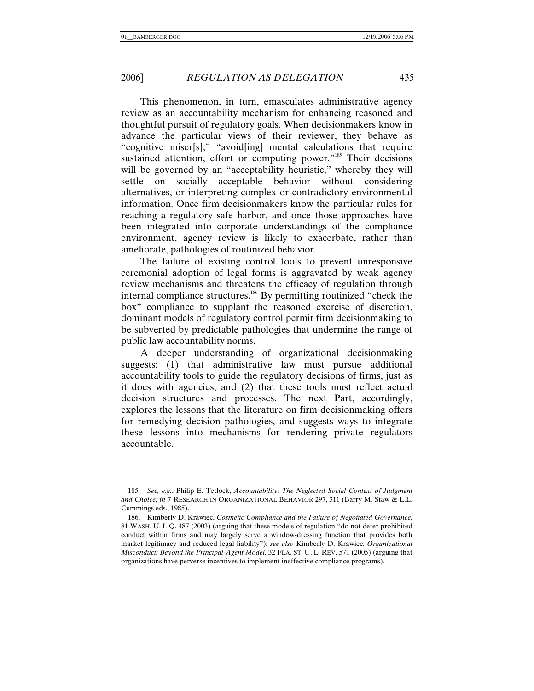This phenomenon, in turn, emasculates administrative agency review as an accountability mechanism for enhancing reasoned and thoughtful pursuit of regulatory goals. When decisionmakers know in advance the particular views of their reviewer, they behave as "cognitive miser[s]," "avoid[ing] mental calculations that require sustained attention, effort or computing power."<sup>185</sup> Their decisions will be governed by an "acceptability heuristic," whereby they will settle on socially acceptable behavior without considering alternatives, or interpreting complex or contradictory environmental information. Once firm decisionmakers know the particular rules for reaching a regulatory safe harbor, and once those approaches have been integrated into corporate understandings of the compliance environment, agency review is likely to exacerbate, rather than ameliorate, pathologies of routinized behavior.

The failure of existing control tools to prevent unresponsive ceremonial adoption of legal forms is aggravated by weak agency review mechanisms and threatens the efficacy of regulation through internal compliance structures.<sup>186</sup> By permitting routinized "check the box" compliance to supplant the reasoned exercise of discretion, dominant models of regulatory control permit firm decisionmaking to be subverted by predictable pathologies that undermine the range of public law accountability norms.

A deeper understanding of organizational decisionmaking suggests: (1) that administrative law must pursue additional accountability tools to guide the regulatory decisions of firms, just as it does with agencies; and (2) that these tools must reflect actual decision structures and processes. The next Part, accordingly, explores the lessons that the literature on firm decisionmaking offers for remedying decision pathologies, and suggests ways to integrate these lessons into mechanisms for rendering private regulators accountable.

<sup>185.</sup> See,e.g., Philip E. Tetlock, Accountability: The Neglected Social Context of Judgment and Choice in 7 RESEARCH IN ORGANIZATIONAL BEHAVIOR 297,311 (Barry M. Staw & L.L. Cummings eds., 1985).

<sup>186.</sup> Kimberly D. Krawiec, Cosmetic Compliance and the Failure of Negotiated Governance 81 WASH . U. L.Q. 487 (2003) (arguing that these models of regulation "do not deter prohibited conduct within firms and may largely serve a window-dressing function that provides both market legitimacy and reduced legal liability"); see also Kimberly D. Krawiec, Organizational Misconduct: Beyond the Principal-Agent Model 32 FLA. ST. U. L. REV. 571 (2005) (arguing that organizations have perverse incentives to implement ineffective compliance programs).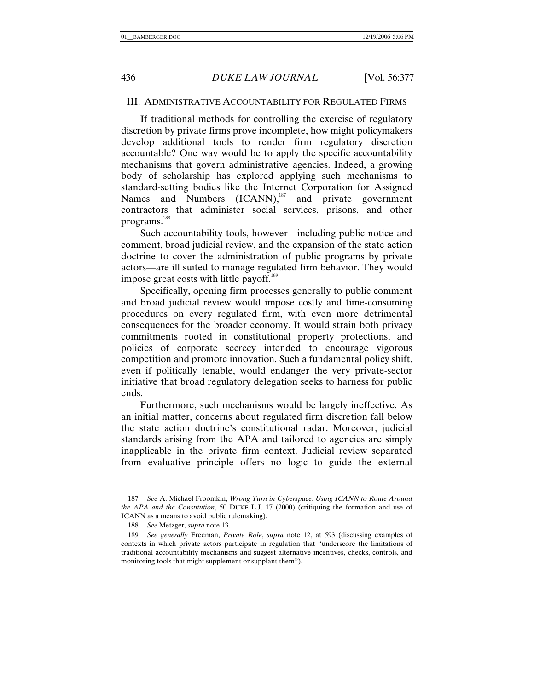#### III. ADMINISTRATIVE ACCOUNTABILITY FOR REGULATED FIRMS

If traditional methods for controlling the exercise of regulatory discretion by private firms prove incomplete, how might policymakers develop additional tools to render firm regulatory discretion accountable? One way would be to apply the specific accountability mechanisms that govern administrative agencies. Indeed, a growing body of scholarship has explored applying such mechanisms to standard-setting bodies like the Internet Corporation for Assigned Names and Numbers (ICANN),<sup>187</sup> and private government contractors that administer social services, prisons, and other programs.<sup>188</sup>

Such accountability tools, however—including public notice and comment, broad judicial review, and the expansion of the state action doctrine to cover the administration of public programs by private actors—are ill suited to manage regulated firm behavior. They would impose great costs with little payoff.<sup>189</sup>

Specifically, opening firm processes generally to public comment and broad judicial review would impose costly and time-consuming procedures on every regulated firm, with even more detrimental consequences for the broader economy. It would strain both privacy commitments rooted in constitutional property protections, and policies of corporate secrecy intended to encourage vigorous competition and promote innovation. Such a fundamental policy shift, even if politically tenable, would endanger the very private-sector initiative that broad regulatory delegation seeks to harness for public ends.

Furthermore, such mechanisms would be largely ineffective. As an initial matter, concerns about regulated firm discretion fall below the state action doctrine's constitutional radar. Moreover, judicial standards arising from the APA and tailored to agencies are simply inapplicable in the private firm context. Judicial review separated from evaluative principle offers no logic to guide the external

<sup>187</sup>*. See* A. Michael Froomkin, *Wrong Turn in Cyberspace: Using ICANN to Route Around the APA and the Constitution*, 50 DUKE L.J. 17 (2000) (critiquing the formation and use of ICANN as a means to avoid public rulemaking).

<sup>188</sup>*. See* Metzger, *supra* note 13.

<sup>189</sup>*. See generally* Freeman, *Private Role*, *supra* note 12, at 593 (discussing examples of contexts in which private actors participate in regulation that "underscore the limitations of traditional accountability mechanisms and suggest alternative incentives, checks, controls, and monitoring tools that might supplement or supplant them").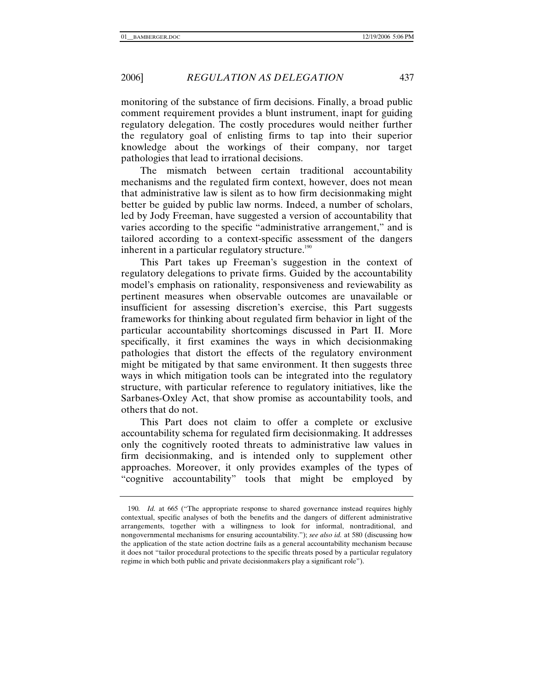monitoring of the substance of firm decisions. Finally, a broad public comment requirement provides a blunt instrument, inapt for guiding regulatory delegation. The costly procedures would neither further the regulatory goal of enlisting firms to tap into their superior knowledge about the workings of their company, nor target pathologies that lead to irrational decisions.

The mismatch between certain traditional accountability mechanisms and the regulated firm context, however, does not mean that administrative law is silent as to how firm decisionmaking might better be guided by public law norms. Indeed, a number of scholars, led by Jody Freeman, have suggested a version of accountability that varies according to the specific "administrative arrangement," and is tailored according to a context-specific assessment of the dangers inherent in a particular regulatory structure. $190$ 

This Part takes up Freeman's suggestion in the context of regulatory delegations to private firms. Guided by the accountability model's emphasis on rationality, responsiveness and reviewability as pertinent measures when observable outcomes are unavailable or insufficient for assessing discretion's exercise, this Part suggests frameworks for thinking about regulated firm behavior in light of the particular accountability shortcomings discussed in Part II. More specifically, it first examines the ways in which decisionmaking pathologies that distort the effects of the regulatory environment might be mitigated by that same environment. It then suggests three ways in which mitigation tools can be integrated into the regulatory structure, with particular reference to regulatory initiatives, like the Sarbanes-Oxley Act, that show promise as accountability tools, and others that do not.

This Part does not claim to offer a complete or exclusive accountability schema for regulated firm decisionmaking. It addresses only the cognitively rooted threats to administrative law values in firm decisionmaking, and is intended only to supplement other approaches. Moreover, it only provides examples of the types of "cognitive accountability" tools that might be employed by

<sup>190</sup>*. Id.* at 665 ("The appropriate response to shared governance instead requires highly contextual, specific analyses of both the benefits and the dangers of different administrative arrangements, together with a willingness to look for informal, nontraditional, and nongovernmental mechanisms for ensuring accountability."); *see also id.* at 580 (discussing how the application of the state action doctrine fails as a general accountability mechanism because it does not "tailor procedural protections to the specific threats posed by a particular regulatory regime in which both public and private decisionmakers play a significant role").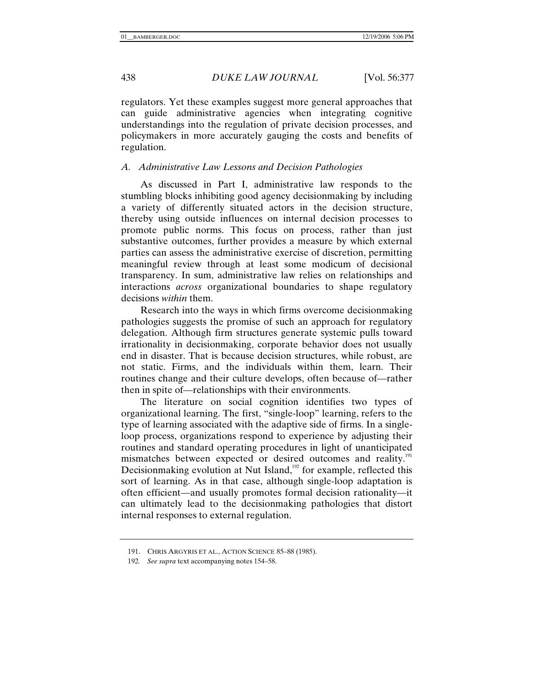regulators. Yet these examples suggest more general approaches that can guide administrative agencies when integrating cognitive understandings into the regulation of private decision processes, and policymakers in more accurately gauging the costs and benefits of regulation.

### *A. Administrative Law Lessons and Decision Pathologies*

As discussed in Part I, administrative law responds to the stumbling blocks inhibiting good agency decisionmaking by including a variety of differently situated actors in the decision structure, thereby using outside influences on internal decision processes to promote public norms. This focus on process, rather than just substantive outcomes, further provides a measure by which external parties can assess the administrative exercise of discretion, permitting meaningful review through at least some modicum of decisional transparency. In sum, administrative law relies on relationships and interactions *across* organizational boundaries to shape regulatory decisions *within* them.

Research into the ways in which firms overcome decisionmaking pathologies suggests the promise of such an approach for regulatory delegation. Although firm structures generate systemic pulls toward irrationality in decisionmaking, corporate behavior does not usually end in disaster. That is because decision structures, while robust, are not static. Firms, and the individuals within them, learn. Their routines change and their culture develops, often because of—rather then in spite of—relationships with their environments.

The literature on social cognition identifies two types of organizational learning. The first, "single-loop" learning, refers to the type of learning associated with the adaptive side of firms. In a singleloop process, organizations respond to experience by adjusting their routines and standard operating procedures in light of unanticipated mismatches between expected or desired outcomes and reality.<sup>191</sup> Decisionmaking evolution at Nut Island, $192$  for example, reflected this sort of learning. As in that case, although single-loop adaptation is often efficient—and usually promotes formal decision rationality—it can ultimately lead to the decisionmaking pathologies that distort internal responses to external regulation.

 <sup>191.</sup> CHRIS ARGYRIS ET AL., ACTION SCIENCE 85–88 (1985).

<sup>192</sup>*. See supra* text accompanying notes 154–58.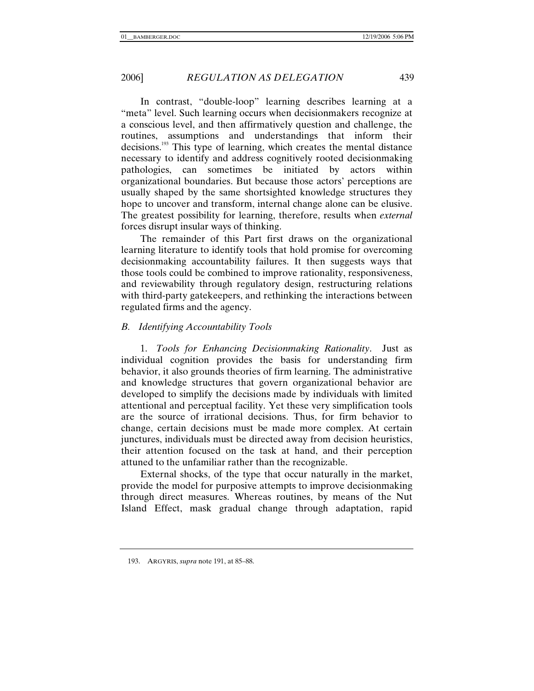In contrast, "double-loop" learning describes learning at a "meta" level. Such learning occurs when decisionmakers recognize at a conscious level, and then affirmatively question and challenge, the routines, assumptions and understandings that inform their decisions.<sup>193</sup> This type of learning, which creates the mental distance necessary to identify and address cognitively rooted decisionmaking pathologies, can sometimes be initiated by actors within organizational boundaries. But because those actors' perceptions are usually shaped by the same shortsighted knowledge structures they hope to uncover and transform, internal change alone can be elusive. The greatest possibility for learning, therefore, results when *external* forces disrupt insular ways of thinking.

The remainder of this Part first draws on the organizational learning literature to identify tools that hold promise for overcoming decisionmaking accountability failures. It then suggests ways that those tools could be combined to improve rationality, responsiveness, and reviewability through regulatory design, restructuring relations with third-party gatekeepers, and rethinking the interactions between regulated firms and the agency.

## *B. Identifying Accountability Tools*

1. *Tools for Enhancing Decisionmaking Rationality*. Just as individual cognition provides the basis for understanding firm behavior, it also grounds theories of firm learning. The administrative and knowledge structures that govern organizational behavior are developed to simplify the decisions made by individuals with limited attentional and perceptual facility. Yet these very simplification tools are the source of irrational decisions. Thus, for firm behavior to change, certain decisions must be made more complex. At certain junctures, individuals must be directed away from decision heuristics, their attention focused on the task at hand, and their perception attuned to the unfamiliar rather than the recognizable.

External shocks, of the type that occur naturally in the market, provide the model for purposive attempts to improve decisionmaking through direct measures. Whereas routines, by means of the Nut Island Effect, mask gradual change through adaptation, rapid

 <sup>193.</sup> ARGYRIS, *supra* note 191, at 85–88.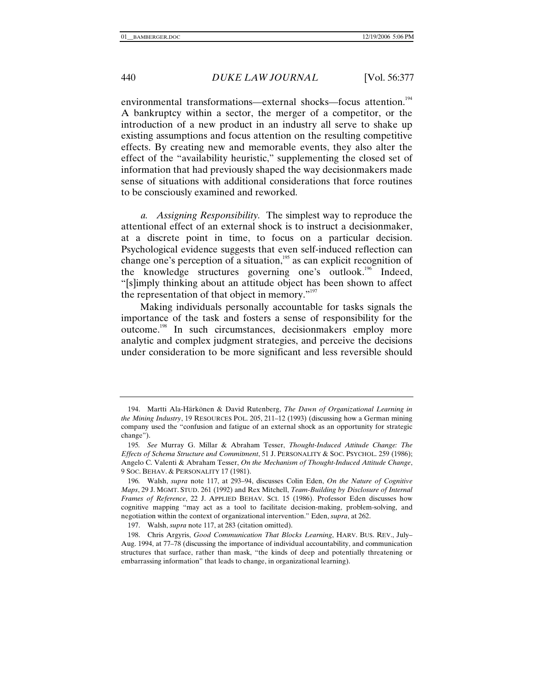environmental transformations—external shocks—focus attention.<sup>194</sup> A bankruptcy within a sector, the merger of a competitor, or the introduction of a new product in an industry all serve to shake up existing assumptions and focus attention on the resulting competitive effects. By creating new and memorable events, they also alter the effect of the "availability heuristic," supplementing the closed set of information that had previously shaped the way decisionmakers made sense of situations with additional considerations that force routines to be consciously examined and reworked.

*a. Assigning Responsibility.* The simplest way to reproduce the attentional effect of an external shock is to instruct a decisionmaker, at a discrete point in time, to focus on a particular decision. Psychological evidence suggests that even self-induced reflection can change one's perception of a situation,<sup>195</sup> as can explicit recognition of the knowledge structures governing one's outlook.<sup>196</sup> Indeed, "[s]imply thinking about an attitude object has been shown to affect the representation of that object in memory. $"''$ 

Making individuals personally accountable for tasks signals the importance of the task and fosters a sense of responsibility for the outcome.<sup>198</sup> In such circumstances, decisionmakers employ more analytic and complex judgment strategies, and perceive the decisions under consideration to be more significant and less reversible should

 <sup>194.</sup> Martti Ala-Härkönen & David Rutenberg, *The Dawn of Organizational Learning in the Mining Industry*, 19 RESOURCES POL. 205, 211–12 (1993) (discussing how a German mining company used the "confusion and fatigue of an external shock as an opportunity for strategic change").

<sup>195</sup>*. See* Murray G. Millar & Abraham Tesser, *Thought-Induced Attitude Change: The Effects of Schema Structure and Commitment*, 51 J. PERSONALITY & SOC. PSYCHOL. 259 (1986); Angelo C. Valenti & Abraham Tesser, *On the Mechanism of Thought-Induced Attitude Change*, 9 SOC. BEHAV. & PERSONALITY 17 (1981).

<sup>196</sup>*.* Walsh, *supra* note 117, at 293–94, discusses Colin Eden, *On the Nature of Cognitive Maps*, 29 J. MGMT. STUD. 261 (1992) and Rex Mitchell, *Team-Building by Disclosure of Internal Frames of Reference*, 22 J. APPLIED BEHAV. SCI. 15 (1986). Professor Eden discusses how cognitive mapping "may act as a tool to facilitate decision-making, problem-solving, and negotiation within the context of organizational intervention." Eden, *supra*, at 262.

 <sup>197.</sup> Walsh, *supra* note 117, at 283 (citation omitted).

 <sup>198.</sup> Chris Argyris, *Good Communication That Blocks Learning*, HARV. BUS. REV., July– Aug. 1994, at 77–78 (discussing the importance of individual accountability, and communication structures that surface, rather than mask, "the kinds of deep and potentially threatening or embarrassing information" that leads to change, in organizational learning).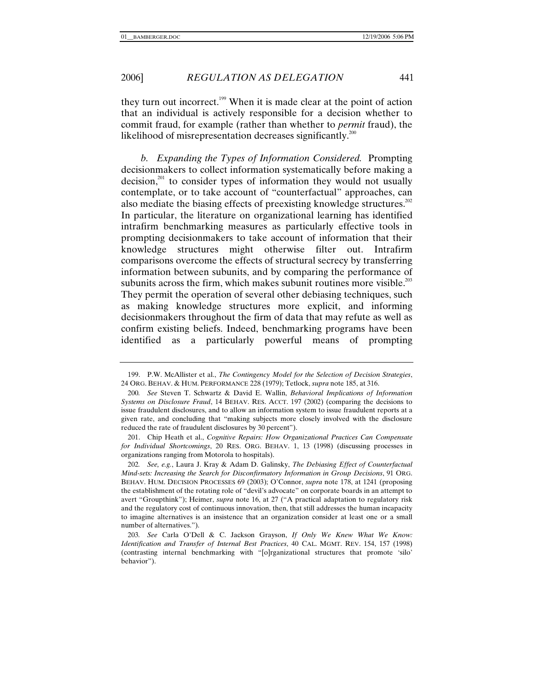they turn out incorrect.199 When it is made clear at the point of action that an individual is actively responsible for a decision whether to commit fraud, for example (rather than whether to *permit* fraud), the likelihood of misrepresentation decreases significantly.<sup>200</sup>

*b. Expanding the Types of Information Considered.* Prompting decisionmakers to collect information systematically before making a  $\alpha$  decision,<sup>201</sup> to consider types of information they would not usually contemplate, or to take account of "counterfactual" approaches, can also mediate the biasing effects of preexisting knowledge structures.<sup>202</sup> In particular, the literature on organizational learning has identified intrafirm benchmarking measures as particularly effective tools in prompting decisionmakers to take account of information that their knowledge structures might otherwise filter out. Intrafirm comparisons overcome the effects of structural secrecy by transferring information between subunits, and by comparing the performance of subunits across the firm, which makes subunit routines more visible.<sup>203</sup> They permit the operation of several other debiasing techniques, such as making knowledge structures more explicit, and informing decisionmakers throughout the firm of data that may refute as well as confirm existing beliefs. Indeed, benchmarking programs have been identified as a particularly powerful means of prompting

202*. See, e.g.*, Laura J. Kray & Adam D. Galinsky, *The Debiasing Effect of Counterfactual Mind-sets: Increasing the Search for Disconfirmatory Information in Group Decisions*, 91 ORG. BEHAV. HUM. DECISION PROCESSES 69 (2003); O'Connor, *supra* note 178, at 1241 (proposing the establishment of the rotating role of "devil's advocate" on corporate boards in an attempt to avert "Groupthink"); Heimer, *supra* note 16, at 27 ("A practical adaptation to regulatory risk and the regulatory cost of continuous innovation, then, that still addresses the human incapacity to imagine alternatives is an insistence that an organization consider at least one or a small number of alternatives.").

203*. See* Carla O'Dell & C. Jackson Grayson, *If Only We Knew What We Know: Identification and Transfer of Internal Best Practices*, 40 CAL. MGMT. REV. 154, 157 (1998) (contrasting internal benchmarking with "[o]rganizational structures that promote 'silo' behavior").

 <sup>199.</sup> P.W. McAllister et al., *The Contingency Model for the Selection of Decision Strategies*, 24 ORG. BEHAV. & HUM. PERFORMANCE 228 (1979); Tetlock, *supra* note 185, at 316.

<sup>200</sup>*. See* Steven T. Schwartz & David E. Wallin, *Behavioral Implications of Information Systems on Disclosure Fraud*, 14 BEHAV. RES. ACCT. 197 (2002) (comparing the decisions to issue fraudulent disclosures, and to allow an information system to issue fraudulent reports at a given rate, and concluding that "making subjects more closely involved with the disclosure reduced the rate of fraudulent disclosures by 30 percent").

 <sup>201.</sup> Chip Heath et al., *Cognitive Repairs: How Organizational Practices Can Compensate for Individual Shortcomings*, 20 RES. ORG. BEHAV. 1, 13 (1998) (discussing processes in organizations ranging from Motorola to hospitals).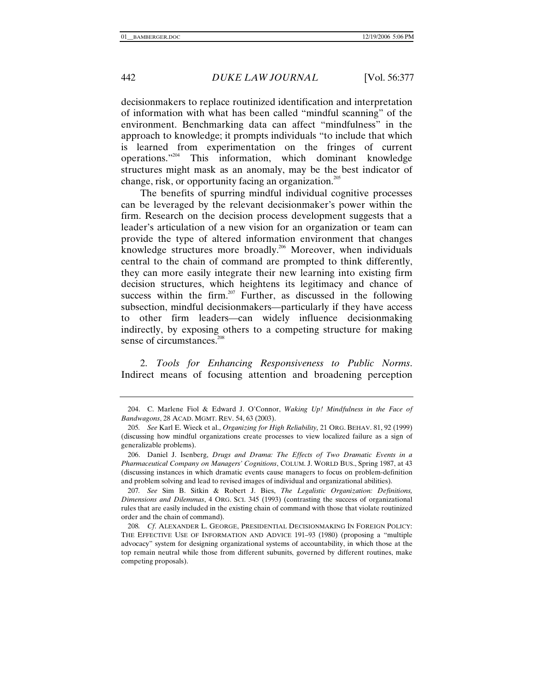decisionmakers to replace routinized identification and interpretation of information with what has been called "mindful scanning" of the environment. Benchmarking data can affect "mindfulness" in the approach to knowledge; it prompts individuals "to include that which is learned from experimentation on the fringes of current operations."204 This information, which dominant knowledge structures might mask as an anomaly, may be the best indicator of change, risk, or opportunity facing an organization.<sup>205</sup>

The benefits of spurring mindful individual cognitive processes can be leveraged by the relevant decisionmaker's power within the firm. Research on the decision process development suggests that a leader's articulation of a new vision for an organization or team can provide the type of altered information environment that changes knowledge structures more broadly.<sup>206</sup> Moreover, when individuals central to the chain of command are prompted to think differently, they can more easily integrate their new learning into existing firm decision structures, which heightens its legitimacy and chance of success within the firm. $207$  Further, as discussed in the following subsection, mindful decisionmakers—particularly if they have access to other firm leaders—can widely influence decisionmaking indirectly, by exposing others to a competing structure for making sense of circumstances.<sup>2</sup>

2. *Tools for Enhancing Responsiveness to Public Norms*. Indirect means of focusing attention and broadening perception

 <sup>204.</sup> C. Marlene Fiol & Edward J. O'Connor, *Waking Up! Mindfulness in the Face of Bandwagons*, 28 ACAD. MGMT. REV. 54, 63 (2003).

<sup>205</sup>*. See* Karl E. Wieck et al., *Organizing for High Reliability,* 21 ORG. BEHAV. 81, 92 (1999) (discussing how mindful organizations create processes to view localized failure as a sign of generalizable problems).

 <sup>206.</sup> Daniel J. Isenberg, *Drugs and Drama: The Effects of Two Dramatic Events in a Pharmaceutical Company on Managers' Cognitions*, COLUM. J. WORLD BUS., Spring 1987, at 43 (discussing instances in which dramatic events cause managers to focus on problem-definition and problem solving and lead to revised images of individual and organizational abilities).

<sup>207</sup>*. See* Sim B. Sitkin & Robert J. Bies, *The Legalistic Organization: Definitions, Dimensions and Dilemmas*, 4 ORG. SCI. 345 (1993) (contrasting the success of organizational rules that are easily included in the existing chain of command with those that violate routinized order and the chain of command).

<sup>208</sup>*. Cf*. ALEXANDER L. GEORGE, PRESIDENTIAL DECISIONMAKING IN FOREIGN POLICY: THE EFFECTIVE USE OF INFORMATION AND ADVICE 191–93 (1980) (proposing a "multiple advocacy" system for designing organizational systems of accountability, in which those at the top remain neutral while those from different subunits, governed by different routines, make competing proposals).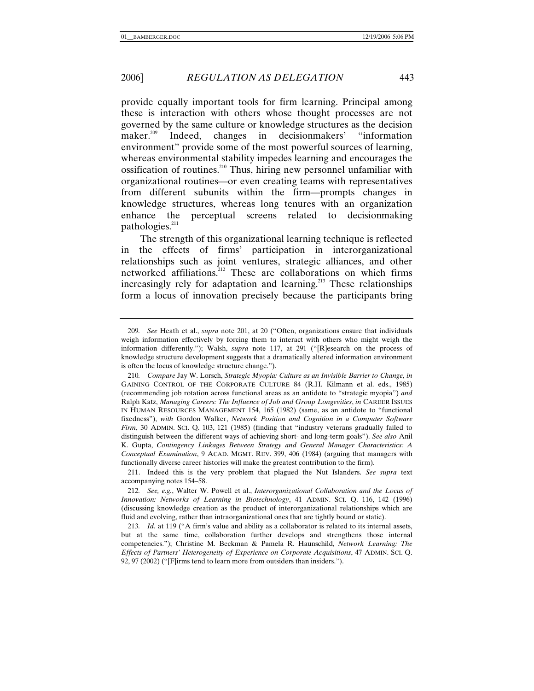provide equally important tools for firm learning. Principal among these is interaction with others whose thought processes are not governed by the same culture or knowledge structures as the decision maker.<sup>209</sup> Indeed, changes in decisionmakers' "information environment" provide some of the most powerful sources of learning, whereas environmental stability impedes learning and encourages the ossification of routines.<sup>210</sup> Thus, hiring new personnel unfamiliar with organizational routines—or even creating teams with representatives from different subunits within the firm—prompts changes in knowledge structures, whereas long tenures with an organization enhance the perceptual screens related to decisionmaking pathologies.<sup>211</sup>

The strength of this organizational learning technique is reflected in the effects of firms' participation in interorganizational relationships such as joint ventures, strategic alliances, and other networked affiliations.<sup>212</sup> These are collaborations on which firms increasingly rely for adaptation and learning.<sup>213</sup> These relationships form a locus of innovation precisely because the participants bring

212*. See, e.g.*, Walter W. Powell et al., *Interorganizational Collaboration and the Locus of Innovation: Networks of Learning in Biotechnology*, 41 ADMIN. SCI. Q. 116, 142 (1996) (discussing knowledge creation as the product of interorganizational relationships which are fluid and evolving, rather than intraorganizational ones that are tightly bound or static).

<sup>209</sup>*. See* Heath et al., *supra* note 201, at 20 ("Often, organizations ensure that individuals weigh information effectively by forcing them to interact with others who might weigh the information differently."); Walsh, *supra* note 117, at 291 ("[R]esearch on the process of knowledge structure development suggests that a dramatically altered information environment is often the locus of knowledge structure change.").

<sup>210</sup>*. Compare* Jay W. Lorsch, *Strategic Myopia: Culture as an Invisible Barrier to Change*, *in* GAINING CONTROL OF THE CORPORATE CULTURE 84 (R.H. Kilmann et al. eds., 1985) (recommending job rotation across functional areas as an antidote to "strategic myopia") *and* Ralph Katz, *Managing Careers: The Influence of Job and Group Longevities*, *in* CAREER ISSUES IN HUMAN RESOURCES MANAGEMENT 154, 165 (1982) (same, as an antidote to "functional fixedness"), *with* Gordon Walker, *Network Position and Cognition in a Computer Software Firm*, 30 ADMIN. SCI. Q. 103, 121 (1985) (finding that "industry veterans gradually failed to distinguish between the different ways of achieving short- and long-term goals"). *See also* Anil K. Gupta, *Contingency Linkages Between Strategy and General Manager Characteristics: A Conceptual Examination*, 9 ACAD. MGMT. REV. 399, 406 (1984) (arguing that managers with functionally diverse career histories will make the greatest contribution to the firm).

 <sup>211.</sup> Indeed this is the very problem that plagued the Nut Islanders. *See supra* text accompanying notes 154–58.

<sup>213</sup>*. Id.* at 119 ("A firm's value and ability as a collaborator is related to its internal assets, but at the same time, collaboration further develops and strengthens those internal competencies."); Christine M. Beckman & Pamela R. Haunschild, *Network Learning: The Effects of Partners' Heterogeneity of Experience on Corporate Acquisitions*, 47 ADMIN. SCI. Q. 92, 97 (2002) ("[F]irms tend to learn more from outsiders than insiders.").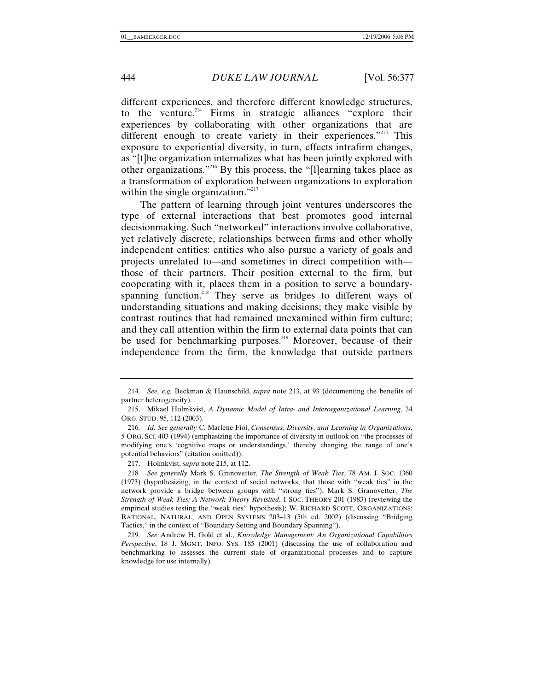different experiences, and therefore different knowledge structures, to the venture.<sup>214</sup> Firms in strategic alliances "explore their experiences by collaborating with other organizations that are different enough to create variety in their experiences."<sup>215</sup> This exposure to experiential diversity, in turn, effects intrafirm changes, as "[t]he organization internalizes what has been jointly explored with other organizations."216 By this process, the "[l]earning takes place as a transformation of exploration between organizations to exploration within the single organization."<sup>217</sup>

The pattern of learning through joint ventures underscores the type of external interactions that best promotes good internal decisionmaking. Such "networked" interactions involve collaborative, yet relatively discrete, relationships between firms and other wholly independent entities: entities who also pursue a variety of goals and projects unrelated to—and sometimes in direct competition with those of their partners. Their position external to the firm, but cooperating with it, places them in a position to serve a boundaryspanning function.<sup>218</sup> They serve as bridges to different ways of understanding situations and making decisions; they make visible by contrast routines that had remained unexamined within firm culture; and they call attention within the firm to external data points that can be used for benchmarking purposes.<sup>219</sup> Moreover, because of their independence from the firm, the knowledge that outside partners

<sup>214</sup>*. See, e.g.* Beckman & Haunschild, *supra* note 213, at 93 (documenting the benefits of partner heterogeneity).

 <sup>215.</sup> Mikael Holmkvist, *A Dynamic Model of Intra- and Interorganizational Learning*, 24 ORG. STUD. 95, 112 (2003).

<sup>216</sup>*. Id. See generally* C. Marlene Fiol, *Consensus, Diversity, and Learning in Organizations*, 5 ORG. SCI. 403 (1994) (emphasizing the importance of diversity in outlook on "the processes of modifying one's 'cognitive maps or understandings,' thereby changing the range of one's potential behaviors" (citation omitted)).

 <sup>217.</sup> Holmkvist, *supra* note 215, at 112.

<sup>218</sup>*. See generally* Mark S. Granovetter, *The Strength of Weak Ties*, 78 AM. J. SOC. 1360 (1973) (hypothesizing, in the context of social networks, that those with "weak ties" in the network provide a bridge between groups with "strong ties"); Mark S. Granovetter, *The Strength of Weak Ties: A Network Theory Revisited*, 1 SOC. THEORY 201 (1983) (reviewing the empirical studies testing the "weak ties" hypothesis); W. RICHARD SCOTT, ORGANIZATIONS: RATIONAL, NATURAL, AND OPEN SYSTEMS 203–13 (5th ed. 2002) (discussing "Bridging Tactics," in the context of "Boundary Setting and Boundary Spanning").

<sup>219</sup>*. See* Andrew H. Gold et al., *Knowledge Management: An Organizational Capabilities Perspective*, 18 J. MGMT. INFO. SYS. 185 (2001) (discussing the use of collaboration and benchmarking to assesses the current state of organizational processes and to capture knowledge for use internally).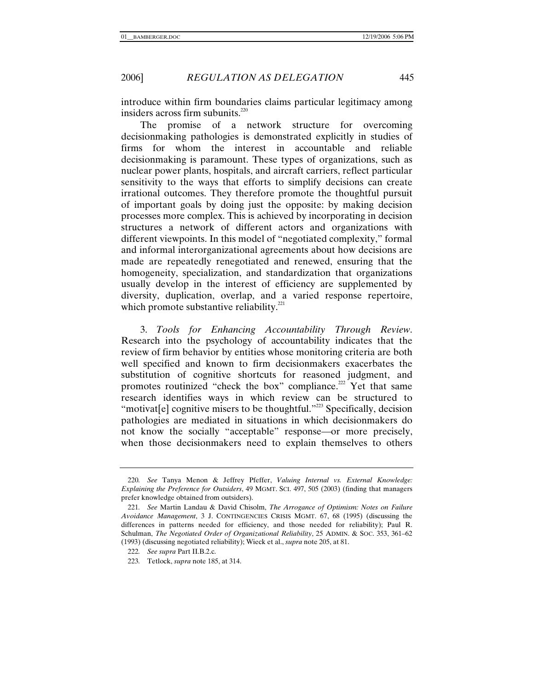introduce within firm boundaries claims particular legitimacy among insiders across firm subunits. $220$ 

The promise of a network structure for overcoming decisionmaking pathologies is demonstrated explicitly in studies of firms for whom the interest in accountable and reliable decisionmaking is paramount. These types of organizations, such as nuclear power plants, hospitals, and aircraft carriers, reflect particular sensitivity to the ways that efforts to simplify decisions can create irrational outcomes. They therefore promote the thoughtful pursuit of important goals by doing just the opposite: by making decision processes more complex. This is achieved by incorporating in decision structures a network of different actors and organizations with different viewpoints. In this model of "negotiated complexity," formal and informal interorganizational agreements about how decisions are made are repeatedly renegotiated and renewed, ensuring that the homogeneity, specialization, and standardization that organizations usually develop in the interest of efficiency are supplemented by diversity, duplication, overlap, and a varied response repertoire, which promote substantive reliability.<sup>221</sup>

3. *Tools for Enhancing Accountability Through Review*. Research into the psychology of accountability indicates that the review of firm behavior by entities whose monitoring criteria are both well specified and known to firm decisionmakers exacerbates the substitution of cognitive shortcuts for reasoned judgment, and promotes routinized "check the box" compliance.<sup>222</sup> Yet that same research identifies ways in which review can be structured to "motivat[e] cognitive misers to be thoughtful."<sup>223</sup> Specifically, decision pathologies are mediated in situations in which decisionmakers do not know the socially "acceptable" response—or more precisely, when those decisionmakers need to explain themselves to others

<sup>220</sup>*. See* Tanya Menon & Jeffrey Pfeffer, *Valuing Internal vs. External Knowledge: Explaining the Preference for Outsiders*, 49 MGMT. SCI. 497, 505 (2003) (finding that managers prefer knowledge obtained from outsiders).

<sup>221</sup>*. See* Martin Landau & David Chisolm, *The Arrogance of Optimism: Notes on Failure Avoidance Management*, 3 J. CONTINGENCIES CRISIS MGMT. 67, 68 (1995) (discussing the differences in patterns needed for efficiency, and those needed for reliability); Paul R. Schulman, *The Negotiated Order of Organizational Reliability*, 25 ADMIN. & SOC. 353, 361–62 (1993) (discussing negotiated reliability); Wieck et al., *supra* note 205, at 81.

<sup>222</sup>*. See supra* Part II.B.2.c.

<sup>223</sup>*.* Tetlock, *supra* note 185, at 314.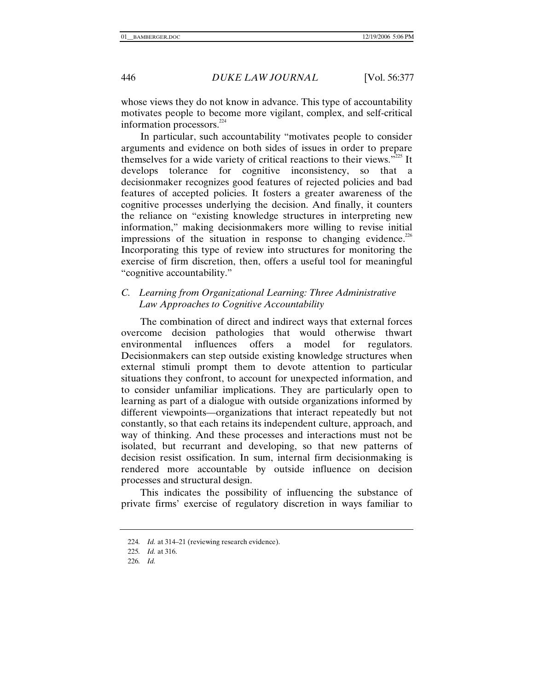whose views they do not know in advance. This type of accountability motivates people to become more vigilant, complex, and self-critical information processors. $^{224}$ 

In particular, such accountability "motivates people to consider arguments and evidence on both sides of issues in order to prepare themselves for a wide variety of critical reactions to their views."<sup> $225$ </sup> It develops tolerance for cognitive inconsistency, so that a decisionmaker recognizes good features of rejected policies and bad features of accepted policies. It fosters a greater awareness of the cognitive processes underlying the decision. And finally, it counters the reliance on "existing knowledge structures in interpreting new information," making decisionmakers more willing to revise initial impressions of the situation in response to changing evidence.<sup>226</sup> Incorporating this type of review into structures for monitoring the exercise of firm discretion, then, offers a useful tool for meaningful "cognitive accountability."

# *C. Learning from Organizational Learning: Three Administrative Law Approaches to Cognitive Accountability*

The combination of direct and indirect ways that external forces overcome decision pathologies that would otherwise thwart environmental influences offers a model for regulators. Decisionmakers can step outside existing knowledge structures when external stimuli prompt them to devote attention to particular situations they confront, to account for unexpected information, and to consider unfamiliar implications. They are particularly open to learning as part of a dialogue with outside organizations informed by different viewpoints—organizations that interact repeatedly but not constantly, so that each retains its independent culture, approach, and way of thinking. And these processes and interactions must not be isolated, but recurrant and developing, so that new patterns of decision resist ossification. In sum, internal firm decisionmaking is rendered more accountable by outside influence on decision processes and structural design.

This indicates the possibility of influencing the substance of private firms' exercise of regulatory discretion in ways familiar to

<sup>224</sup>*. Id.* at 314–21 (reviewing research evidence).

<sup>225</sup>*. Id.* at 316.

<sup>226</sup>*. Id.*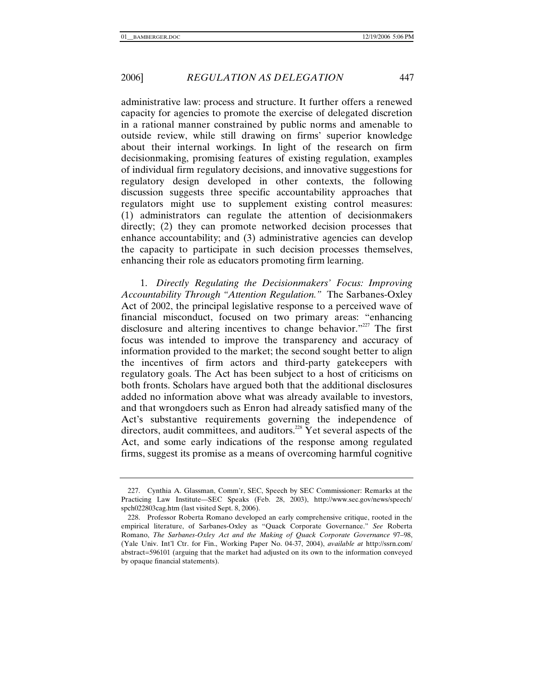administrative law: process and structure. It further offers a renewed capacity for agencies to promote the exercise of delegated discretion in a rational manner constrained by public norms and amenable to outside review, while still drawing on firms' superior knowledge about their internal workings. In light of the research on firm decisionmaking, promising features of existing regulation, examples of individual firm regulatory decisions, and innovative suggestions for regulatory design developed in other contexts, the following discussion suggests three specific accountability approaches that regulators might use to supplement existing control measures: (1) administrators can regulate the attention of decisionmakers directly; (2) they can promote networked decision processes that enhance accountability; and (3) administrative agencies can develop the capacity to participate in such decision processes themselves, enhancing their role as educators promoting firm learning.

1. *Directly Regulating the Decisionmakers' Focus: Improving Accountability Through "Attention Regulation."* The Sarbanes-Oxley Act of 2002, the principal legislative response to a perceived wave of financial misconduct, focused on two primary areas: "enhancing disclosure and altering incentives to change behavior."<sup>227</sup> The first focus was intended to improve the transparency and accuracy of information provided to the market; the second sought better to align the incentives of firm actors and third-party gatekeepers with regulatory goals. The Act has been subject to a host of criticisms on both fronts. Scholars have argued both that the additional disclosures added no information above what was already available to investors, and that wrongdoers such as Enron had already satisfied many of the Act's substantive requirements governing the independence of directors, audit committees, and auditors.<sup>228</sup> Yet several aspects of the Act, and some early indications of the response among regulated firms, suggest its promise as a means of overcoming harmful cognitive

 <sup>227.</sup> Cynthia A. Glassman, Comm'r, SEC, Speech by SEC Commissioner: Remarks at the Practicing Law Institute—SEC Speaks (Feb. 28, 2003), http://www.sec.gov/news/speech/ spch022803cag.htm (last visited Sept. 8, 2006).

 <sup>228.</sup> Professor Roberta Romano developed an early comprehensive critique, rooted in the empirical literature, of Sarbanes-Oxley as "Quack Corporate Governance." *See* Roberta Romano, *The Sarbanes-Oxley Act and the Making of Quack Corporate Governance* 97–98, (Yale Univ. Int'l Ctr. for Fin., Working Paper No. 04-37, 2004), *available at* http://ssrn.com/ abstract=596101 (arguing that the market had adjusted on its own to the information conveyed by opaque financial statements).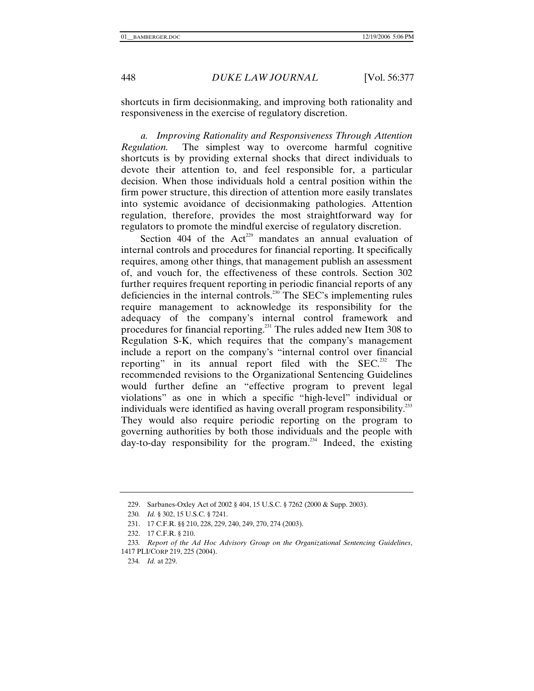shortcuts in firm decisionmaking, and improving both rationality and responsiveness in the exercise of regulatory discretion.

*a. Improving Rationality and Responsiveness Through Attention Regulation.* The simplest way to overcome harmful cognitive shortcuts is by providing external shocks that direct individuals to devote their attention to, and feel responsible for, a particular decision. When those individuals hold a central position within the firm power structure, this direction of attention more easily translates into systemic avoidance of decisionmaking pathologies. Attention regulation, therefore, provides the most straightforward way for regulators to promote the mindful exercise of regulatory discretion.

Section 404 of the Act<sup>229</sup> mandates an annual evaluation of internal controls and procedures for financial reporting. It specifically requires, among other things, that management publish an assessment of, and vouch for, the effectiveness of these controls. Section 302 further requires frequent reporting in periodic financial reports of any deficiencies in the internal controls.<sup>230</sup> The SEC's implementing rules require management to acknowledge its responsibility for the adequacy of the company's internal control framework and procedures for financial reporting.<sup>231</sup> The rules added new Item 308 to Regulation S-K, which requires that the company's management include a report on the company's "internal control over financial reporting" in its annual report filed with the SEC.<sup>232</sup> The recommended revisions to the Organizational Sentencing Guidelines would further define an "effective program to prevent legal violations" as one in which a specific "high-level" individual or individuals were identified as having overall program responsibility.<sup>233</sup> They would also require periodic reporting on the program to governing authorities by both those individuals and the people with  $day-to-day$  responsibility for the program.<sup>234</sup> Indeed, the existing

 <sup>229.</sup> Sarbanes-Oxley Act of 2002 § 404, 15 U.S.C. § 7262 (2000 & Supp. 2003).

<sup>230</sup>*. Id.* § 302, 15 U.S.C. § 7241.

 <sup>231. 17</sup> C.F.R. §§ 210, 228, 229, 240, 249, 270, 274 (2003).

 <sup>232. 17</sup> C.F.R. § 210.

<sup>233</sup>*. Report of the Ad Hoc Advisory Group on the Organizational Sentencing Guidelines*, 1417 PLI/CORP 219, 225 (2004).

<sup>234</sup>*. Id.* at 229.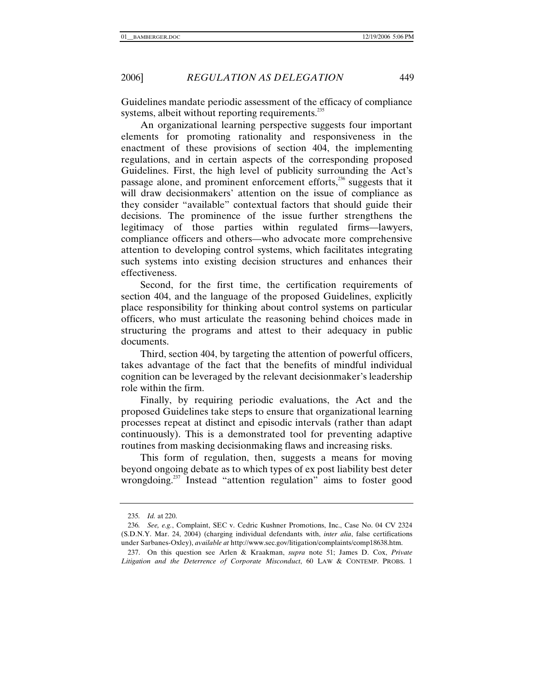Guidelines mandate periodic assessment of the efficacy of compliance systems, albeit without reporting requirements.<sup>235</sup>

An organizational learning perspective suggests four important elements for promoting rationality and responsiveness in the enactment of these provisions of section 404, the implementing regulations, and in certain aspects of the corresponding proposed Guidelines. First, the high level of publicity surrounding the Act's passage alone, and prominent enforcement efforts,<sup>236</sup> suggests that it will draw decisionmakers' attention on the issue of compliance as they consider "available" contextual factors that should guide their decisions. The prominence of the issue further strengthens the legitimacy of those parties within regulated firms—lawyers, compliance officers and others—who advocate more comprehensive attention to developing control systems, which facilitates integrating such systems into existing decision structures and enhances their effectiveness.

Second, for the first time, the certification requirements of section 404, and the language of the proposed Guidelines, explicitly place responsibility for thinking about control systems on particular officers, who must articulate the reasoning behind choices made in structuring the programs and attest to their adequacy in public documents.

Third, section 404, by targeting the attention of powerful officers, takes advantage of the fact that the benefits of mindful individual cognition can be leveraged by the relevant decisionmaker's leadership role within the firm.

Finally, by requiring periodic evaluations, the Act and the proposed Guidelines take steps to ensure that organizational learning processes repeat at distinct and episodic intervals (rather than adapt continuously). This is a demonstrated tool for preventing adaptive routines from masking decisionmaking flaws and increasing risks.

This form of regulation, then, suggests a means for moving beyond ongoing debate as to which types of ex post liability best deter wrongdoing.<sup>237</sup> Instead "attention regulation" aims to foster good

<sup>235</sup>*. Id.* at 220.

<sup>236</sup>*. See, e.g.*, Complaint, SEC v. Cedric Kushner Promotions, Inc., Case No. 04 CV 2324 (S.D.N.Y. Mar. 24, 2004) (charging individual defendants with, *inter alia*, false certifications under Sarbanes-Oxley), *available at* http://www.sec.gov/litigation/complaints/comp18638.htm.

 <sup>237.</sup> On this question see Arlen & Kraakman, *supra* note 51; James D. Cox, *Private Litigation and the Deterrence of Corporate Misconduct*, 60 LAW & CONTEMP. PROBS. 1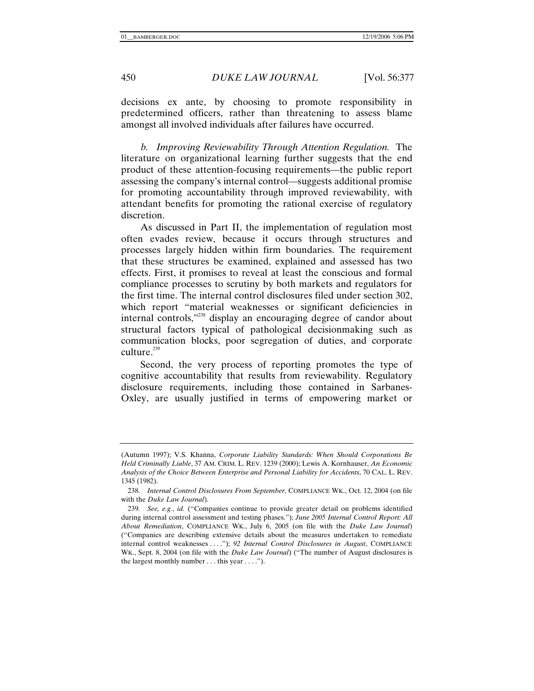decisions ex ante, by choosing to promote responsibility in predetermined officers, rather than threatening to assess blame amongst all involved individuals after failures have occurred.

*b. Improving Reviewability Through Attention Regulation.* The literature on organizational learning further suggests that the end product of these attention-focusing requirements—the public report assessing the company's internal control—suggests additional promise for promoting accountability through improved reviewability, with attendant benefits for promoting the rational exercise of regulatory discretion.

As discussed in Part II, the implementation of regulation most often evades review, because it occurs through structures and processes largely hidden within firm boundaries. The requirement that these structures be examined, explained and assessed has two effects. First, it promises to reveal at least the conscious and formal compliance processes to scrutiny by both markets and regulators for the first time. The internal control disclosures filed under section 302, which report "material weaknesses or significant deficiencies in internal controls,"238 display an encouraging degree of candor about structural factors typical of pathological decisionmaking such as communication blocks, poor segregation of duties, and corporate culture. $^{239}$ 

Second, the very process of reporting promotes the type of cognitive accountability that results from reviewability. Regulatory disclosure requirements, including those contained in Sarbanes-Oxley, are usually justified in terms of empowering market or

<sup>(</sup>Autumn 1997); V.S. Khanna, *Corporate Liability Standards: When Should Corporations Be Held Criminally Liable*, 37 AM. CRIM. L. REV. 1239 (2000); Lewis A. Kornhauser, *An Economic Analysis of the Choice Between Enterprise and Personal Liability for Accidents*, 70 CAL. L. REV. 1345 (1982).

<sup>238</sup>*. Internal Control Disclosures From September*, COMPLIANCE WK., Oct. 12, 2004 (on file with the *Duke Law Journal*).

<sup>239</sup>*. See, e.g.*, *id.* ("Companies continue to provide greater detail on problems identified during internal control assessment and testing phases."); *June 2005 Internal Control Report: All About Remediation*, COMPLIANCE WK., July 6, 2005 (on file with the *Duke Law Journal*) ("Companies are describing extensive details about the measures undertaken to remediate internal control weaknesses . . . ."); *92 Internal Control Disclosures in August*, COMPLIANCE WK., Sept. 8, 2004 (on file with the *Duke Law Journal*) ("The number of August disclosures is the largest monthly number . . . this year . . . .").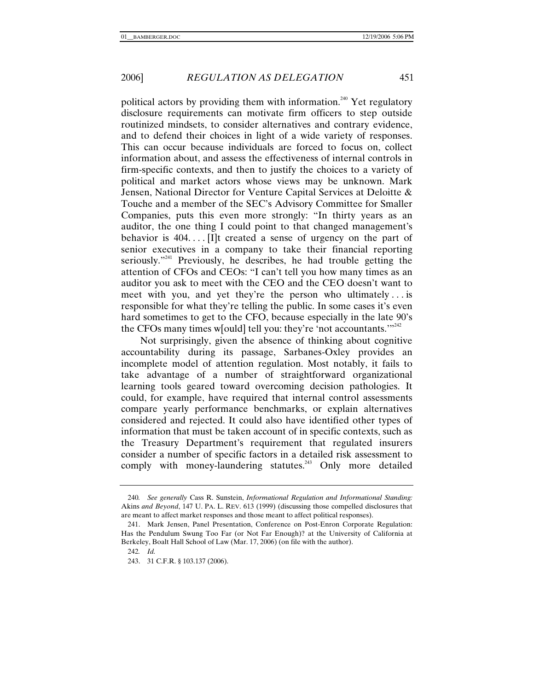political actors by providing them with information.<sup>240</sup> Yet regulatory disclosure requirements can motivate firm officers to step outside routinized mindsets, to consider alternatives and contrary evidence, and to defend their choices in light of a wide variety of responses. This can occur because individuals are forced to focus on, collect information about, and assess the effectiveness of internal controls in firm-specific contexts, and then to justify the choices to a variety of political and market actors whose views may be unknown. Mark Jensen, National Director for Venture Capital Services at Deloitte & Touche and a member of the SEC's Advisory Committee for Smaller Companies, puts this even more strongly: "In thirty years as an auditor, the one thing I could point to that changed management's behavior is  $404...$  [I]t created a sense of urgency on the part of senior executives in a company to take their financial reporting seriously."<sup>241</sup> Previously, he describes, he had trouble getting the attention of CFOs and CEOs: "I can't tell you how many times as an auditor you ask to meet with the CEO and the CEO doesn't want to meet with you, and yet they're the person who ultimately . . . is responsible for what they're telling the public. In some cases it's even hard sometimes to get to the CFO, because especially in the late 90's the CFOs many times w[ould] tell you: they're 'not accountants. $"''^{242}$ 

Not surprisingly, given the absence of thinking about cognitive accountability during its passage, Sarbanes-Oxley provides an incomplete model of attention regulation. Most notably, it fails to take advantage of a number of straightforward organizational learning tools geared toward overcoming decision pathologies. It could, for example, have required that internal control assessments compare yearly performance benchmarks, or explain alternatives considered and rejected. It could also have identified other types of information that must be taken account of in specific contexts, such as the Treasury Department's requirement that regulated insurers consider a number of specific factors in a detailed risk assessment to comply with money-laundering statutes.<sup>243</sup> Only more detailed

<sup>240</sup>*. See generally* Cass R. Sunstein, *Informational Regulation and Informational Standing:*  Akins *and Beyond*, 147 U. PA. L. REV. 613 (1999) (discussing those compelled disclosures that are meant to affect market responses and those meant to affect political responses).

 <sup>241.</sup> Mark Jensen, Panel Presentation, Conference on Post-Enron Corporate Regulation: Has the Pendulum Swung Too Far (or Not Far Enough)? at the University of California at Berkeley, Boalt Hall School of Law (Mar. 17, 2006) (on file with the author).

<sup>242</sup>*. Id.*

 <sup>243. 31</sup> C.F.R. § 103.137 (2006).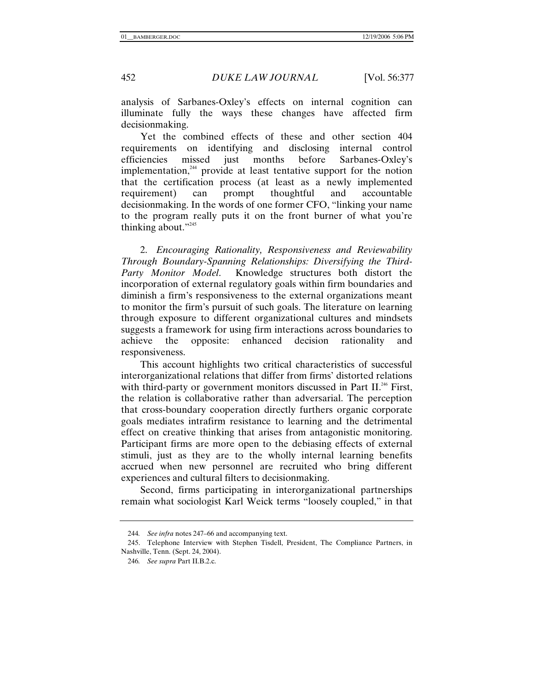analysis of Sarbanes-Oxley's effects on internal cognition can illuminate fully the ways these changes have affected firm decisionmaking.

Yet the combined effects of these and other section 404 requirements on identifying and disclosing internal control efficiencies missed just months before Sarbanes-Oxley's implementation, $244$  provide at least tentative support for the notion that the certification process (at least as a newly implemented requirement) can prompt thoughtful and accountable decisionmaking. In the words of one former CFO, "linking your name to the program really puts it on the front burner of what you're thinking about."<sup>245</sup>

2. *Encouraging Rationality, Responsiveness and Reviewability Through Boundary-Spanning Relationships: Diversifying the Third-Party Monitor Model*. Knowledge structures both distort the incorporation of external regulatory goals within firm boundaries and diminish a firm's responsiveness to the external organizations meant to monitor the firm's pursuit of such goals. The literature on learning through exposure to different organizational cultures and mindsets suggests a framework for using firm interactions across boundaries to achieve the opposite: enhanced decision rationality and responsiveness.

This account highlights two critical characteristics of successful interorganizational relations that differ from firms' distorted relations with third-party or government monitors discussed in Part II.<sup>246</sup> First, the relation is collaborative rather than adversarial. The perception that cross-boundary cooperation directly furthers organic corporate goals mediates intrafirm resistance to learning and the detrimental effect on creative thinking that arises from antagonistic monitoring. Participant firms are more open to the debiasing effects of external stimuli, just as they are to the wholly internal learning benefits accrued when new personnel are recruited who bring different experiences and cultural filters to decisionmaking.

Second, firms participating in interorganizational partnerships remain what sociologist Karl Weick terms "loosely coupled," in that

<sup>244</sup>*. See infra* notes 247–66 and accompanying text.

 <sup>245.</sup> Telephone Interview with Stephen Tisdell, President, The Compliance Partners, in Nashville, Tenn. (Sept. 24, 2004).

<sup>246</sup>*. See supra* Part II.B.2.c.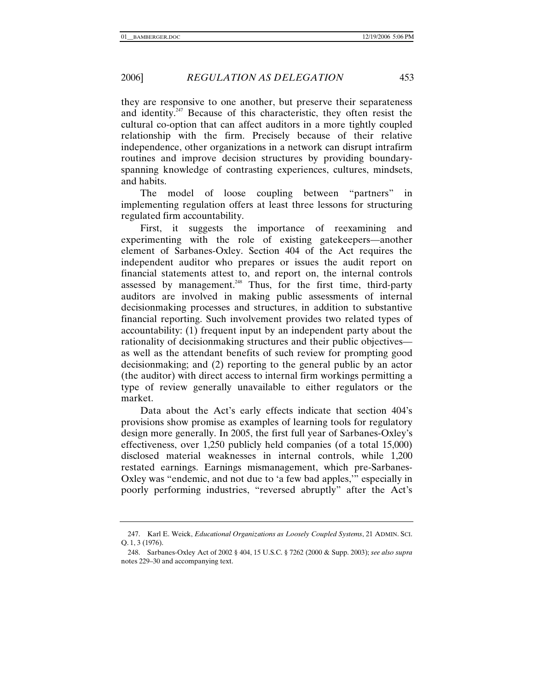they are responsive to one another, but preserve their separateness and identity.<sup>247</sup> Because of this characteristic, they often resist the cultural co-option that can affect auditors in a more tightly coupled relationship with the firm. Precisely because of their relative independence, other organizations in a network can disrupt intrafirm routines and improve decision structures by providing boundaryspanning knowledge of contrasting experiences, cultures, mindsets, and habits.

The model of loose coupling between "partners" in implementing regulation offers at least three lessons for structuring regulated firm accountability.

First, it suggests the importance of reexamining and experimenting with the role of existing gatekeepers—another element of Sarbanes-Oxley. Section 404 of the Act requires the independent auditor who prepares or issues the audit report on financial statements attest to, and report on, the internal controls assessed by management.<sup>248</sup> Thus, for the first time, third-party auditors are involved in making public assessments of internal decisionmaking processes and structures, in addition to substantive financial reporting. Such involvement provides two related types of accountability: (1) frequent input by an independent party about the rationality of decisionmaking structures and their public objectives as well as the attendant benefits of such review for prompting good decisionmaking; and (2) reporting to the general public by an actor (the auditor) with direct access to internal firm workings permitting a type of review generally unavailable to either regulators or the market.

Data about the Act's early effects indicate that section 404's provisions show promise as examples of learning tools for regulatory design more generally. In 2005, the first full year of Sarbanes-Oxley's effectiveness, over 1,250 publicly held companies (of a total 15,000) disclosed material weaknesses in internal controls, while 1,200 restated earnings. Earnings mismanagement, which pre-Sarbanes-Oxley was "endemic, and not due to 'a few bad apples,'" especially in poorly performing industries, "reversed abruptly" after the Act's

 <sup>247.</sup> Karl E. Weick, *Educational Organizations as Loosely Coupled Systems*, 21 ADMIN. SCI. Q. 1, 3 (1976).

 <sup>248.</sup> Sarbanes-Oxley Act of 2002 § 404, 15 U.S.C. § 7262 (2000 & Supp. 2003); *see also supra* notes 229–30 and accompanying text.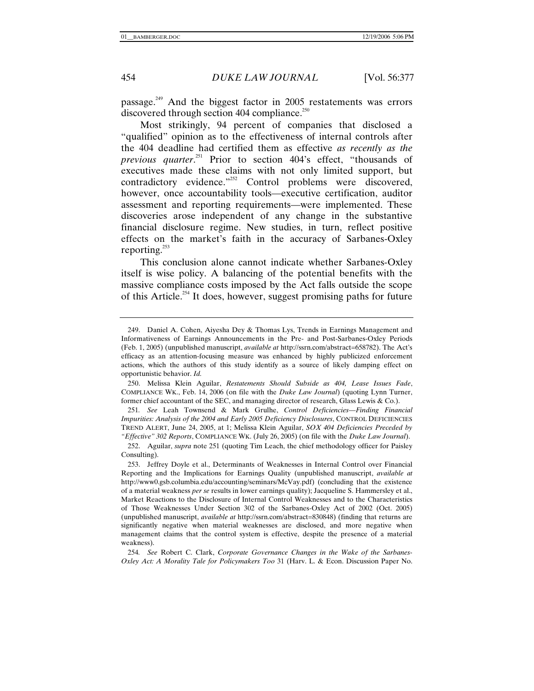passage.249 And the biggest factor in 2005 restatements was errors discovered through section 404 compliance. $^{250}$ 

Most strikingly, 94 percent of companies that disclosed a "qualified" opinion as to the effectiveness of internal controls after the 404 deadline had certified them as effective *as recently as the previous quarter*. 251 Prior to section 404's effect, "thousands of executives made these claims with not only limited support, but contradictory evidence."<sup>252</sup> Control problems were discovered, however, once accountability tools—executive certification, auditor assessment and reporting requirements—were implemented. These discoveries arose independent of any change in the substantive financial disclosure regime. New studies, in turn, reflect positive effects on the market's faith in the accuracy of Sarbanes-Oxley reporting.<sup>253</sup>

This conclusion alone cannot indicate whether Sarbanes-Oxley itself is wise policy. A balancing of the potential benefits with the massive compliance costs imposed by the Act falls outside the scope of this Article.<sup>254</sup> It does, however, suggest promising paths for future

 <sup>249.</sup> Daniel A. Cohen, Aiyesha Dey & Thomas Lys, Trends in Earnings Management and Informativeness of Earnings Announcements in the Pre- and Post-Sarbanes-Oxley Periods (Feb. 1, 2005) (unpublished manuscript, *available at* http://ssrn.com/abstract=658782). The Act's efficacy as an attention-focusing measure was enhanced by highly publicized enforcement actions, which the authors of this study identify as a source of likely damping effect on opportunistic behavior. *Id.*

 <sup>250.</sup> Melissa Klein Aguilar, *Restatements Should Subside as 404, Lease Issues Fade*, COMPLIANCE WK., Feb. 14, 2006 (on file with the *Duke Law Journal*) (quoting Lynn Turner, former chief accountant of the SEC, and managing director of research, Glass Lewis & Co.).

<sup>251</sup>*. See* Leah Townsend & Mark Grulhe, *Control Deficiencies—Finding Financial Impurities: Analysis of the 2004 and Early 2005 Deficiency Disclosures*, CONTROL DEFICIENCIES TREND ALERT, June 24, 2005, at 1; Melissa Klein Aguilar, *SOX 404 Deficiencies Preceded by "Effective" 302 Reports*, COMPLIANCE WK. (July 26, 2005) (on file with the *Duke Law Journal*).

 <sup>252.</sup> Aguilar, *supra* note 251 (quoting Tim Leach, the chief methodology officer for Paisley Consulting).

 <sup>253.</sup> Jeffrey Doyle et al., Determinants of Weaknesses in Internal Control over Financial Reporting and the Implications for Earnings Quality (unpublished manuscript, *available at* http://www0.gsb.columbia.edu/accounting/seminars/McVay.pdf) (concluding that the existence of a material weakness *per se* results in lower earnings quality); Jacqueline S. Hammersley et al., Market Reactions to the Disclosure of Internal Control Weaknesses and to the Characteristics of Those Weaknesses Under Section 302 of the Sarbanes-Oxley Act of 2002 (Oct. 2005) (unpublished manuscript, *available at* http://ssrn.com/abstract=830848) (finding that returns are significantly negative when material weaknesses are disclosed, and more negative when management claims that the control system is effective, despite the presence of a material weakness).

<sup>254</sup>*. See* Robert C. Clark, *Corporate Governance Changes in the Wake of the Sarbanes-Oxley Act: A Morality Tale for Policymakers Too* 31 (Harv. L. & Econ. Discussion Paper No.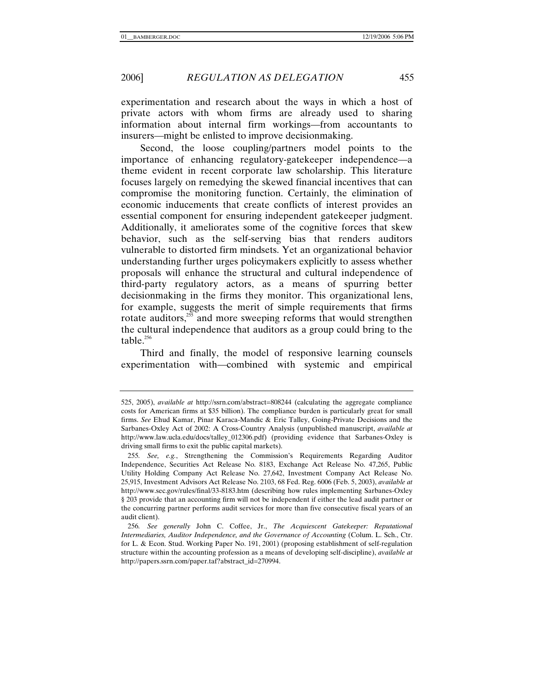experimentation and research about the ways in which a host of private actors with whom firms are already used to sharing information about internal firm workings—from accountants to insurers—might be enlisted to improve decisionmaking.

Second, the loose coupling/partners model points to the importance of enhancing regulatory-gatekeeper independence—a theme evident in recent corporate law scholarship. This literature focuses largely on remedying the skewed financial incentives that can compromise the monitoring function. Certainly, the elimination of economic inducements that create conflicts of interest provides an essential component for ensuring independent gatekeeper judgment. Additionally, it ameliorates some of the cognitive forces that skew behavior, such as the self-serving bias that renders auditors vulnerable to distorted firm mindsets. Yet an organizational behavior understanding further urges policymakers explicitly to assess whether proposals will enhance the structural and cultural independence of third-party regulatory actors, as a means of spurring better decisionmaking in the firms they monitor. This organizational lens, for example, suggests the merit of simple requirements that firms rotate auditors, $255$  and more sweeping reforms that would strengthen the cultural independence that auditors as a group could bring to the table.<sup>256</sup>

Third and finally, the model of responsive learning counsels experimentation with—combined with systemic and empirical

<sup>525, 2005),</sup> *available at* http://ssrn.com/abstract=808244 (calculating the aggregate compliance costs for American firms at \$35 billion). The compliance burden is particularly great for small firms. *See* Ehud Kamar, Pinar Karaca-Mandic & Eric Talley, Going-Private Decisions and the Sarbanes-Oxley Act of 2002: A Cross-Country Analysis (unpublished manuscript, *available at* http://www.law.ucla.edu/docs/talley\_012306.pdf) (providing evidence that Sarbanes-Oxley is driving small firms to exit the public capital markets).

<sup>255</sup>*. See, e.g.*, Strengthening the Commission's Requirements Regarding Auditor Independence, Securities Act Release No. 8183, Exchange Act Release No. 47,265, Public Utility Holding Company Act Release No. 27,642, Investment Company Act Release No. 25,915, Investment Advisors Act Release No. 2103, 68 Fed. Reg. 6006 (Feb. 5, 2003), *available at* http://www.sec.gov/rules/final/33-8183.htm (describing how rules implementing Sarbanes-Oxley § 203 provide that an accounting firm will not be independent if either the lead audit partner or the concurring partner performs audit services for more than five consecutive fiscal years of an audit client).

<sup>256</sup>*. See generally* John C. Coffee, Jr., *The Acquiescent Gatekeeper: Reputational Intermediaries, Auditor Independence, and the Governance of Accounting* (Colum. L. Sch., Ctr. for L. & Econ. Stud. Working Paper No. 191, 2001) (proposing establishment of self-regulation structure within the accounting profession as a means of developing self-discipline), *available at* http://papers.ssrn.com/paper.taf?abstract\_id=270994.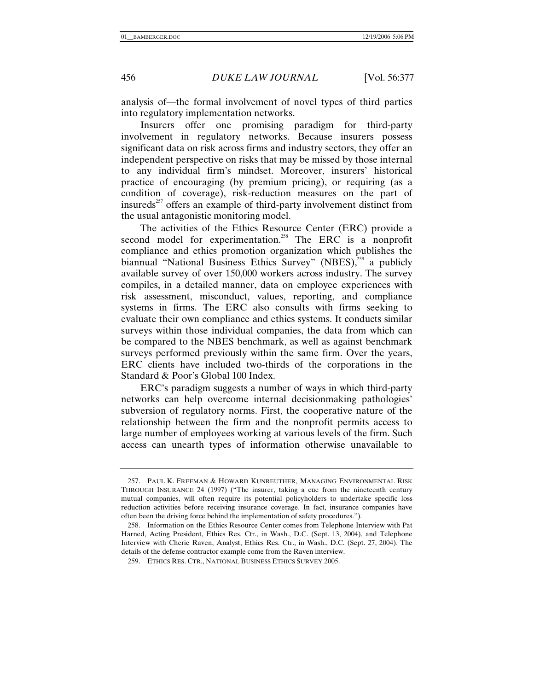analysis of—the formal involvement of novel types of third parties into regulatory implementation networks.

Insurers offer one promising paradigm for third-party involvement in regulatory networks. Because insurers possess significant data on risk across firms and industry sectors, they offer an independent perspective on risks that may be missed by those internal to any individual firm's mindset. Moreover, insurers' historical practice of encouraging (by premium pricing), or requiring (as a condition of coverage), risk-reduction measures on the part of insureds $^{257}$  offers an example of third-party involvement distinct from the usual antagonistic monitoring model.

The activities of the Ethics Resource Center (ERC) provide a second model for experimentation.<sup>258</sup> The ERC is a nonprofit compliance and ethics promotion organization which publishes the biannual "National Business Ethics Survey" (NBES),<sup>259</sup> a publicly available survey of over 150,000 workers across industry. The survey compiles, in a detailed manner, data on employee experiences with risk assessment, misconduct, values, reporting, and compliance systems in firms. The ERC also consults with firms seeking to evaluate their own compliance and ethics systems. It conducts similar surveys within those individual companies, the data from which can be compared to the NBES benchmark, as well as against benchmark surveys performed previously within the same firm. Over the years, ERC clients have included two-thirds of the corporations in the Standard & Poor's Global 100 Index.

ERC's paradigm suggests a number of ways in which third-party networks can help overcome internal decisionmaking pathologies' subversion of regulatory norms. First, the cooperative nature of the relationship between the firm and the nonprofit permits access to large number of employees working at various levels of the firm. Such access can unearth types of information otherwise unavailable to

 <sup>257.</sup> PAUL K. FREEMAN & HOWARD KUNREUTHER, MANAGING ENVIRONMENTAL RISK THROUGH INSURANCE 24 (1997) ("The insurer, taking a cue from the nineteenth century mutual companies, will often require its potential policyholders to undertake specific loss reduction activities before receiving insurance coverage. In fact, insurance companies have often been the driving force behind the implementation of safety procedures.").

 <sup>258.</sup> Information on the Ethics Resource Center comes from Telephone Interview with Pat Harned, Acting President, Ethics Res. Ctr., in Wash., D.C. (Sept. 13, 2004), and Telephone Interview with Cherie Raven, Analyst, Ethics Res. Ctr., in Wash., D.C. (Sept. 27, 2004). The details of the defense contractor example come from the Raven interview.

 <sup>259.</sup> ETHICS RES. CTR., NATIONAL BUSINESS ETHICS SURVEY 2005.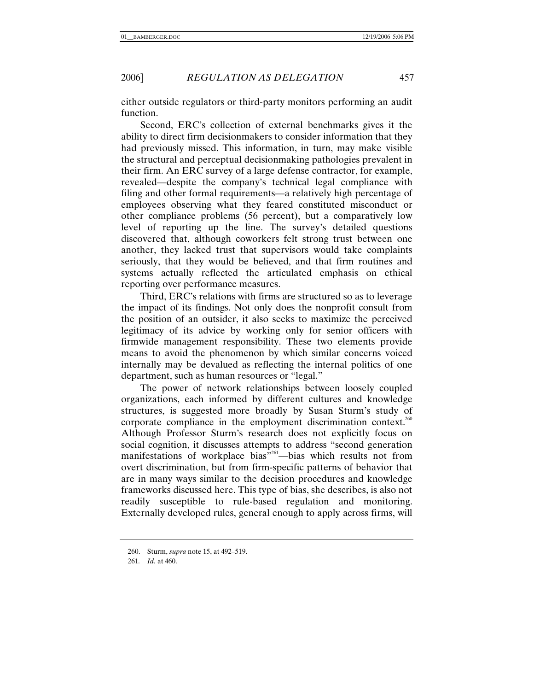either outside regulators or third-party monitors performing an audit function.

Second, ERC's collection of external benchmarks gives it the ability to direct firm decisionmakers to consider information that they had previously missed. This information, in turn, may make visible the structural and perceptual decisionmaking pathologies prevalent in their firm. An ERC survey of a large defense contractor, for example, revealed—despite the company's technical legal compliance with filing and other formal requirements—a relatively high percentage of employees observing what they feared constituted misconduct or other compliance problems (56 percent), but a comparatively low level of reporting up the line. The survey's detailed questions discovered that, although coworkers felt strong trust between one another, they lacked trust that supervisors would take complaints seriously, that they would be believed, and that firm routines and systems actually reflected the articulated emphasis on ethical reporting over performance measures.

Third, ERC's relations with firms are structured so as to leverage the impact of its findings. Not only does the nonprofit consult from the position of an outsider, it also seeks to maximize the perceived legitimacy of its advice by working only for senior officers with firmwide management responsibility. These two elements provide means to avoid the phenomenon by which similar concerns voiced internally may be devalued as reflecting the internal politics of one department, such as human resources or "legal."

The power of network relationships between loosely coupled organizations, each informed by different cultures and knowledge structures, is suggested more broadly by Susan Sturm's study of corporate compliance in the employment discrimination context.<sup>260</sup> Although Professor Sturm's research does not explicitly focus on social cognition, it discusses attempts to address "second generation manifestations of workplace bias<sup>7261</sup>—bias which results not from overt discrimination, but from firm-specific patterns of behavior that are in many ways similar to the decision procedures and knowledge frameworks discussed here. This type of bias, she describes, is also not readily susceptible to rule-based regulation and monitoring. Externally developed rules, general enough to apply across firms, will

 <sup>260.</sup> Sturm, *supra* note 15, at 492–519.

<sup>261</sup>*. Id.* at 460.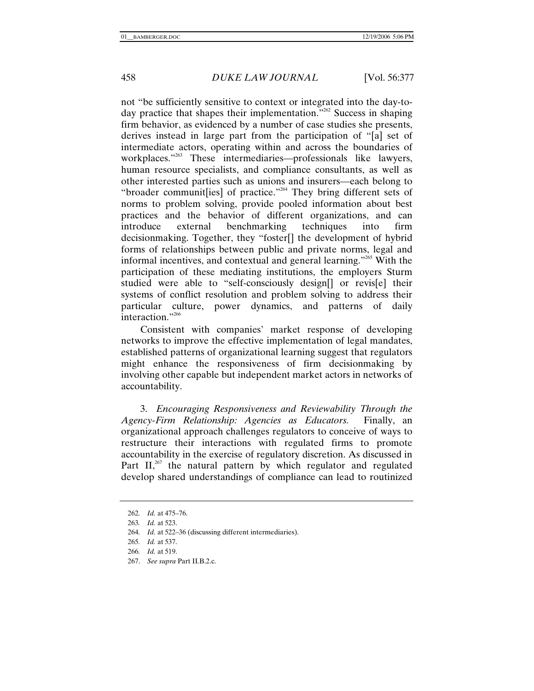not "be sufficiently sensitive to context or integrated into the day-today practice that shapes their implementation."<sup>262</sup> Success in shaping firm behavior, as evidenced by a number of case studies she presents, derives instead in large part from the participation of "[a] set of intermediate actors, operating within and across the boundaries of workplaces."<sup>263</sup> These intermediaries—professionals like lawyers, human resource specialists, and compliance consultants, as well as other interested parties such as unions and insurers—each belong to "broader communit[ies] of practice."<sup>264</sup> They bring different sets of norms to problem solving, provide pooled information about best practices and the behavior of different organizations, and can introduce external benchmarking techniques into firm decisionmaking. Together, they "foster[] the development of hybrid forms of relationships between public and private norms, legal and informal incentives, and contextual and general learning."265 With the participation of these mediating institutions, the employers Sturm studied were able to "self-consciously design[] or revis[e] their systems of conflict resolution and problem solving to address their particular culture, power dynamics, and patterns of daily interaction."<sup>266</sup>

Consistent with companies' market response of developing networks to improve the effective implementation of legal mandates, established patterns of organizational learning suggest that regulators might enhance the responsiveness of firm decisionmaking by involving other capable but independent market actors in networks of accountability.

3. *Encouraging Responsiveness and Reviewability Through the Agency-Firm Relationship: Agencies as Educators.* Finally, an organizational approach challenges regulators to conceive of ways to restructure their interactions with regulated firms to promote accountability in the exercise of regulatory discretion. As discussed in Part II, $267$  the natural pattern by which regulator and regulated develop shared understandings of compliance can lead to routinized

267. *See supra* Part II.B.2.c.

<sup>262</sup>*. Id.* at 475–76.

<sup>263</sup>*. Id.* at 523.

<sup>264</sup>*. Id.* at 522–36 (discussing different intermediaries).

<sup>265</sup>*. Id.* at 537.

<sup>266</sup>*. Id.* at 519.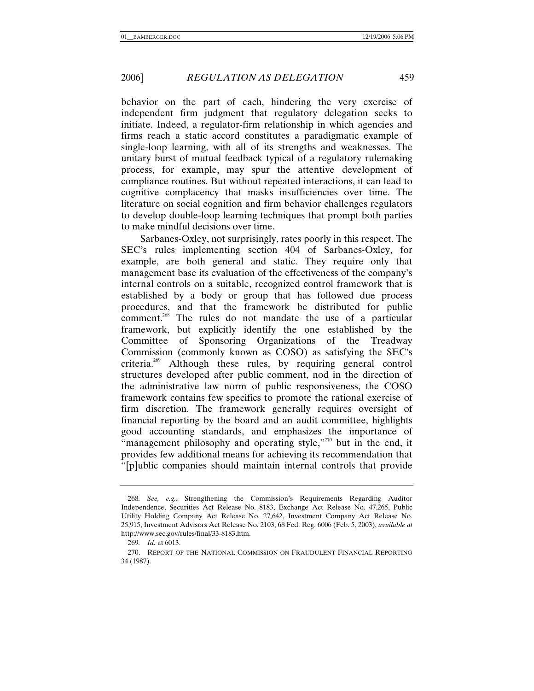behavior on the part of each, hindering the very exercise of independent firm judgment that regulatory delegation seeks to initiate. Indeed, a regulator-firm relationship in which agencies and firms reach a static accord constitutes a paradigmatic example of single-loop learning, with all of its strengths and weaknesses. The unitary burst of mutual feedback typical of a regulatory rulemaking process, for example, may spur the attentive development of compliance routines. But without repeated interactions, it can lead to cognitive complacency that masks insufficiencies over time. The literature on social cognition and firm behavior challenges regulators to develop double-loop learning techniques that prompt both parties to make mindful decisions over time.

Sarbanes-Oxley, not surprisingly, rates poorly in this respect. The SEC's rules implementing section 404 of Sarbanes-Oxley, for example, are both general and static. They require only that management base its evaluation of the effectiveness of the company's internal controls on a suitable, recognized control framework that is established by a body or group that has followed due process procedures, and that the framework be distributed for public comment.<sup>268</sup> The rules do not mandate the use of a particular framework, but explicitly identify the one established by the Committee of Sponsoring Organizations of the Treadway Commission (commonly known as COSO) as satisfying the SEC's criteria.269 Although these rules, by requiring general control structures developed after public comment, nod in the direction of the administrative law norm of public responsiveness, the COSO framework contains few specifics to promote the rational exercise of firm discretion. The framework generally requires oversight of financial reporting by the board and an audit committee, highlights good accounting standards, and emphasizes the importance of "management philosophy and operating style,"<sup>270</sup> but in the end, it provides few additional means for achieving its recommendation that "[p]ublic companies should maintain internal controls that provide

<sup>268</sup>*. See, e.g.*, Strengthening the Commission's Requirements Regarding Auditor Independence, Securities Act Release No. 8183, Exchange Act Release No. 47,265, Public Utility Holding Company Act Release No. 27,642, Investment Company Act Release No. 25,915, Investment Advisors Act Release No. 2103, 68 Fed. Reg. 6006 (Feb. 5, 2003), *available at* http://www.sec.gov/rules/final/33-8183.htm.

<sup>269</sup>*. Id.* at 6013.

 <sup>270.</sup> REPORT OF THE NATIONAL COMMISSION ON FRAUDULENT FINANCIAL REPORTING 34 (1987).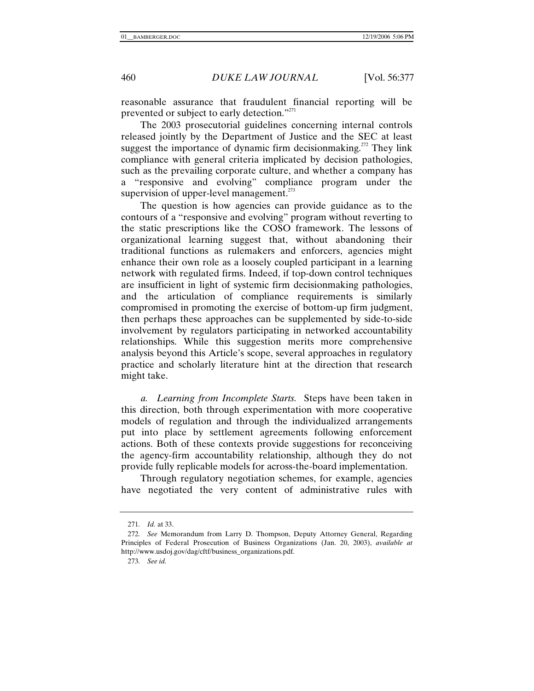reasonable assurance that fraudulent financial reporting will be prevented or subject to early detection."<sup>271</sup>

The 2003 prosecutorial guidelines concerning internal controls released jointly by the Department of Justice and the SEC at least suggest the importance of dynamic firm decisionmaking.<sup>272</sup> They link compliance with general criteria implicated by decision pathologies, such as the prevailing corporate culture, and whether a company has a "responsive and evolving" compliance program under the supervision of upper-level management.<sup>273</sup>

The question is how agencies can provide guidance as to the contours of a "responsive and evolving" program without reverting to the static prescriptions like the COSO framework. The lessons of organizational learning suggest that, without abandoning their traditional functions as rulemakers and enforcers, agencies might enhance their own role as a loosely coupled participant in a learning network with regulated firms. Indeed, if top-down control techniques are insufficient in light of systemic firm decisionmaking pathologies, and the articulation of compliance requirements is similarly compromised in promoting the exercise of bottom-up firm judgment, then perhaps these approaches can be supplemented by side-to-side involvement by regulators participating in networked accountability relationships. While this suggestion merits more comprehensive analysis beyond this Article's scope, several approaches in regulatory practice and scholarly literature hint at the direction that research might take.

*a. Learning from Incomplete Starts.* Steps have been taken in this direction, both through experimentation with more cooperative models of regulation and through the individualized arrangements put into place by settlement agreements following enforcement actions. Both of these contexts provide suggestions for reconceiving the agency-firm accountability relationship, although they do not provide fully replicable models for across-the-board implementation.

Through regulatory negotiation schemes, for example, agencies have negotiated the very content of administrative rules with

<sup>271</sup>*. Id.* at 33.

<sup>272</sup>*. See* Memorandum from Larry D. Thompson, Deputy Attorney General, Regarding Principles of Federal Prosecution of Business Organizations (Jan. 20, 2003), *available at* http://www.usdoj.gov/dag/cftf/business\_organizations.pdf.

<sup>273</sup>*. See id.*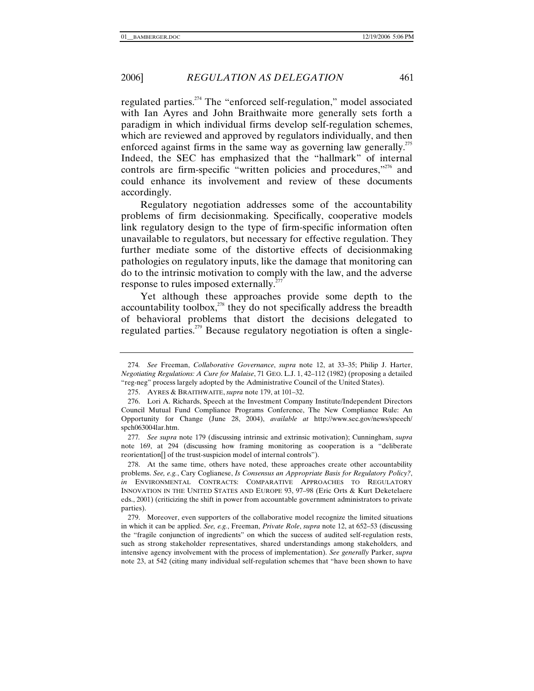regulated parties.<sup>274</sup> The "enforced self-regulation," model associated with Ian Ayres and John Braithwaite more generally sets forth a paradigm in which individual firms develop self-regulation schemes, which are reviewed and approved by regulators individually, and then enforced against firms in the same way as governing law generally.<sup>275</sup> Indeed, the SEC has emphasized that the "hallmark" of internal controls are firm-specific "written policies and procedures,"<sup>276</sup> and could enhance its involvement and review of these documents accordingly.

Regulatory negotiation addresses some of the accountability problems of firm decisionmaking. Specifically, cooperative models link regulatory design to the type of firm-specific information often unavailable to regulators, but necessary for effective regulation. They further mediate some of the distortive effects of decisionmaking pathologies on regulatory inputs, like the damage that monitoring can do to the intrinsic motivation to comply with the law, and the adverse response to rules imposed externally.<sup>277</sup>

Yet although these approaches provide some depth to the accountability toolbox, $^{278}$  they do not specifically address the breadth of behavioral problems that distort the decisions delegated to regulated parties.<sup>279</sup> Because regulatory negotiation is often a single-

277*. See supra* note 179 (discussing intrinsic and extrinsic motivation); Cunningham, *supra*  note 169, at 294 (discussing how framing monitoring as cooperation is a "deliberate reorientation[] of the trust-suspicion model of internal controls").

 278. At the same time, others have noted, these approaches create other accountability problems. *See, e.g.*, Cary Coglianese, *Is Consensus an Appropriate Basis for Regulatory Policy?*, *in* ENVIRONMENTAL CONTRACTS: COMPARATIVE APPROACHES TO REGULATORY INNOVATION IN THE UNITED STATES AND EUROPE 93, 97–98 (Eric Orts & Kurt Deketelaere eds., 2001) (criticizing the shift in power from accountable government administrators to private parties).

 279. Moreover, even supporters of the collaborative model recognize the limited situations in which it can be applied. *See, e.g.*, Freeman, *Private Role*, *supra* note 12, at 652–53 (discussing the "fragile conjunction of ingredients" on which the success of audited self-regulation rests, such as strong stakeholder representatives, shared understandings among stakeholders, and intensive agency involvement with the process of implementation). *See generally* Parker, *supra* note 23, at 542 (citing many individual self-regulation schemes that "have been shown to have

<sup>274</sup>*. See* Freeman, *Collaborative Governance*, *supra* note 12, at 33–35; Philip J. Harter, *Negotiating Regulations: A Cure for Malaise*, 71 GEO. L.J. 1, 42–112 (1982) (proposing a detailed "reg-neg" process largely adopted by the Administrative Council of the United States).

 <sup>275.</sup> AYRES & BRAITHWAITE, *supra* note 179, at 101–32.

 <sup>276.</sup> Lori A. Richards, Speech at the Investment Company Institute/Independent Directors Council Mutual Fund Compliance Programs Conference, The New Compliance Rule: An Opportunity for Change (June 28, 2004), *available at* http://www.sec.gov/news/speech/ spch063004lar.htm.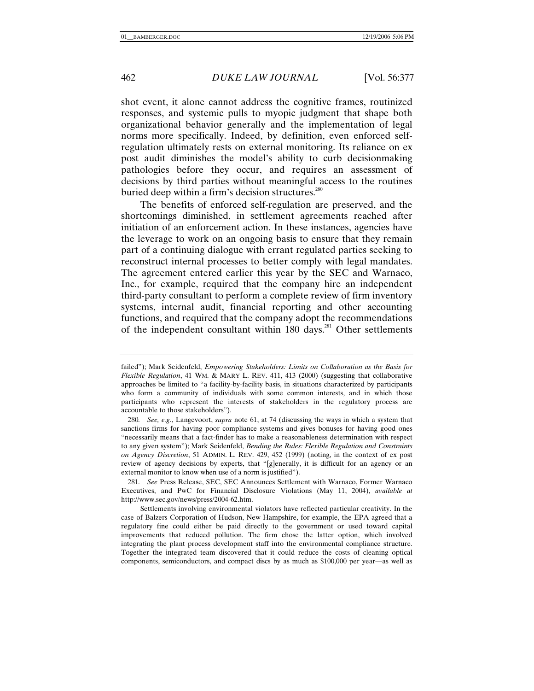shot event, it alone cannot address the cognitive frames, routinized responses, and systemic pulls to myopic judgment that shape both organizational behavior generally and the implementation of legal norms more specifically. Indeed, by definition, even enforced selfregulation ultimately rests on external monitoring. Its reliance on ex post audit diminishes the model's ability to curb decisionmaking pathologies before they occur, and requires an assessment of decisions by third parties without meaningful access to the routines buried deep within a firm's decision structures.<sup>280</sup>

The benefits of enforced self-regulation are preserved, and the shortcomings diminished, in settlement agreements reached after initiation of an enforcement action. In these instances, agencies have the leverage to work on an ongoing basis to ensure that they remain part of a continuing dialogue with errant regulated parties seeking to reconstruct internal processes to better comply with legal mandates. The agreement entered earlier this year by the SEC and Warnaco, Inc., for example, required that the company hire an independent third-party consultant to perform a complete review of firm inventory systems, internal audit, financial reporting and other accounting functions, and required that the company adopt the recommendations of the independent consultant within  $180 \text{ days}^{281}$  Other settlements

failed"); Mark Seidenfeld, *Empowering Stakeholders: Limits on Collaboration as the Basis for Flexible Regulation*, 41 WM. & MARY L. REV. 411, 413 (2000) (suggesting that collaborative approaches be limited to "a facility-by-facility basis, in situations characterized by participants who form a community of individuals with some common interests, and in which those participants who represent the interests of stakeholders in the regulatory process are accountable to those stakeholders").

<sup>280</sup>*. See, e.g.*, Langevoort, *supra* note 61, at 74 (discussing the ways in which a system that sanctions firms for having poor compliance systems and gives bonuses for having good ones "necessarily means that a fact-finder has to make a reasonableness determination with respect to any given system"); Mark Seidenfeld, *Bending the Rules: Flexible Regulation and Constraints on Agency Discretion*, 51 ADMIN. L. REV. 429, 452 (1999) (noting, in the context of ex post review of agency decisions by experts, that "[g]enerally, it is difficult for an agency or an external monitor to know when use of a norm is justified").

<sup>281</sup>*. See* Press Release, SEC, SEC Announces Settlement with Warnaco, Former Warnaco Executives, and PwC for Financial Disclosure Violations (May 11, 2004), *available at*  http://www.sec.gov/news/press/2004-62.htm.

Settlements involving environmental violators have reflected particular creativity. In the case of Balzers Corporation of Hudson, New Hampshire, for example, the EPA agreed that a regulatory fine could either be paid directly to the government or used toward capital improvements that reduced pollution. The firm chose the latter option, which involved integrating the plant process development staff into the environmental compliance structure. Together the integrated team discovered that it could reduce the costs of cleaning optical components, semiconductors, and compact discs by as much as \$100,000 per year—as well as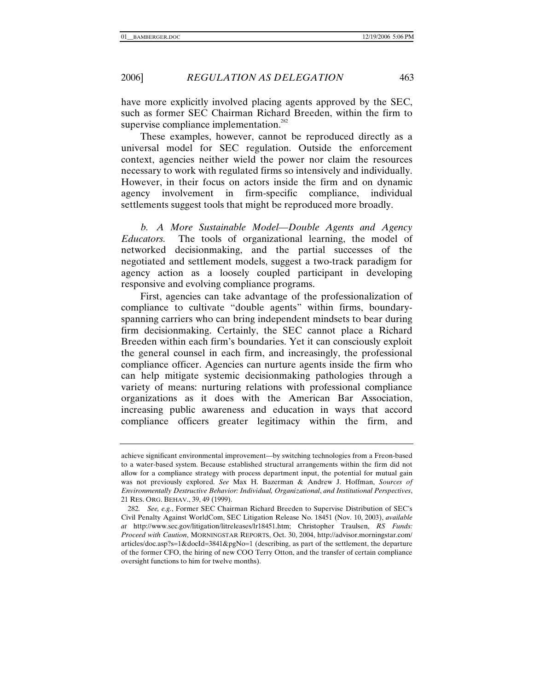have more explicitly involved placing agents approved by the SEC, such as former SEC Chairman Richard Breeden, within the firm to supervise compliance implementation.<sup>282</sup>

These examples, however, cannot be reproduced directly as a universal model for SEC regulation. Outside the enforcement context, agencies neither wield the power nor claim the resources necessary to work with regulated firms so intensively and individually. However, in their focus on actors inside the firm and on dynamic agency involvement in firm-specific compliance, individual settlements suggest tools that might be reproduced more broadly.

*b. A More Sustainable Model—Double Agents and Agency Educators.* The tools of organizational learning, the model of networked decisionmaking, and the partial successes of the negotiated and settlement models, suggest a two-track paradigm for agency action as a loosely coupled participant in developing responsive and evolving compliance programs.

First, agencies can take advantage of the professionalization of compliance to cultivate "double agents" within firms, boundaryspanning carriers who can bring independent mindsets to bear during firm decisionmaking. Certainly, the SEC cannot place a Richard Breeden within each firm's boundaries. Yet it can consciously exploit the general counsel in each firm, and increasingly, the professional compliance officer. Agencies can nurture agents inside the firm who can help mitigate systemic decisionmaking pathologies through a variety of means: nurturing relations with professional compliance organizations as it does with the American Bar Association, increasing public awareness and education in ways that accord compliance officers greater legitimacy within the firm, and

achieve significant environmental improvement—by switching technologies from a Freon-based to a water-based system. Because established structural arrangements within the firm did not allow for a compliance strategy with process department input, the potential for mutual gain was not previously explored. *See* Max H. Bazerman & Andrew J. Hoffman, *Sources of Environmentally Destructive Behavior: Individual, Organizational*, *and Institutional Perspectives*, 21 RES. ORG. BEHAV., 39, 49 (1999).

<sup>282</sup>*. See, e.g.*, Former SEC Chairman Richard Breeden to Supervise Distribution of SEC's Civil Penalty Against WorldCom, SEC Litigation Release No. 18451 (Nov. 10, 2003), *available at* http://www.sec.gov/litigation/litreleases/lr18451.htm; Christopher Traulsen, *RS Funds: Proceed with Caution*, MORNINGSTAR REPORTS, Oct. 30, 2004, http://advisor.morningstar.com/ articles/doc.asp?s=1&docId=3841&pgNo=1 (describing, as part of the settlement, the departure of the former CFO, the hiring of new COO Terry Otton, and the transfer of certain compliance oversight functions to him for twelve months).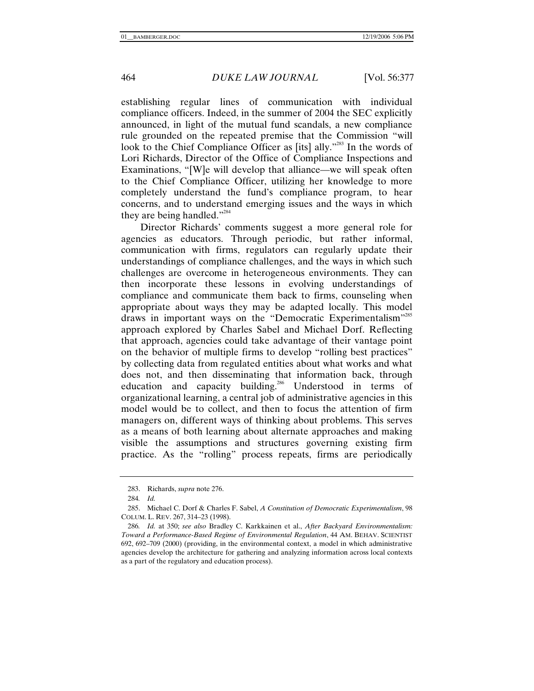establishing regular lines of communication with individual compliance officers. Indeed, in the summer of 2004 the SEC explicitly announced, in light of the mutual fund scandals, a new compliance rule grounded on the repeated premise that the Commission "will look to the Chief Compliance Officer as [its] ally."<sup>283</sup> In the words of Lori Richards, Director of the Office of Compliance Inspections and Examinations, "[W]e will develop that alliance—we will speak often to the Chief Compliance Officer, utilizing her knowledge to more completely understand the fund's compliance program, to hear concerns, and to understand emerging issues and the ways in which they are being handled."<sup>284</sup>

Director Richards' comments suggest a more general role for agencies as educators. Through periodic, but rather informal, communication with firms, regulators can regularly update their understandings of compliance challenges, and the ways in which such challenges are overcome in heterogeneous environments. They can then incorporate these lessons in evolving understandings of compliance and communicate them back to firms, counseling when appropriate about ways they may be adapted locally. This model draws in important ways on the "Democratic Experimentalism"<sup>285</sup> approach explored by Charles Sabel and Michael Dorf. Reflecting that approach, agencies could take advantage of their vantage point on the behavior of multiple firms to develop "rolling best practices" by collecting data from regulated entities about what works and what does not, and then disseminating that information back, through education and capacity building.<sup>286</sup> Understood in terms of organizational learning, a central job of administrative agencies in this model would be to collect, and then to focus the attention of firm managers on, different ways of thinking about problems. This serves as a means of both learning about alternate approaches and making visible the assumptions and structures governing existing firm practice. As the "rolling" process repeats, firms are periodically

 <sup>283.</sup> Richards, *supra* note 276.

<sup>284</sup>*. Id.*

 <sup>285.</sup> Michael C. Dorf & Charles F. Sabel, *A Constitution of Democratic Experimentalism*, 98 COLUM. L. REV. 267, 314–23 (1998).

<sup>286</sup>*. Id.* at 350; *see also* Bradley C. Karkkainen et al., *After Backyard Environmentalism: Toward a Performance-Based Regime of Environmental Regulation*, 44 AM. BEHAV. SCIENTIST 692, 692–709 (2000) (providing, in the environmental context, a model in which administrative agencies develop the architecture for gathering and analyzing information across local contexts as a part of the regulatory and education process).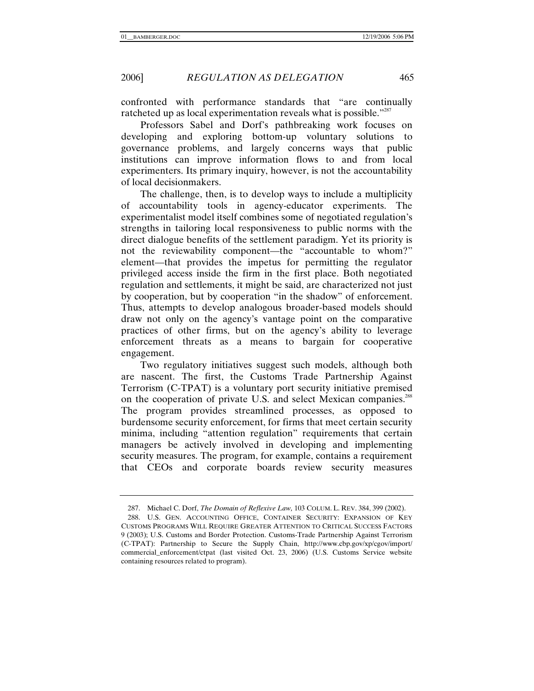confronted with performance standards that "are continually ratcheted up as local experimentation reveals what is possible."<sup>287</sup>

Professors Sabel and Dorf's pathbreaking work focuses on developing and exploring bottom-up voluntary solutions to governance problems, and largely concerns ways that public institutions can improve information flows to and from local experimenters. Its primary inquiry, however, is not the accountability of local decisionmakers.

The challenge, then, is to develop ways to include a multiplicity of accountability tools in agency-educator experiments. The experimentalist model itself combines some of negotiated regulation's strengths in tailoring local responsiveness to public norms with the direct dialogue benefits of the settlement paradigm. Yet its priority is not the reviewability component—the "accountable to whom?" element—that provides the impetus for permitting the regulator privileged access inside the firm in the first place. Both negotiated regulation and settlements, it might be said, are characterized not just by cooperation, but by cooperation "in the shadow" of enforcement. Thus, attempts to develop analogous broader-based models should draw not only on the agency's vantage point on the comparative practices of other firms, but on the agency's ability to leverage enforcement threats as a means to bargain for cooperative engagement.

Two regulatory initiatives suggest such models, although both are nascent. The first, the Customs Trade Partnership Against Terrorism (C-TPAT) is a voluntary port security initiative premised on the cooperation of private U.S. and select Mexican companies.<sup>288</sup> The program provides streamlined processes, as opposed to burdensome security enforcement, for firms that meet certain security minima, including "attention regulation" requirements that certain managers be actively involved in developing and implementing security measures. The program, for example, contains a requirement that CEOs and corporate boards review security measures

 <sup>287.</sup> Michael C. Dorf, *The Domain of Reflexive Law,* 103 COLUM. L. REV. 384, 399 (2002).

 <sup>288.</sup> U.S. GEN. ACCOUNTING OFFICE, CONTAINER SECURITY: EXPANSION OF KEY CUSTOMS PROGRAMS WILL REQUIRE GREATER ATTENTION TO CRITICAL SUCCESS FACTORS 9 (2003); U.S. Customs and Border Protection. Customs-Trade Partnership Against Terrorism (C-TPAT): Partnership to Secure the Supply Chain, http://www.cbp.gov/xp/cgov/import/ commercial\_enforcement/ctpat (last visited Oct. 23, 2006) (U.S. Customs Service website containing resources related to program).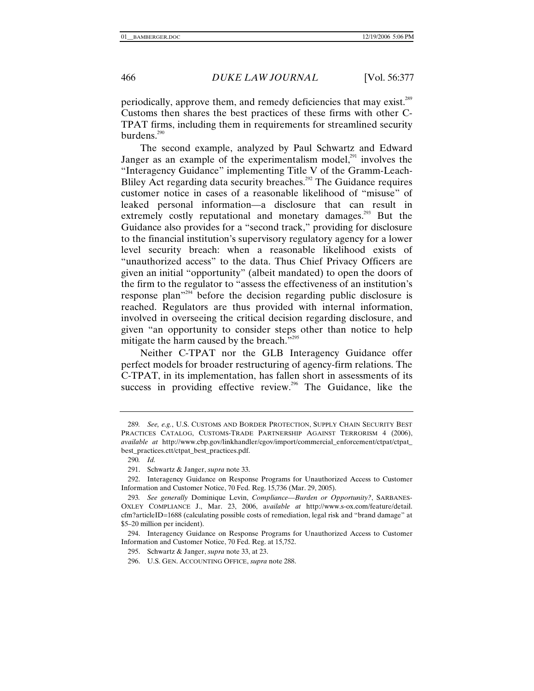periodically, approve them, and remedy deficiencies that may exist.<sup>289</sup> Customs then shares the best practices of these firms with other C-TPAT firms, including them in requirements for streamlined security burdens.<sup>290</sup>

The second example, analyzed by Paul Schwartz and Edward Janger as an example of the experimentalism model, $^{291}$  involves the "Interagency Guidance" implementing Title V of the Gramm-Leach-Bliley Act regarding data security breaches.<sup>292</sup> The Guidance requires customer notice in cases of a reasonable likelihood of "misuse" of leaked personal information—a disclosure that can result in extremely costly reputational and monetary damages.<sup>293</sup> But the Guidance also provides for a "second track," providing for disclosure to the financial institution's supervisory regulatory agency for a lower level security breach: when a reasonable likelihood exists of "unauthorized access" to the data. Thus Chief Privacy Officers are given an initial "opportunity" (albeit mandated) to open the doors of the firm to the regulator to "assess the effectiveness of an institution's response plan"294 before the decision regarding public disclosure is reached. Regulators are thus provided with internal information, involved in overseeing the critical decision regarding disclosure, and given "an opportunity to consider steps other than notice to help mitigate the harm caused by the breach."<sup>295</sup>

Neither C-TPAT nor the GLB Interagency Guidance offer perfect models for broader restructuring of agency-firm relations. The C-TPAT, in its implementation, has fallen short in assessments of its success in providing effective review.<sup>296</sup> The Guidance, like the

<sup>289</sup>*. See, e.g.*, U.S. CUSTOMS AND BORDER PROTECTION, SUPPLY CHAIN SECURITY BEST PRACTICES CATALOG, CUSTOMS-TRADE PARTNERSHIP AGAINST TERRORISM 4 (2006), *available at* http://www.cbp.gov/linkhandler/cgov/import/commercial\_enforcement/ctpat/ctpat\_ best\_practices.ctt/ctpat\_best\_practices.pdf.

<sup>290</sup>*. Id.*

 <sup>291.</sup> Schwartz & Janger, *supra* note 33.

 <sup>292.</sup> Interagency Guidance on Response Programs for Unauthorized Access to Customer Information and Customer Notice, 70 Fed. Reg. 15,736 (Mar. 29, 2005).

<sup>293</sup>*. See generally* Dominique Levin, *Compliance—Burden or Opportunity?*, SARBANES-OXLEY COMPLIANCE J., Mar. 23, 2006, a*vailable at* http://www.s-ox.com/feature/detail. cfm?articleID=1688 (calculating possible costs of remediation, legal risk and "brand damage" at \$5–20 million per incident).

 <sup>294.</sup> Interagency Guidance on Response Programs for Unauthorized Access to Customer Information and Customer Notice, 70 Fed. Reg. at 15,752.

 <sup>295.</sup> Schwartz & Janger, *supra* note 33, at 23.

 <sup>296.</sup> U.S. GEN. ACCOUNTING OFFICE, *supra* note 288.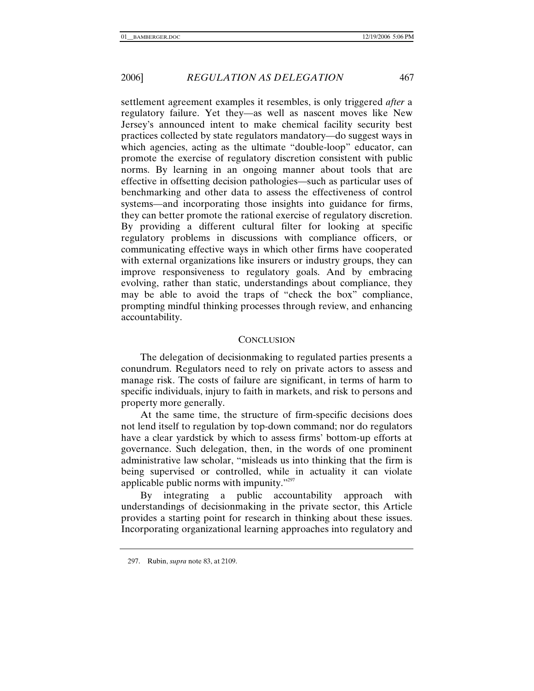settlement agreement examples it resembles, is only triggered *after* a regulatory failure. Yet they—as well as nascent moves like New Jersey's announced intent to make chemical facility security best practices collected by state regulators mandatory—do suggest ways in which agencies, acting as the ultimate "double-loop" educator, can promote the exercise of regulatory discretion consistent with public norms. By learning in an ongoing manner about tools that are effective in offsetting decision pathologies—such as particular uses of benchmarking and other data to assess the effectiveness of control systems—and incorporating those insights into guidance for firms, they can better promote the rational exercise of regulatory discretion. By providing a different cultural filter for looking at specific regulatory problems in discussions with compliance officers, or communicating effective ways in which other firms have cooperated with external organizations like insurers or industry groups, they can improve responsiveness to regulatory goals. And by embracing evolving, rather than static, understandings about compliance, they may be able to avoid the traps of "check the box" compliance, prompting mindful thinking processes through review, and enhancing accountability.

## **CONCLUSION**

The delegation of decisionmaking to regulated parties presents a conundrum. Regulators need to rely on private actors to assess and manage risk. The costs of failure are significant, in terms of harm to specific individuals, injury to faith in markets, and risk to persons and property more generally.

At the same time, the structure of firm-specific decisions does not lend itself to regulation by top-down command; nor do regulators have a clear yardstick by which to assess firms' bottom-up efforts at governance. Such delegation, then, in the words of one prominent administrative law scholar, "misleads us into thinking that the firm is being supervised or controlled, while in actuality it can violate applicable public norms with impunity. $"^{297}$ 

By integrating a public accountability approach with understandings of decisionmaking in the private sector, this Article provides a starting point for research in thinking about these issues. Incorporating organizational learning approaches into regulatory and

 <sup>297.</sup> Rubin, *supra* note 83, at 2109.